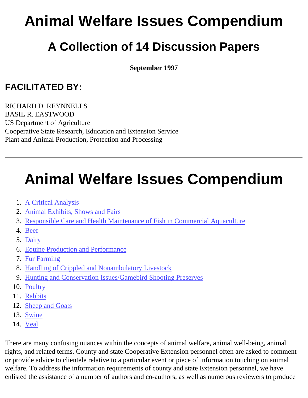# **Animal Welfare Issues Compendium**

## **A Collection of 14 Discussion Papers**

**September 1997**

## <span id="page-0-0"></span>**FACILITATED BY:**

RICHARD D. REYNNELLS BASIL R. EASTWOOD US Department of Agriculture Cooperative State Research, Education and Extension Service Plant and Animal Production, Protection and Processing

# **Animal Welfare Issues Compendium**

- 1. [A Critical Analysis](#page-1-0)
- 2. [Animal Exhibits, Shows and Fairs](#page-24-0)
- 3. [Responsible Care and Health Maintenance of Fish in Commercial Aquaculture](#page-29-0)
- 4. [Beef](#page-45-0)
- 5. [Dairy](#page-50-0)
- 6. [Equine Production and Performance](#page-66-0)
- 7. [Fur Farming](#page-73-0)
- 8. [Handling of Crippled and Nonambulatory Livestock](#page-77-0)
- 9. [Hunting and Conservation Issues/Gamebird Shooting Preserves](#page-82-0)
- 10. [Poultry](#page-87-0)
- 11. [Rabbits](#page-94-0)
- 12. [Sheep and Goats](#page-102-0)
- 13. [Swine](#page-108-0)
- 14. [Veal](#page-114-0)

There are many confusing nuances within the concepts of animal welfare, animal well-being, animal rights, and related terms. County and state Cooperative Extension personnel often are asked to comment or provide advice to clientele relative to a particular event or piece of information touching on animal welfare. To address the information requirements of county and state Extension personnel, we have enlisted the assistance of a number of authors and co-authors, as well as numerous reviewers to produce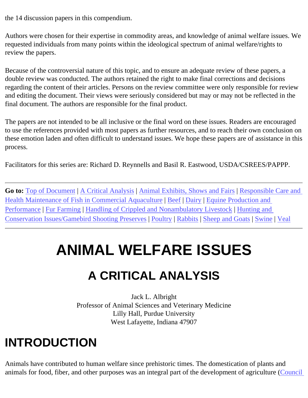the 14 discussion papers in this compendium.

Authors were chosen for their expertise in commodity areas, and knowledge of animal welfare issues. We requested individuals from many points within the ideological spectrum of animal welfare/rights to review the papers.

Because of the controversial nature of this topic, and to ensure an adequate review of these papers, a double review was conducted. The authors retained the right to make final corrections and decisions regarding the content of their articles. Persons on the review committee were only responsible for review and editing the document. Their views were seriously considered but may or may not be reflected in the final document. The authors are responsible for the final product.

The papers are not intended to be all inclusive or the final word on these issues. Readers are encouraged to use the references provided with most papers as further resources, and to reach their own conclusion on these emotion laden and often difficult to understand issues. We hope these papers are of assistance in this process.

Facilitators for this series are: Richard D. Reynnells and Basil R. Eastwood, USDA/CSREES/PAPPP.

<span id="page-1-0"></span>**Go to:** [Top of Document](#page-0-0) | [A Critical Analysis](#page-1-0) | [Animal Exhibits, Shows and Fairs](#page-24-0) | [Responsible Care and](#page-29-0)  [Health Maintenance of Fish in Commercial Aquaculture](#page-29-0) | [Beef](#page-45-0) | [Dairy](#page-50-0) | [Equine Production and](#page-66-0)  [Performance](#page-66-0) | [Fur Farming](#page-73-0) | [Handling of Crippled and Nonambulatory Livestock](#page-77-0) | [Hunting and](#page-82-0)  [Conservation Issues/Gamebird Shooting Preserves](#page-82-0) | [Poultry](#page-87-0) | [Rabbits](#page-94-0) | [Sheep and Goats](#page-102-0) | [Swine](#page-108-0) | [Veal](#page-114-0)

# **ANIMAL WELFARE ISSUES**

## **A CRITICAL ANALYSIS**

Jack L. Albright Professor of Animal Sciences and Veterinary Medicine Lilly Hall, Purdue University West Lafayette, Indiana 47907

## **INTRODUCTION**

Animals have contributed to human welfare since prehistoric times. The domestication of plants and animals for food, fiber, and other purposes was an integral part of the development of agriculture [\(Council](#page-17-0)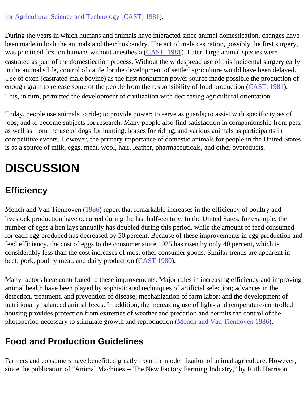#### [for Agricultural Science and Technology \[CAST\] 1981](#page-17-0)).

During the years in which humans and animals have interacted since animal domestication, changes have been made in both the animals and their husbandry. The act of male castration, possibly the first surgery, was practiced first on humans without anesthesia ([CAST, 1981\)](#page-17-0). Later, large animal species were castrated as part of the domestication process. Without the widespread use of this incidental surgery early in the animal's life, control of cattle for the development of settled agriculture would have been delayed. Use of oxen (castrated male bovine) as the first nonhuman power source made possible the production of enough grain to release some of the people from the responsibility of food production ([CAST, 1981](#page-17-0)). This, in turn, permitted the development of civilization with decreasing agricultural orientation.

Today, people use animals to ride; to provide power; to serve as guards; to assist with specific types of jobs; and to become subjects for research. Many people also find satisfaction in companionship from pets, as well as from the use of dogs for hunting, horses for riding, and various animals as participants in competitive events. However, the primary importance of domestic animals for people in the United States is as a source of milk, eggs, meat, wool, hair, leather, pharmaceuticals, and other byproducts.

# **DISCUSSION**

## **Efficiency**

Mench and Van Tienhoven ([1986\)](#page-18-0) report that remarkable increases in the efficiency of poultry and livestock production have occurred during the last half-century. In the United Sates, for example, the number of eggs a hen lays annually has doubled during this period, while the amount of feed consumed for each egg produced has decreased by 50 percent. Because of these improvements in egg production and feed efficiency, the cost of eggs to the consumer since 1925 has risen by only 40 percent, which is considerably less than the cost increases of most other consumer goods. Similar trends are apparent in beef, pork, poultry meat, and dairy production ([CAST 1980\)](#page-17-1).

Many factors have contributed to these improvements. Major roles in increasing efficiency and improving animal health have been played by sophisticated techniques of artificial selection; advances in the detection, treatment, and prevention of disease; mechanization of farm labor; and the development of nutritionally balanced animal feeds. In addition, the increasing use of light- and temperature-controlled housing provides protection from extremes of weather and predation and permits the control of the photoperiod necessary to stimulate growth and reproduction [\(Mench and Van Tienhoven 1986](#page-18-0)).

## **Food and Production Guidelines**

Farmers and consumers have benefitted greatly from the modernization of animal agriculture. However, since the publication of "Animal Machines -- The New Factory Farming Industry," by Ruth Harrison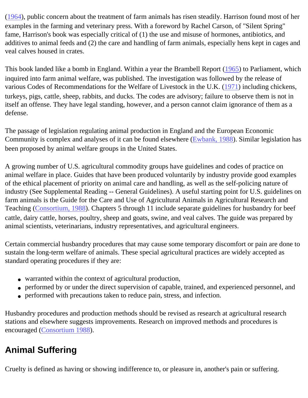([1964](#page-17-2)), public concern about the treatment of farm animals has risen steadily. Harrison found most of her examples in the farming and veterinary press. With a foreword by Rachel Carson, of "Silent Spring" fame, Harrison's book was especially critical of (1) the use and misuse of hormones, antibiotics, and additives to animal feeds and (2) the care and handling of farm animals, especially hens kept in cages and veal calves housed in crates.

This book landed like a bomb in England. Within a year the Brambell Report [\(1965](#page-16-0)) to Parliament, which inquired into farm animal welfare, was published. The investigation was followed by the release of various Codes of Recommendations for the Welfare of Livestock in the U.K. [\(1971\)](#page-16-1) including chickens, turkeys, pigs, cattle, sheep, rabbits, and ducks. The codes are advisory; failure to observe them is not in itself an offense. They have legal standing, however, and a person cannot claim ignorance of them as a defense.

The passage of legislation regulating animal production in England and the European Economic Community is complex and analyses of it can be found elsewhere [\(Ewbank, 1988](#page-17-3)). Similar legislation has been proposed by animal welfare groups in the United States.

A growing number of U.S. agricultural commodity groups have guidelines and codes of practice on animal welfare in place. Guides that have been produced voluntarily by industry provide good examples of the ethical placement of priority on animal care and handling, as well as the self-policing nature of industry (See Supplemental Reading -- General Guidelines). A useful starting point for U.S. guidelines on farm animals is the Guide for the Care and Use of Agricultural Animals in Agricultural Research and Teaching ([Consortium, 1988](#page-17-4)). Chapters 5 through 11 include separate guidelines for husbandry for beef cattle, dairy cattle, horses, poultry, sheep and goats, swine, and veal calves. The guide was prepared by animal scientists, veterinarians, industry representatives, and agricultural engineers.

Certain commercial husbandry procedures that may cause some temporary discomfort or pain are done to sustain the long-term welfare of animals. These special agricultural practices are widely accepted as standard operating procedures if they are:

- warranted within the context of agricultural production,
- performed by or under the direct supervision of capable, trained, and experienced personnel, and
- performed with precautions taken to reduce pain, stress, and infection.

Husbandry procedures and production methods should be revised as research at agricultural research stations and elsewhere suggests improvements. Research on improved methods and procedures is encouraged [\(Consortium 1988\)](#page-17-4).

## **Animal Suffering**

Cruelty is defined as having or showing indifference to, or pleasure in, another's pain or suffering.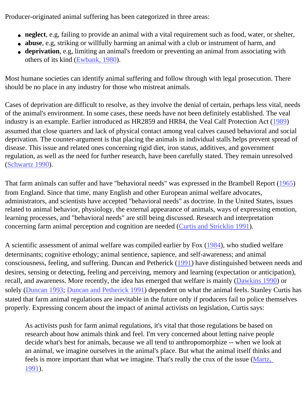Producer-originated animal suffering has been categorized in three areas:

- **neglect**, e.g, failing to provide an animal with a vital requirement such as food, water, or shelter,
- **abuse**, e.g, striking or willfully harming an animal with a club or instrument of harm, and
- **deprivation**, e.g, limiting an animal's freedom or preventing an animal from associating with others of its kind ([Ewbank, 1980\)](#page-17-5).

Most humane societies can identify animal suffering and follow through with legal prosecution. There should be no place in any industry for those who mistreat animals.

Cases of deprivation are difficult to resolve, as they involve the denial of certain, perhaps less vital, needs of the animal's environment. In some cases, these needs have not been definitely established. The veal industry is an example. Earlier introduced as HR2859 and HR84, the Veal Calf Protection Act [\(1989](#page-19-0)) assumed that close quarters and lack of physical contact among veal calves caused behavioral and social deprivation. The counter-argument is that placing the animals in individual stalls helps prevent spread of disease. This issue and related ones concerning rigid diet, iron status, additives, and government regulation, as well as the need for further research, have been carefully stated. They remain unresolved ([Schwartz 1990\)](#page-18-1).

That farm animals can suffer and have "behavioral needs" was expressed in the Brambell Report [\(1965\)](#page-16-0) from England. Since that time, many English and other European animal welfare advocates, administrators, and scientists have accepted "behavioral needs" as doctrine. In the United States, issues related to animal behavior, physiology, the external appearance of animals, ways of expressing emotion, learning processes, and "behavioral needs" are still being discussed. Research and interpretation concerning farm animal perception and cognition are needed ([Curtis and Stricklin 1991\)](#page-17-6).

A scientific assessment of animal welfare was compiled earlier by Fox ([1984\)](#page-17-2), who studied welfare determinants; cognitive ethology; animal sentience, sapience, and self-awareness; and animal consciousness, feeling, and suffering. Duncan and Petherick ([1991](#page-17-7)) have distinguished between needs and desires, sensing or detecting, feeling and perceiving, memory and learning (expectation or anticipation), recall, and awareness. More recently, the idea has emerged that welfare is mainly ([Dawkins 1990\)](#page-17-8) or solely [\(Duncan 1993;](#page-17-9) [Duncan and Petherick 1991](#page-17-7)) dependent on what the animal feels. Stanley Curtis has stated that farm animal regulations are inevitable in the future only if producers fail to police themselves properly. Expressing concern about the impact of animal activists on legislation, Curtis says:

As activists push for farm animal regulations, it's vital that those regulations be based on research about how animals think and feel. I'm very concerned about letting naive people decide what's best for animals, because we all tend to anthropomorphize -- when we look at an animal, we imagine ourselves in the animal's place. But what the animal itself thinks and feels is more important than what we imagine. That's really the crux of the issue ([Martz,](#page-18-2)  [1991](#page-18-2)).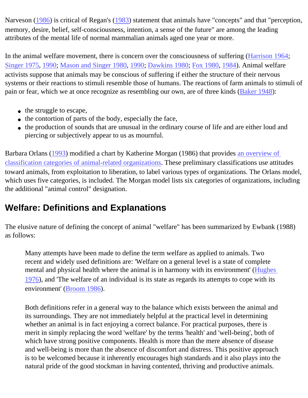Narveson [\(1986](#page-18-3)) is critical of Regan's ([1983](#page-18-4)) statement that animals have "concepts" and that "perception, memory, desire, belief, self-consciousness, intention, a sense of the future" are among the leading attributes of the mental life of normal mammalian animals aged one year or more.

In the animal welfare movement, there is concern over the consciousness of suffering [\(Harrison 1964](#page-17-2); [Singer 1975](#page-18-5), [1990](#page-19-1); [Mason and Singer 1980,](#page-18-6) [1990;](#page-18-7) [Dawkins 1980;](#page-17-10) [Fox 1980,](#page-17-11) [1984\)](#page-17-12). Animal welfare activists suppose that animals may be conscious of suffering if either the structure of their nervous systems or their reactions to stimuli resemble those of humans. The reactions of farm animals to stimuli of pain or fear, which we at once recognize as resembling our own, are of three kinds ([Baker 1948](#page-18-5)):

- the struggle to escape,
- $\bullet$  the contortion of parts of the body, especially the face,
- the production of sounds that are unusual in the ordinary course of life and are either loud and piercing or subjectively appear to us as mournful.

Barbara Orlans ([1993](#page-18-8)) modified a chart by Katherine Morgan (1986) that provides [an overview of](#page-124-0)  [classification categories of animal-related organizations](#page-124-0). These preliminary classifications use attitudes toward animals, from exploitation to liberation, to label various types of organizations. The Orlans model, which uses five categories, is included. The Morgan model lists six categories of organizations, including the additional "animal control" designation.

## **Welfare: Definitions and Explanations**

The elusive nature of defining the concept of animal "welfare" has been summarized by Ewbank (1988) as follows:

Many attempts have been made to define the term welfare as applied to animals. Two recent and widely used definitions are: 'Welfare on a general level is a state of complete mental and physical health where the animal is in harmony with its environment' [\(Hughes](#page-17-13)  [1976](#page-17-13)), and 'The welfare of an individual is its state as regards its attempts to cope with its environment' [\(Broom 1986](#page-16-2)).

Both definitions refer in a general way to the balance which exists between the animal and its surroundings. They are not immediately helpful at the practical level in determining whether an animal is in fact enjoying a correct balance. For practical purposes, there is merit in simply replacing the word 'welfare' by the terms 'health' and 'well-being', both of which have strong positive components. Health is more than the mere absence of disease and well-being is more than the absence of discomfort and distress. This positive approach is to be welcomed because it inherently encourages high standards and it also plays into the natural pride of the good stockman in having contented, thriving and productive animals.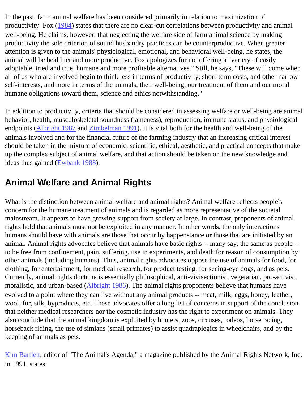In the past, farm animal welfare has been considered primarily in relation to maximization of productivity. Fox ([1984](#page-17-12)) states that there are no clear-cut correlations between productivity and animal well-being. He claims, however, that neglecting the welfare side of farm animal science by making productivity the sole criterion of sound husbandry practices can be counterproductive. When greater attention is given to the animals' physiological, emotional, and behavioral well-being, he states, the animal will be healthier and more productive. Fox apologizes for not offering a "variety of easily adoptable, tried and true, humane and more profitable alternatives." Still, he says, "These will come when all of us who are involved begin to think less in terms of productivity, short-term costs, and other narrow self-interests, and more in terms of the animals, their well-being, our treatment of them and our moral humane obligations toward them, science and ethics notwithstanding."

In addition to productivity, criteria that should be considered in assessing welfare or well-being are animal behavior, health, musculoskeletal soundness (lameness), reproduction, immune status, and physiological endpoints [\(Albright 1987](#page-16-3) and [Zimbelman 1991\)](#page-19-2). It is vital both for the health and well-being of the animals involved and for the financial future of the farming industry that an increasing critical interest should be taken in the mixture of economic, scientific, ethical, aesthetic, and practical concepts that make up the complex subject of animal welfare, and that action should be taken on the new knowledge and ideas thus gained ([Ewbank 1988\)](#page-17-3).

## **Animal Welfare and Animal Rights**

What is the distinction between animal welfare and animal rights? Animal welfare reflects people's concern for the humane treatment of animals and is regarded as more representative of the societal mainstream. It appears to have growing support from society at large. In contrast, proponents of animal rights hold that animals must not be exploited in any manner. In other words, the only interactions humans should have with animals are those that occur by happenstance or those that are initiated by an animal. Animal rights advocates believe that animals have basic rights -- many say, the same as people - to be free from confinement, pain, suffering, use in experiments, and death for reason of consumption by other animals (including humans). Thus, animal rights advocates oppose the use of animals for food, for clothing, for entertainment, for medical research, for product testing, for seeing-eye dogs, and as pets. Currently, animal rights doctrine is essentially philosophical, anti-vivisectionist, vegetarian, pro-activist, moralistic, and urban-based [\(Albright 1986](#page-16-4)). The animal rights proponents believe that humans have evolved to a point where they can live without any animal products -- meat, milk, eggs, honey, leather, wool, fur, silk, byproducts, etc. These advocates offer a long list of concerns in support of the conclusion that neither medical researchers nor the cosmetic industry has the right to experiment on animals. They also conclude that the animal kingdom is exploited by hunters, zoos, circuses, rodeos, horse racing, horseback riding, the use of simians (small primates) to assist quadraplegics in wheelchairs, and by the keeping of animals as pets.

[Kim Bartlett,](#page-16-5) editor of "The Animal's Agenda," a magazine published by the Animal Rights Network, Inc. in 1991, states: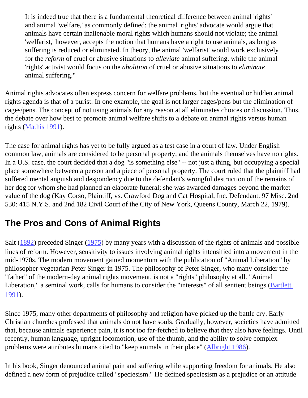It is indeed true that there is a fundamental theoretical difference between animal 'rights' and animal 'welfare,' as commonly defined: the animal 'rights' advocate would argue that animals have certain inalienable moral rights which humans should not violate; the animal 'welfarist,' however, accepts the notion that humans have a right to use animals, as long as suffering is reduced or eliminated. In theory, the animal 'welfarist' would work exclusively for the *reform* of cruel or abusive situations to *alleviate* animal suffering, while the animal 'rights' activist would focus on the *abolition* of cruel or abusive situations to *eliminate* animal suffering."

Animal rights advocates often express concern for welfare problems, but the eventual or hidden animal rights agenda is that of a purist. In one example, the goal is not larger cages/pens but the elimination of cages/pens. The concept of not using animals for any reason at all eliminates choices or discussion. Thus, the debate over how best to promote animal welfare shifts to a debate on animal rights versus human rights ([Mathis 1991\)](#page-18-9).

The case for animal rights has yet to be fully argued as a test case in a court of law. Under English common law, animals are considered to be personal property, and the animals themselves have no rights. In a U.S. case, the court decided that a dog "is something else" -- not just a thing, but occupying a special place somewhere between a person and a piece of personal property. The court ruled that the plaintiff had suffered mental anguish and despondency due to the defendant's wrongful destruction of the remains of her dog for whom she had planned an elaborate funeral; she was awarded damages beyond the market value of the dog (Kay Corso, Plaintiff, vs. Crawford Dog and Cat Hospital, Inc. Defendant. 97 Misc. 2nd 530: 415 N.Y.S. and 2nd 182 Civil Court of the City of New York, Queens County, March 22, 1979).

## **The Pros and Cons of Animal Rights**

Salt ([1892](#page-18-10)) preceded Singer ([1975](#page-18-5)) by many years with a discussion of the rights of animals and possible lines of reform. However, sensitivity to issues involving animal rights intensified into a movement in the mid-1970s. The modern movement gained momentum with the publication of "Animal Liberation" by philosopher-vegetarian Peter Singer in 1975. The philosophy of Peter Singer, who many consider the "father" of the modern-day animal rights movement, is not a "rights" philosophy at all. "Animal Liberation," a seminal work, calls for humans to consider the "interests" of all sentient beings ([Bartlett](#page-16-5)) [1991\)](#page-16-5).

Since 1975, many other departments of philosophy and religion have picked up the battle cry. Early Christian churches professed that animals do not have souls. Gradually, however, societies have admitted that, because animals experience pain, it is not too far-fetched to believe that they also have feelings. Until recently, human language, upright locomotion, use of the thumb, and the ability to solve complex problems were attributes humans cited to "keep animals in their place" ([Albright 1986](#page-16-4)).

In his book, Singer denounced animal pain and suffering while supporting freedom for animals. He also defined a new form of prejudice called "speciesism." He defined speciesism as a prejudice or an attitude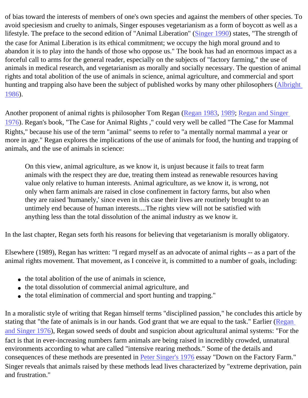of bias toward the interests of members of one's own species and against the members of other species. To avoid speciesism and cruelty to animals, Singer espouses vegetarianism as a form of boycott as well as a lifestyle. The preface to the second edition of "Animal Liberation" ([Singer 1990](#page-19-1)) states, "The strength of the case for Animal Liberation is its ethical commitment; we occupy the high moral ground and to abandon it is to play into the hands of those who oppose us." The book has had an enormous impact as a forceful call to arms for the general reader, especially on the subjects of "factory farming," the use of animals in medical research, and vegetarianism as morally and socially necessary. The question of animal rights and total abolition of the use of animals in science, animal agriculture, and commercial and sport hunting and trapping also have been the subject of published works by many other philosophers ([Albright](#page-16-4)  [1986\)](#page-16-4).

Another proponent of animal rights is philosopher Tom Regan [\(Regan 1983](#page-18-4), [1989;](#page-18-11) [Regan and Singer](#page-18-12) [1976\)](#page-18-12). Regan's book, "The Case for Animal Rights ," could very well be called "The Case for Mammal Rights," because his use of the term "animal" seems to refer to "a mentally normal mammal a year or more in age." Regan explores the implications of the use of animals for food, the hunting and trapping of animals, and the use of animals in science:

On this view, animal agriculture, as we know it, is unjust because it fails to treat farm animals with the respect they are due, treating them instead as renewable resources having value only relative to human interests. Animal agriculture, as we know it, is wrong, not only when farm animals are raised in close confinement in factory farms, but also when they are raised 'humanely,' since even in this case their lives are routinely brought to an untimely end because of human interests....The rights view will not be satisfied with anything less than the total dissolution of the animal industry as we know it.

In the last chapter, Regan sets forth his reasons for believing that vegetarianism is morally obligatory.

Elsewhere (1989), Regan has written: "I regard myself as an advocate of animal rights -- as a part of the animal rights movement. That movement, as I conceive it, is committed to a number of goals, including:

- $\bullet$  the total abolition of the use of animals in science,
- the total dissolution of commercial animal agriculture, and
- the total elimination of commercial and sport hunting and trapping."

In a moralistic style of writing that Regan himself terms "disciplined passion," he concludes this article by stating that "the fate of animals is in our hands. God grant that we are equal to the task." Earlier ([Regan](#page-18-12) [and Singer 1976](#page-18-12)), Regan sowed seeds of doubt and suspicion about agricultural animal systems: "For the fact is that in ever-increasing numbers farm animals are being raised in incredibly crowded, unnatural environments according to what are called "intensive rearing methods." Some of the details and consequences of these methods are presented in [Peter Singer's 1976](#page-18-13) essay "Down on the Factory Farm." Singer reveals that animals raised by these methods lead lives characterized by "extreme deprivation, pain and frustration."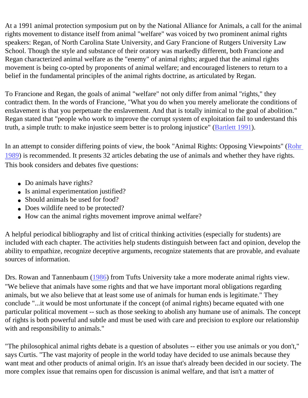At a 1991 animal protection symposium put on by the National Alliance for Animals, a call for the animal rights movement to distance itself from animal "welfare" was voiced by two prominent animal rights speakers: Regan, of North Carolina State University, and Gary Francione of Rutgers University Law School. Though the style and substance of their oratory was markedly different, both Francione and Regan characterized animal welfare as the "enemy" of animal rights; argued that the animal rights movement is being co-opted by proponents of animal welfare; and encouraged listeners to return to a belief in the fundamental principles of the animal rights doctrine, as articulated by Regan.

To Francione and Regan, the goals of animal "welfare" not only differ from animal "rights," they contradict them. In the words of Francione, "What you do when you merely ameliorate the conditions of enslavement is that you perpetuate the enslavement. And that is totally inimical to the goal of abolition." Regan stated that "people who work to improve the corrupt system of exploitation fail to understand this truth, a simple truth: to make injustice seem better is to prolong injustice" [\(Bartlett 1991](#page-16-5)).

In an attempt to consider differing points of view, the book "Animal Rights: Opposing Viewpoints" (Rohr [1989\)](#page-18-14) is recommended. It presents 32 articles debating the use of animals and whether they have rights. This book considers and debates five questions:

- Do animals have rights?
- Is animal experimentation justified?
- Should animals be used for food?
- Does wildlife need to be protected?
- How can the animal rights movement improve animal welfare?

A helpful periodical bibliography and list of critical thinking activities (especially for students) are included with each chapter. The activities help students distinguish between fact and opinion, develop the ability to empathize, recognize deceptive arguments, recognize statements that are provable, and evaluate sources of information.

Drs. Rowan and Tannenbaum ([1986\)](#page-18-15) from Tufts University take a more moderate animal rights view. "We believe that animals have some rights and that we have important moral obligations regarding animals, but we also believe that at least some use of animals for human ends is legitimate." They conclude "...it would be most unfortunate if the concept (of animal rights) became equated with one particular political movement -- such as those seeking to abolish any humane use of animals. The concept of rights is both powerful and subtle and must be used with care and precision to explore our relationship with and responsibility to animals."

"The philosophical animal rights debate is a question of absolutes -- either you use animals or you don't," says Curtis. "The vast majority of people in the world today have decided to use animals because they want meat and other products of animal origin. It's an issue that's already been decided in our society. The more complex issue that remains open for discussion is animal welfare, and that isn't a matter of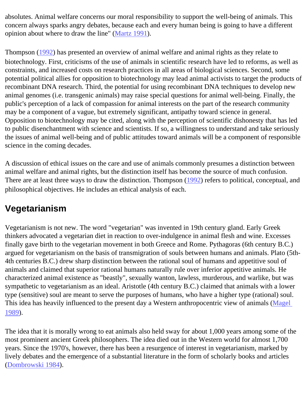absolutes. Animal welfare concerns our moral responsibility to support the well-being of animals. This concern always sparks angry debates, because each and every human being is going to have a different opinion about where to draw the line" [\(Martz 1991\)](#page-18-2).

Thompson [\(1992](#page-19-3)) has presented an overview of animal welfare and animal rights as they relate to biotechnology. First, criticisms of the use of animals in scientific research have led to reforms, as well as constraints, and increased costs on research practices in all areas of biological sciences. Second, some potential political allies for opposition to biotechnology may lead animal activists to target the products of recombinant DNA research. Third, the potential for using recombinant DNA techniques to develop new animal genomes (i.e. transgenic animals) may raise special questions for animal well-being. Finally, the public's perception of a lack of compassion for animal interests on the part of the research community may be a component of a vague, but extremely significant, antipathy toward science in general. Opposition to biotechnology may be cited, along with the perception of scientific dishonesty that has led to public disenchantment with science and scientists. If so, a willingness to understand and take seriously the issues of animal well-being and of public attitudes toward animals will be a component of responsible science in the coming decades.

A discussion of ethical issues on the care and use of animals commonly presumes a distinction between animal welfare and animal rights, but the distinction itself has become the source of much confusion. There are at least three ways to draw the distinction. Thompson [\(1992\)](#page-19-3) refers to political, conceptual, and philosophical objectives. He includes an ethical analysis of each.

## **Vegetarianism**

Vegetarianism is not new. The word "vegetarian" was invented in 19th century gland. Early Greek thinkers advocated a vegetarian diet in reaction to over-indulgence in animal flesh and wine. Excesses finally gave birth to the vegetarian movement in both Greece and Rome. Pythagoras (6th century B.C.) argued for vegetarianism on the basis of transmigration of souls between humans and animals. Plato (5th-4th centuries B.C.) drew sharp distinction between the rational soul of humans and appetitive soul of animals and claimed that superior rational humans naturally rule over inferior appetitive animals. He characterized animal existence as "beastly", sexually wanton, lawless, murderous, and warlike, but was sympathetic to vegetarianism as an ideal. Aristotle (4th century B.C.) claimed that animals with a lower type (sensitive) soul are meant to serve the purposes of humans, who have a higher type (rational) soul. This idea has heavily influenced to the present day a Western anthropocentric view of animals [\(Magel](#page-18-16)  [1989\)](#page-18-16).

The idea that it is morally wrong to eat animals also held sway for about 1,000 years among some of the most prominent ancient Greek philosophers. The idea died out in the Western world for almost 1,700 years. Since the 1970's, however, there has been a resurgence of interest in vegetarianism, marked by lively debates and the emergence of a substantial literature in the form of scholarly books and articles ([Dombrowski 1984](#page-17-14)).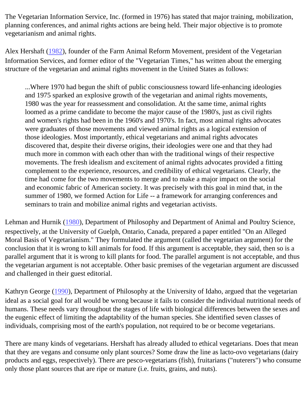The Vegetarian Information Service, Inc. (formed in 1976) has stated that major training, mobilization, planning conferences, and animal rights actions are being held. Their major objective is to promote vegetarianism and animal rights.

Alex Hershaft [\(1982](#page-17-15)), founder of the Farm Animal Reform Movement, president of the Vegetarian Information Services, and former editor of the "Vegetarian Times," has written about the emerging structure of the vegetarian and animal rights movement in the United States as follows:

...Where 1970 had begun the shift of public consciousness toward life-enhancing ideologies and 1975 sparked an explosive growth of the vegetarian and animal rights movements, 1980 was the year for reassessment and consolidation. At the same time, animal rights loomed as a prime candidate to become the major cause of the 1980's, just as civil rights and women's rights had been in the 1960's and 1970's. In fact, most animal rights advocates were graduates of those movements and viewed animal rights as a logical extension of those ideologies. Most importantly, ethical vegetarians and animal rights advocates discovered that, despite their diverse origins, their ideologies were one and that they had much more in common with each other than with the traditional wings of their respective movements. The fresh idealism and excitement of animal rights advocates provided a fitting complement to the experience, resources, and credibility of ethical vegetarians. Clearly, the time had come for the two movements to merge and to make a major impact on the social and economic fabric of American society. It was precisely with this goal in mind that, in the summer of 1980, we formed Action for Life -- a framework for arranging conferences and seminars to train and mobilize animal rights and vegetarian activists.

Lehman and Hurnik ([1980\)](#page-18-17), Department of Philosophy and Department of Animal and Poultry Science, respectively, at the University of Guelph, Ontario, Canada, prepared a paper entitled "On an Alleged Moral Basis of Vegetarianism." They formulated the argument (called the vegetarian argument) for the conclusion that it is wrong to kill animals for food. If this argument is acceptable, they said, then so is a parallel argument that it is wrong to kill plants for food. The parallel argument is not acceptable, and thus the vegetarian argument is not acceptable. Other basic premises of the vegetarian argument are discussed and challenged in their guest editorial.

Kathryn George ([1990\)](#page-17-16), Department of Philosophy at the University of Idaho, argued that the vegetarian ideal as a social goal for all would be wrong because it fails to consider the individual nutritional needs of humans. These needs vary throughout the stages of life with biological differences between the sexes and the eugenic effect of limiting the adaptability of the human species. She identified seven classes of individuals, comprising most of the earth's population, not required to be or become vegetarians.

There are many kinds of vegetarians. Hershaft has already alluded to ethical vegetarians. Does that mean that they are vegans and consume only plant sources? Some draw the line as lacto-ovo vegetarians (dairy products and eggs, respectively). There are pesco-vegetarians (fish), fruitarians ("nuterers") who consume only those plant sources that are ripe or mature (i.e. fruits, grains, and nuts).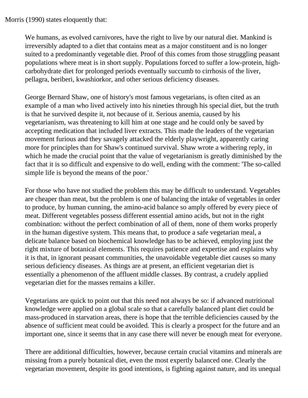Morris (1990) states eloquently that:

We humans, as evolved carnivores, have the right to live by our natural diet. Mankind is irreversibly adapted to a diet that contains meat as a major constituent and is no longer suited to a predominantly vegetable diet. Proof of this comes from those struggling peasant populations where meat is in short supply. Populations forced to suffer a low-protein, highcarbohydrate diet for prolonged periods eventually succumb to cirrhosis of the liver, pellagra, beriberi, kwashiorkor, and other serious deficiency diseases.

George Bernard Shaw, one of history's most famous vegetarians, is often cited as an example of a man who lived actively into his nineties through his special diet, but the truth is that he survived despite it, not because of it. Serious anemia, caused by his vegetarianism, was threatening to kill him at one stage and he could only be saved by accepting medication that included liver extracts. This made the leaders of the vegetarian movement furious and they savagely attacked the elderly playwright, apparently caring more for principles than for Shaw's continued survival. Shaw wrote a withering reply, in which he made the crucial point that the value of vegetarianism is greatly diminished by the fact that it is so difficult and expensive to do well, ending with the comment: 'The so-called simple life is beyond the means of the poor.'

For those who have not studied the problem this may be difficult to understand. Vegetables are cheaper than meat, but the problem is one of balancing the intake of vegetables in order to produce, by human cunning, the amino-acid balance so amply offered by every piece of meat. Different vegetables possess different essential amino acids, but not in the right combination: without the perfect combination of all of them, none of them works properly in the human digestive system. This means that, to produce a safe vegetarian meal, a delicate balance based on biochemical knowledge has to be achieved, employing just the right mixture of botanical elements. This requires patience and expertise and explains why it is that, in ignorant peasant communities, the unavoidable vegetable diet causes so many serious deficiency diseases. As things are at present, an efficient vegetarian diet is essentially a phenomenon of the affluent middle classes. By contrast, a crudely applied vegetarian diet for the masses remains a killer.

Vegetarians are quick to point out that this need not always be so: if advanced nutritional knowledge were applied on a global scale so that a carefully balanced plant diet could be mass-produced in starvation areas, there is hope that the terrible deficiencies caused by the absence of sufficient meat could be avoided. This is clearly a prospect for the future and an important one, since it seems that in any case there will never be enough meat for everyone.

There are additional difficulties, however, because certain crucial vitamins and minerals are missing from a purely botanical diet, even the most expertly balanced one. Clearly the vegetarian movement, despite its good intentions, is fighting against nature, and its unequal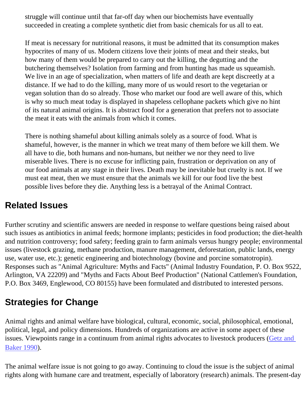struggle will continue until that far-off day when our biochemists have eventually succeeded in creating a complete synthetic diet from basic chemicals for us all to eat.

If meat is necessary for nutritional reasons, it must be admitted that its consumption makes hypocrites of many of us. Modern citizens love their joints of meat and their steaks, but how many of them would be prepared to carry out the killing, the degutting and the butchering themselves? Isolation from farming and from hunting has made us squeamish. We live in an age of specialization, when matters of life and death are kept discreetly at a distance. If we had to do the killing, many more of us would resort to the vegetarian or vegan solution than do so already. Those who market our food are well aware of this, which is why so much meat today is displayed in shapeless cellophane packets which give no hint of its natural animal origins. It is abstract food for a generation that prefers not to associate the meat it eats with the animals from which it comes.

There is nothing shameful about killing animals solely as a source of food. What is shameful, however, is the manner in which we treat many of them before we kill them. We all have to die, both humans and non-humans, but neither we nor they need to live miserable lives. There is no excuse for inflicting pain, frustration or deprivation on any of our food animals at any stage in their lives. Death may be inevitable but cruelty is not. If we must eat meat, then we must ensure that the animals we kill for our food live the best possible lives before they die. Anything less is a betrayal of the Animal Contract.

### **Related Issues**

Further scrutiny and scientific answers are needed in response to welfare questions being raised about such issues as antibiotics in animal feeds; hormone implants; pesticides in food production; the diet-health and nutrition controversy; food safety; feeding grain to farm animals versus hungry people; environmental issues (livestock grazing, methane production, manure management, deforestation, public lands, energy use, water use, etc.); genetic engineering and biotechnology (bovine and porcine somatotropin). Responses such as "Animal Agriculture: Myths and Facts" (Animal Industry Foundation, P. O. Box 9522, Arlington, VA 22209) and "Myths and Facts About Beef Production" (National Cattlemen's Foundation, P.O. Box 3469, Englewood, CO 80155) have been formulated and distributed to interested persons.

### **Strategies for Change**

Animal rights and animal welfare have biological, cultural, economic, social, philosophical, emotional, political, legal, and policy dimensions. Hundreds of organizations are active in some aspect of these issues. Viewpoints range in a continuum from animal rights advocates to livestock producers ([Getz and](#page-17-17)  [Baker 1990](#page-17-17)).

The animal welfare issue is not going to go away. Continuing to cloud the issue is the subject of animal rights along with humane care and treatment, especially of laboratory (research) animals. The present-day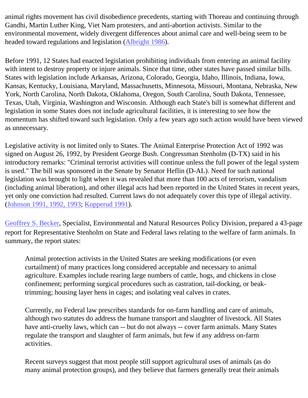animal rights movement has civil disobedience precedents, starting with Thoreau and continuing through Gandhi, Martin Luther King, Viet Nam protesters, and anti-abortion activists. Similar to the environmental movement, widely divergent differences about animal care and well-being seem to be headed toward regulations and legislation ([Albright 1986\)](#page-16-4).

Before 1991, 12 States had enacted legislation prohibiting individuals from entering an animal facility with intent to destroy property or injure animals. Since that time, other states have passed similar bills. States with legislation include Arkansas, Arizona, Colorado, Georgia, Idaho, Illinois, Indiana, Iowa, Kansas, Kentucky, Louisiana, Maryland, Massachusetts, Minnesota, Missouri, Montana, Nebraska, New York, North Carolina, North Dakota, Oklahoma, Oregon, South Carolina, South Dakota, Tennessee, Texas, Utah, Virginia, Washington and Wisconsin. Although each State's bill is somewhat different and legislation in some States does not include agricultural facilities, it is interesting to see how the momentum has shifted toward such legislation. Only a few years ago such action would have been viewed as unnecessary.

Legislative activity is not limited only to States. The Animal Enterprise Protection Act of 1992 was signed on August 26, 1992, by President George Bush. Congressman Stenholm (D-TX) said in his introductory remarks: "Criminal terrorist activities will continue unless the full power of the legal system is used." The bill was sponsored in the Senate by Senator Heflin (D-AL). Need for such national legislation was brought to light when it was revealed that more than 100 acts of terrorism, vandalism (including animal liberation), and other illegal acts had been reported in the United States in recent years, yet only one conviction had resulted. Current laws do not adequately cover this type of illegal activity. ([Johnson 1991, 1992, 1993;](#page-17-18) [Kopperud 1991](#page-18-18)).

[Geoffrey S. Becker,](#page-16-6) Specialist, Environmental and Natural Resources Policy Division, prepared a 43-page report for Representative Stenholm on State and Federal laws relating to the welfare of farm animals. In summary, the report states:

Animal protection activists in the United States are seeking modifications (or even curtailment) of many practices long considered acceptable and necessary to animal agriculture. Examples include rearing large numbers of cattle, hogs, and chickens in close confinement; performing surgical procedures such as castration, tail-docking, or beaktrimming; housing layer hens in cages; and isolating veal calves in crates.

Currently, no Federal law prescribes standards for on-farm handling and care of animals, although two statutes do address the humane transport and slaughter of livestock. All States have anti-cruelty laws, which can -- but do not always -- cover farm animals. Many States regulate the transport and slaughter of farm animals, but few if any address on-farm activities.

Recent surveys suggest that most people still support agricultural uses of animals (as do many animal protection groups), and they believe that farmers generally treat their animals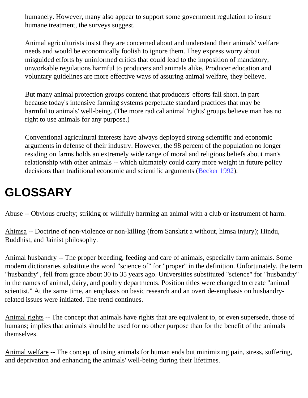humanely. However, many also appear to support some government regulation to insure humane treatment, the surveys suggest.

Animal agriculturists insist they are concerned about and understand their animals' welfare needs and would be economically foolish to ignore them. They express worry about misguided efforts by uninformed critics that could lead to the imposition of mandatory, unworkable regulations harmful to producers and animals alike. Producer education and voluntary guidelines are more effective ways of assuring animal welfare, they believe.

But many animal protection groups contend that producers' efforts fall short, in part because today's intensive farming systems perpetuate standard practices that may be harmful to animals' well-being. (The more radical animal 'rights' groups believe man has no right to use animals for any purpose.)

Conventional agricultural interests have always deployed strong scientific and economic arguments in defense of their industry. However, the 98 percent of the population no longer residing on farms holds an extremely wide range of moral and religious beliefs about man's relationship with other animals -- which ultimately could carry more weight in future policy decisions than traditional economic and scientific arguments [\(Becker 1992\)](#page-16-6).

## **GLOSSARY**

Abuse -- Obvious cruelty; striking or willfully harming an animal with a club or instrument of harm.

Ahimsa -- Doctrine of non-violence or non-killing (from Sanskrit a without, himsa injury); Hindu, Buddhist, and Jainist philosophy.

Animal husbandry -- The proper breeding, feeding and care of animals, especially farm animals. Some modern dictionaries substitute the word "science of" for "proper" in the definition. Unfortunately, the term "husbandry", fell from grace about 30 to 35 years ago. Universities substituted "science" for "husbandry" in the names of animal, dairy, and poultry departments. Position titles were changed to create "animal scientist." At the same time, an emphasis on basic research and an overt de-emphasis on husbandryrelated issues were initiated. The trend continues.

Animal rights -- The concept that animals have rights that are equivalent to, or even supersede, those of humans; implies that animals should be used for no other purpose than for the benefit of the animals themselves.

Animal welfare -- The concept of using animals for human ends but minimizing pain, stress, suffering, and deprivation and enhancing the animals' well-being during their lifetimes.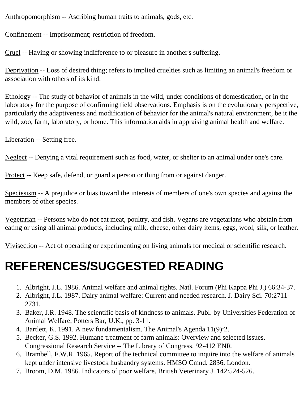Anthropomorphism -- Ascribing human traits to animals, gods, etc.

Confinement -- Imprisonment; restriction of freedom.

Cruel -- Having or showing indifference to or pleasure in another's suffering.

Deprivation -- Loss of desired thing; refers to implied cruelties such as limiting an animal's freedom or association with others of its kind.

Ethology -- The study of behavior of animals in the wild, under conditions of domestication, or in the laboratory for the purpose of confirming field observations. Emphasis is on the evolutionary perspective, particularly the adaptiveness and modification of behavior for the animal's natural environment, be it the wild, zoo, farm, laboratory, or home. This information aids in appraising animal health and welfare.

Liberation -- Setting free.

Neglect -- Denying a vital requirement such as food, water, or shelter to an animal under one's care.

Protect -- Keep safe, defend, or guard a person or thing from or against danger.

Speciesism -- A prejudice or bias toward the interests of members of one's own species and against the members of other species.

Vegetarian -- Persons who do not eat meat, poultry, and fish. Vegans are vegetarians who abstain from eating or using all animal products, including milk, cheese, other dairy items, eggs, wool, silk, or leather.

Vivisection -- Act of operating or experimenting on living animals for medical or scientific research.

# <span id="page-16-4"></span>**REFERENCES/SUGGESTED READING**

- 1. Albright, J.L. 1986. Animal welfare and animal rights. Natl. Forum (Phi Kappa Phi J.) 66:34-37.
- <span id="page-16-3"></span>2. Albright, J.L. 1987. Dairy animal welfare: Current and needed research. J. Dairy Sci. 70:2711- 2731.
- 3. Baker, J.R. 1948. The scientific basis of kindness to animals. Publ. by Universities Federation of Animal Welfare, Potters Bar, U.K., pp. 3-11.
- <span id="page-16-5"></span>4. Bartlett, K. 1991. A new fundamentalism. The Animal's Agenda 11(9):2.
- <span id="page-16-6"></span>5. Becker, G.S. 1992. Humane treatment of farm animals: Overview and selected issues. Congressional Research Service -- The Library of Congress. 92-412 ENR.
- <span id="page-16-0"></span>6. Brambell, F.W.R. 1965. Report of the technical committee to inquire into the welfare of animals kept under intensive livestock husbandry systems. HMSO Cmnd. 2836, London.
- <span id="page-16-2"></span><span id="page-16-1"></span>7. Broom, D.M. 1986. Indicators of poor welfare. British Veterinary J. 142:524-526.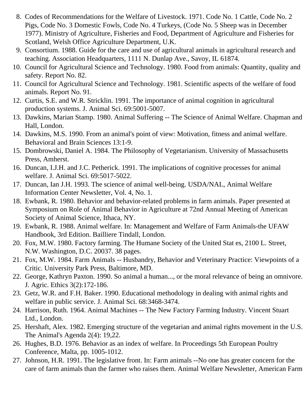- 8. Codes of Recommendations for the Welfare of Livestock. 1971. Code No. 1 Cattle, Code No. 2 Pigs, Code No. 3 Domestic Fowls, Code No. 4 Turkeys, (Code No. 5 Sheep was in December 1977). Ministry of Agriculture, Fisheries and Food, Department of Agriculture and Fisheries for Scotland, Welsh Office Agriculture Department, U.K.
- <span id="page-17-4"></span>9. Consortium. 1988. Guide for the care and use of agricultural animals in agricultural research and teaching. Association Headquarters, 1111 N. Dunlap Ave., Savoy, IL 61874.
- <span id="page-17-1"></span>10. Council for Agricultural Science and Technology. 1980. Food from animals: Quantity, quality and safety. Report No. 82.
- <span id="page-17-0"></span>11. Council for Agricultural Science and Technology. 1981. Scientific aspects of the welfare of food animals. Report No. 91.
- <span id="page-17-6"></span>12. Curtis, S.E. and W.R. Stricklin. 1991. The importance of animal cognition in agricultural production systems. J. Animal Sci. 69:5001-5007.
- <span id="page-17-10"></span>13. Dawkins, Marian Stamp. 1980. Animal Suffering -- The Science of Animal Welfare. Chapman and Hall, London.
- <span id="page-17-8"></span>14. Dawkins, M.S. 1990. From an animal's point of view: Motivation, fitness and animal welfare. Behavioral and Brain Sciences 13:1-9.
- <span id="page-17-14"></span>15. Dombrowski, Daniel A. 1984. The Philosophy of Vegetarianism. University of Massachusetts Press, Amherst.
- <span id="page-17-7"></span>16. Duncan, I.J.H. and J.C. Petherick. 1991. The implications of cognitive processes for animal welfare. J. Animal Sci. 69:5017-5022.
- <span id="page-17-9"></span>17. Duncan, Ian J.H. 1993. The science of animal well-being. USDA/NAL, Animal Welfare Information Center Newsletter, Vol. 4, No. 1.
- <span id="page-17-5"></span>18. Ewbank, R. 1980. Behavior and behavior-related problems in farm animals. Paper presented at Symposium on Role of Animal Behavior in Agriculture at 72nd Annual Meeting of American Society of Animal Science, Ithaca, NY.
- <span id="page-17-3"></span>19. Ewbank, R. 1988. Animal welfare. In: Management and Welfare of Farm Animals-the UFAW Handbook, 3rd Edition. Bailliere Tindall, London.
- <span id="page-17-11"></span>20. Fox, M.W. 1980. Factory farming. The Humane Society of the United Stat es, 2100 L. Street, N.W. Washington, D.C. 20037. 38 pages.
- <span id="page-17-12"></span>21. Fox, M.W. 1984. Farm Animals -- Husbandry, Behavior and Veterinary Practice: Viewpoints of a Critic. University Park Press, Baltimore, MD.
- <span id="page-17-16"></span>22. George, Kathryn Paxton. 1990. So animal a human..., or the moral relevance of being an omnivore. J. Agric. Ethics 3(2):172-186.
- <span id="page-17-17"></span>23. Getz, W.R. and F.H. Baker. 1990. Educational methodology in dealing with animal rights and welfare in public service. J. Animal Sci. 68:3468-3474.
- <span id="page-17-2"></span>24. Harrison, Ruth. 1964. Animal Machines -- The New Factory Farming Industry. Vincent Stuart Ltd., London.
- <span id="page-17-15"></span>25. Hershaft, Alex. 1982. Emerging structure of the vegetarian and animal rights movement in the U.S. The Animal's Agenda 2(4): 19,22.
- <span id="page-17-13"></span>26. Hughes, B.D. 1976. Behavior as an index of welfare. In Proceedings 5th European Poultry Conference, Malta, pp. 1005-1012.
- <span id="page-17-18"></span>27. Johnson, H.R. 1991. The legislative front. In: Farm animals --No one has greater concern for the care of farm animals than the farmer who raises them. Animal Welfare Newsletter, American Farm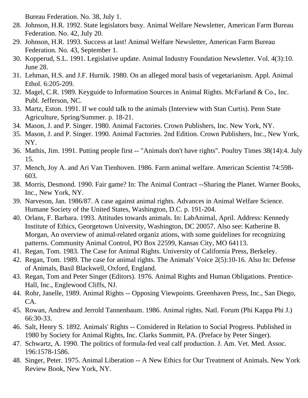Bureau Federation. No. 38, July 1.

- 28. Johnson, H.R. 1992. State legislators busy. Animal Welfare Newsletter, American Farm Bureau Federation. No. 42, July 20.
- 29. Johnson, H.R. 1993. Success at last! Animal Welfare Newsletter, American Farm Bureau Federation. No. 43, September 1.
- <span id="page-18-18"></span>30. Kopperud, S.L. 1991. Legislative update. Animal Industry Foundation Newsletter. Vol. 4(3):10. June 28.
- <span id="page-18-17"></span>31. Lehman, H.S. and J.F. Hurnik. 1980. On an alleged moral basis of vegetarianism. Appl. Animal Ethol. 6:205-209.
- <span id="page-18-16"></span>32. Magel, C.R. 1989. Keyguide to Information Sources in Animal Rights. McFarland & Co., Inc. Publ. Jefferson, NC.
- <span id="page-18-2"></span>33. Martz, Eston. 1991. If we could talk to the animals (Interview with Stan Curtis). Penn State Agriculture, Spring/Summer. p. 18-21.
- <span id="page-18-6"></span>34. Mason, J. and P. Singer. 1980. Animal Factories. Crown Publishers, Inc. New York, NY.
- <span id="page-18-7"></span>35. Mason, J. and P. Singer. 1990. Animal Factories. 2nd Edition. Crown Publishers, Inc., New York, NY.
- <span id="page-18-9"></span>36. Mathis, Jim. 1991. Putting people first -- "Animals don't have rights". Poultry Times 38(14):4. July 15.
- <span id="page-18-0"></span>37. Mench, Joy A. and Ari Van Tienhoven. 1986. Farm animal welfare. American Scientist 74:598- 603.
- 38. Morris, Desmond. 1990. Fair game? In: The Animal Contract --Sharing the Planet. Warner Books, Inc., New York, NY.
- <span id="page-18-3"></span>39. Narveson, Jan. 1986/87. A case against animal rights. Advances in Animal Welfare Science. Humane Society of the United States, Washington, D.C. p. 191-204.
- <span id="page-18-8"></span>40. Orlans, F. Barbara. 1993. Attitudes towards animals. In: LabAnimal, April. Address: Kennedy Institute of Ethics, Georgetown University, Washington, DC 20057. Also see: Katherine B. Morgan, An overview of animal-related organiz ations, with some guidelines for recognizing patterns. Community Animal Control, PO Box 22599, Kansas City, MO 64113.
- <span id="page-18-4"></span>41. Regan, Tom. 1983. The Case for Animal Rights. University of California Press, Berkeley.
- <span id="page-18-11"></span>42. Regan, Tom. 1989. The case for animal rights. The Animals' Voice 2(5):10-16. Also In: Defense of Animals, Basil Blackwell, Oxford, England.
- <span id="page-18-12"></span>43. Regan, Tom and Peter Singer (Editors). 1976. Animal Rights and Human Obligations. Prentice-Hall, Inc., Englewood Cliffs, NJ.
- <span id="page-18-14"></span>44. Rohr, Janelle, 1989. Animal Rights -- Opposing Viewpoints. Greenhaven Press, Inc., San Diego, CA.
- <span id="page-18-15"></span>45. Rowan, Andrew and Jerrold Tannenbaum. 1986. Animal rights. Natl. Forum (Phi Kappa Phi J.) 66:30-33.
- <span id="page-18-10"></span>46. Salt, Henry S. 1892. Animals' Rights -- Considered in Relation to Social Progress. Published in 1980 by Society for Animal Rights, Inc. Clarks Summitt, PA. (Preface by Peter Singer).
- <span id="page-18-1"></span>47. Schwartz, A. 1990. The politics of formula-fed veal calf production. J. Am. Vet. Med. Assoc. 196:1578-1586.
- <span id="page-18-13"></span><span id="page-18-5"></span>48. Singer, Peter. 1975. Animal Liberation -- A New Ethics for Our Treatment of Animals. New York Review Book, New York, NY.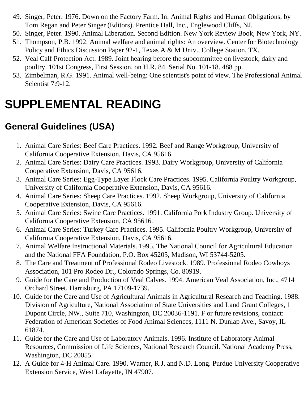- 49. Singer, Peter. 1976. Down on the Factory Farm. In: Animal Rights and Human Obligations, by Tom Regan and Peter Singer (Editors). Prentice Hall, Inc., Englewood Cliffs, NJ.
- <span id="page-19-1"></span>50. Singer, Peter. 1990. Animal Liberation. Second Edition. New York Review Book, New York, NY.
- <span id="page-19-3"></span>51. Thompson, P.B. 1992. Animal welfare and animal rights: An overview. Center for Biotechnology Policy and Ethics Discussion Paper 92-1, Texas A & M Univ., College Station, TX.
- <span id="page-19-0"></span>52. Veal Calf Protection Act. 1989. Joint hearing before the subcommittee on livestock, dairy and poultry. 101st Congress, First Session, on H.R. 84. Serial No. 101-18. 488 pp.
- <span id="page-19-2"></span>53. Zimbelman, R.G. 1991. Animal well-being: One scientist's point of view. The Professional Animal Scientist 7:9-12.

# **SUPPLEMENTAL READING**

## **General Guidelines (USA)**

- 1. Animal Care Series: Beef Care Practices. 1992. Beef and Range Workgroup, University of California Cooperative Extension, Davis, CA 95616.
- 2. Animal Care Series: Dairy Care Practices. 1993. Dairy Workgroup, University of California Cooperative Extension, Davis, CA 95616.
- 3. Animal Care Series: Egg-Type Layer Flock Care Practices. 1995. California Poultry Workgroup, University of California Cooperative Extension, Davis, CA 95616.
- 4. Animal Care Series: Sheep Care Practices. 1992. Sheep Workgroup, University of California Cooperative Extension, Davis, CA 95616.
- 5. Animal Care Series: Swine Care Practices. 1991. California Pork Industry Group. University of California Cooperative Extension, CA 95616.
- 6. Animal Care Series: Turkey Care Practices. 1995. California Poultry Workgroup, University of California Cooperative Extension, Davis, CA 95616.
- 7. Animal Welfare Instructional Materials. 1995. The National Council for Agricultural Education and the National FFA Foundation, P.O. Box 45205, Madison, WI 53744-5205.
- 8. The Care and Treatment of Professional Rodeo Livestock. 1989. Professional Rodeo Cowboys Association, 101 Pro Rodeo Dr., Colorado Springs, Co. 80919.
- 9. Guide for the Care and Production of Veal Calves. 1994. American Veal Association, Inc., 4714 Orchard Street, Harrisburg, PA 17109-1739.
- 10. Guide for the Care and Use of Agricultural Animals in Agricultural Research and Teaching. 1988. Division of Agriculture, National Association of State Universities and Land Grant Colleges, 1 Dupont Circle, NW., Suite 710, Washington, DC 20036-1191. F or future revisions, contact: Federation of American Societies of Food Animal Sciences, 1111 N. Dunlap Ave., Savoy, IL 61874.
- 11. Guide for the Care and Use of Laboratory Animals. 1996. Institute of Laboratory Animal Resources, Commission of Life Sciences, National Research Council. National Academy Press, Washington, DC 20055.
- 12. A Guide for 4-H Animal Care. 1990. Warner, R.J. and N.D. Long. Purdue University Cooperative Extension Service, West Lafayette, IN 47907.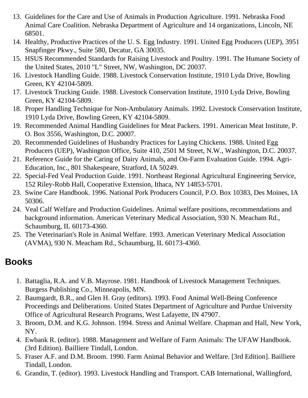- 13. Guidelines for the Care and Use of Animals in Production Agriculture. 1991. Nebraska Food Animal Care Coalition. Nebraska Department of Agriculture and 14 organizations, Lincoln, NE 68501.
- 14. Healthy, Productive Practices of the U. S. Egg Industry. 1991. United Egg Producers (UEP), 3951 Snapfinger Pkwy., Suite 580, Decatur, GA 30035.
- 15. HSUS Recommended Standards for Raising Livestock and Poultry. 1991. The Humane Society of the United States, 2010 "L" Street, NW, Washington, DC 20037.
- 16. Livestock Handling Guide. 1988. Livestock Conservation Institute, 1910 Lyda Drive, Bowling Green, KY 42104-5809.
- 17. Livestock Trucking Guide. 1988. Livestock Conservation Institute, 1910 Lyda Drive, Bowling Green, KY 42104-5809.
- 18. Proper Handling Technique for Non-Ambulatory Animals. 1992. Livestock Conservation Institute, 1910 Lyda Drive, Bowling Green, KY 42104-5809.
- 19. Recommended Animal Handling Guidelines for Meat Packers. 1991. American Meat Institute, P. O. Box 3556, Washington, D.C. 20007.
- 20. Recommended Guidelines of Husbandry Practices for Laying Chickens. 1988. United Egg Producers (UEP), Washington Office, Suite 410, 2501 M Street, N.W., Washington, D.C. 20037.
- 21. Reference Guide for the Caring of Dairy Animals, and On-Farm Evaluation Guide. 1994. Agri-Education, Inc., 801 Shakespeare, Stratford, IA 50249.
- 22. Special-Fed Veal Production Guide. 1991. Northeast Regional Agricultural Engineering Service, 152 Riley-Robb Hall, Cooperative Extension, Ithaca, NY 14853-5701.
- 23. Swine Care Handbook. 1996. National Pork Producers Council, P.O. Box 10383, Des Moines, IA 50306.
- 24. Veal Calf Welfare and Production Guidelines. Animal welfare positions, recommendations and background information. American Veterinary Medical Association, 930 N. Meacham Rd., Schaumburg, IL 60173-4360.
- 25. The Veterinarian's Role in Animal Welfare. 1993. American Veterinary Medical Association (AVMA), 930 N. Meacham Rd., Schaumburg, IL 60173-4360.

### **Books**

- 1. Battaglia, R.A. and V.B. Mayrose. 1981. Handbook of Livestock Management Techniques. Burgess Publishing Co., Minneapolis, MN.
- 2. Baumgardt, B.R., and Glen H. Gray (editors). 1993. Food Animal Well-Being Conference Proceedings and Deliberations. United States Department of Agriculture and Purdue University Office of Agricultural Research Programs, West Lafayette, IN 47907.
- 3. Broom, D.M. and K.G. Johnson. 1994. Stress and Animal Welfare. Chapman and Hall, New York, NY.
- 4. Ewbank R. (editor). 1988. Management and Welfare of Farm Animals: The UFAW Handbook. (3rd Edition). Bailliere Tindall, London.
- 5. Fraser A.F. and D.M. Broom. 1990. Farm Animal Behavior and Welfare. [3rd Edition]. Bailliere Tindall, London.
- 6. Grandin, T. (editor). 1993. Livestock Handling and Transport. CAB International, Wallingford,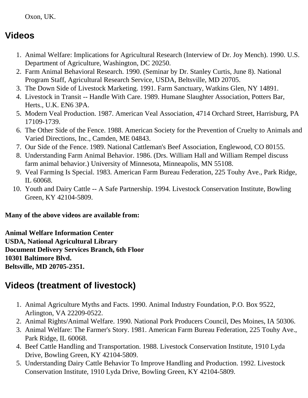Oxon, UK.

### **Videos**

- 1. Animal Welfare: Implications for Agricultural Research (Interview of Dr. Joy Mench). 1990. U.S. Department of Agriculture, Washington, DC 20250.
- 2. Farm Animal Behavioral Research. 1990. (Seminar by Dr. Stanley Curtis, June 8). National Program Staff, Agricultural Research Service, USDA, Beltsville, MD 20705.
- 3. The Down Side of Livestock Marketing. 1991. Farm Sanctuary, Watkins Glen, NY 14891.
- 4. Livestock in Transit -- Handle With Care. 1989. Humane Slaughter Association, Potters Bar, Herts., U.K. EN6 3PA.
- 5. Modern Veal Production. 1987. American Veal Association, 4714 Orchard Street, Harrisburg, PA 17109-1739.
- 6. The Other Side of the Fence. 1988. American Society for the Prevention of Cruelty to Animals and Varied Directions, Inc., Camden, ME 04843.
- 7. Our Side of the Fence. 1989. National Cattleman's Beef Association, Englewood, CO 80155.
- 8. Understanding Farm Animal Behavior. 1986. (Drs. William Hall and William Rempel discuss farm animal behavior.) University of Minnesota, Minneapolis, MN 55108.
- 9. Veal Farming Is Special. 1983. American Farm Bureau Federation, 225 Touhy Ave., Park Ridge, IL 60068.
- 10. Youth and Dairy Cattle -- A Safe Partnership. 1994. Livestock Conservation Institute, Bowling Green, KY 42104-5809.

**Many of the above videos are available from:**

**Animal Welfare Information Center USDA, National Agricultural Library Document Delivery Services Branch, 6th Floor 10301 Baltimore Blvd. Beltsville, MD 20705-2351.**

## **Videos (treatment of livestock)**

- 1. Animal Agriculture Myths and Facts. 1990. Animal Industry Foundation, P.O. Box 9522, Arlington, VA 22209-0522.
- 2. Animal Rights/Animal Welfare. 1990. National Pork Producers Council, Des Moines, IA 50306.
- 3. Animal Welfare: The Farmer's Story. 1981. American Farm Bureau Federation, 225 Touhy Ave., Park Ridge, IL 60068.
- 4. Beef Cattle Handling and Transportation. 1988. Livestock Conservation Institute, 1910 Lyda Drive, Bowling Green, KY 42104-5809.
- 5. Understanding Dairy Cattle Behavior To Improve Handling and Production. 1992. Livestock Conservation Institute, 1910 Lyda Drive, Bowling Green, KY 42104-5809.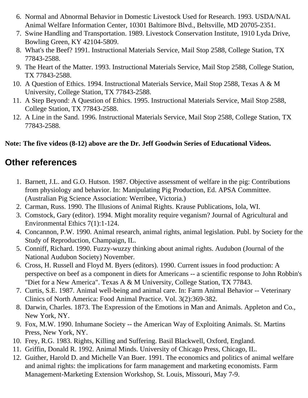- 6. Normal and Abnormal Behavior in Domestic Livestock Used for Research. 1993. USDA/NAL Animal Welfare Information Center, 10301 Baltimore Blvd., Beltsville, MD 20705-2351.
- 7. Swine Handling and Transportation. 1989. Livestock Conservation Institute, 1910 Lyda Drive, Bowling Green, KY 42104-5809.
- 8. What's the Beef? 1991. Instructional Materials Service, Mail Stop 2588, College Station, TX 77843-2588.
- 9. The Heart of the Matter. 1993. Instructional Materials Service, Mail Stop 2588, College Station, TX 77843-2588.
- 10. A Question of Ethics. 1994. Instructional Materials Service, Mail Stop 2588, Texas A & M University, College Station, TX 77843-2588.
- 11. A Step Beyond: A Question of Ethics. 1995. Instructional Materials Service, Mail Stop 2588, College Station, TX 77843-2588.
- 12. A Line in the Sand. 1996. Instructional Materials Service, Mail Stop 2588, College Station, TX 77843-2588.

#### **Note: The five videos (8-12) above are the Dr. Jeff Goodwin Series of Educational Videos.**

#### **Other references**

- 1. Barnett, J.L. and G.O. Hutson. 1987. Objective assessment of welfare in the pig: Contributions from physiology and behavior. In: Manipulating Pig Production, Ed. APSA Committee. (Australian Pig Science Association: Werribee, Victoria.)
- 2. Carman, Russ. 1990. The Illusions of Animal Rights. Krause Publications, Iola, WI.
- 3. Comstock, Gary (editor). 1994. Might morality require veganism? Journal of Agricultural and Environmental Ethics 7(1):1-124.
- 4. Concannon, P.W. 1990. Animal research, animal rights, animal legislation. Publ. by Society for the Study of Reproduction, Champaign, IL.
- 5. Conniff, Richard. 1990. Fuzzy-wuzzy thinking about animal rights. Audubon (Journal of the National Audubon Society) November.
- 6. Cross, H. Russell and Floyd M. Byers (editors). 1990. Current issues in food production: A perspective on beef as a component in diets for Americans -- a scientific response to John Robbin's "Diet for a New America". Texas A & M University, College Station, TX 77843.
- 7. Curtis, S.E. 1987. Animal well-being and animal care. In: Farm Animal Behavior -- Veterinary Clinics of North America: Food Animal Practice. Vol. 3(2):369-382.
- 8. Darwin, Charles. 1873. The Expression of the Emotions in Man and Animals. Appleton and Co., New York, NY.
- 9. Fox, M.W. 1990. Inhumane Society -- the American Way of Exploiting Animals. St. Martins Press, New York, NY.
- 10. Frey, R.G. 1983. Rights, Killing and Suffering. Basil Blackwell, Oxford, England.
- 11. Griffin, Donald R. 1992. Animal Minds. University of Chicago Press, Chicago, IL.
- 12. Guither, Harold D. and Michelle Van Buer. 1991. The economics and politics of animal welfare and animal rights: the implications for farm management and marketing economists. Farm Management-Marketing Extension Workshop, St. Louis, Missouri, May 7-9.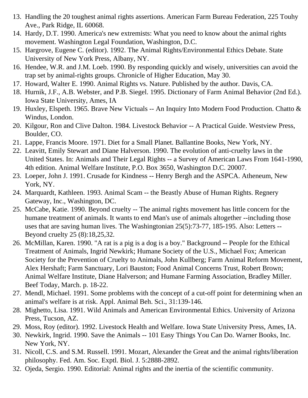- 13. Handling the 20 toughest animal rights assertions. American Farm Bureau Federation, 225 Touhy Ave., Park Ridge, IL 60068.
- 14. Hardy, D.T. 1990. America's new extremists: What you need to know about the animal rights movement. Washington Legal Foundation, Washington, D.C.
- 15. Hargrove, Eugene C. (editor). 1992. The Animal Rights/Environmental Ethics Debate. State University of New York Press, Albany, NY.
- 16. Hendee, W.R. and J.M. Loeb. 1990. By responding quickly and wisely, universities can avoid the trap set by animal-rights groups. Chronicle of Higher Education, May 30.
- 17. Howard, Walter E. 1990. Animal Rights vs. Nature. Published by the author. Davis, CA.
- 18. Hurnik, J.F., A.B. Webster, and P.B. Siegel. 1995. Dictionary of Farm Animal Behavior (2nd Ed.). Iowa State University, Ames, IA
- 19. Huxley, Elspeth. 1965. Brave New Victuals -- An Inquiry Into Modern Food Production. Chatto & Windus, London.
- 20. Kilgour, Ron and Clive Dalton. 1984. Livestock Behavior -- A Practical Guide. Westview Press, Boulder, CO.
- 21. Lappe, Francis Moore. 1971. Diet for a Small Planet. Ballantine Books, New York, NY.
- 22. Leavitt, Emily Stewart and Diane Halverson. 1990. The evolution of anti-cruelty laws in the United States. In: Animals and Their Legal Rights -- a Survey of American Laws From 1641-1990, 4th edition. Animal Welfare Institute, P.O. Box 3650, Washington D.C. 20007.
- 23. Loeper, John J. 1991. Crusade for Kindness -- Henry Bergh and the ASPCA. Atheneum, New York, NY.
- 24. Marquardt, Kathleen. 1993. Animal Scam -- the Beastly Abuse of Human Rights. Regnery Gateway, Inc., Washington, DC.
- 25. McCabe, Katie. 1990. Beyond cruelty -- The animal rights movement has little concern for the humane treatment of animals. It wants to end Man's use of animals altogether --including those uses that are saving human lives. The Washingtonian 25(5):73-77, 185-195. Also: Letters -- Beyond cruelty 25 (8):18,25,32.
- 26. McMillan, Karen. 1990. "A rat is a pig is a dog is a boy." Background -- People for the Ethical Treatment of Animals, Ingrid Newkirk; Humane Society of the U.S., Michael Fox; American Society for the Prevention of Cruelty to Animals, John Kullberg; Farm Animal Reform Movement, Alex Hershaft; Farm Sanctuary, Lori Bauston; Food Animal Concerns Trust, Robert Brown; Animal Welfare Institute, Diane Halverson; and Humane Farming Association, Bradley Miller. Beef Today, March. p. 18-22.
- 27. Mendl, Michael. 1991. Some problems with the concept of a cut-off point for determining when an animal's welfare is at risk. Appl. Animal Beh. Sci., 31:139-146.
- 28. Mighetto, Lisa. 1991. Wild Animals and American Environmental Ethics. University of Arizona Press, Tucson, AZ.
- 29. Moss, Roy (editor). 1992. Livestock Health and Welfare. Iowa State University Press, Ames, IA.
- 30. Newkirk, Ingrid. 1990. Save the Animals -- 101 Easy Things You Can Do. Warner Books, Inc. New York, NY.
- 31. Nicoll, C.S. and S.M. Russell. 1991. Mozart, Alexander the Great and the animal rights/liberation philosophy. Fed. Am. Soc. Exptl. Biol. J. 5:2888-2892.
- 32. Ojeda, Sergio. 1990. Editorial: Animal rights and the inertia of the scientific community.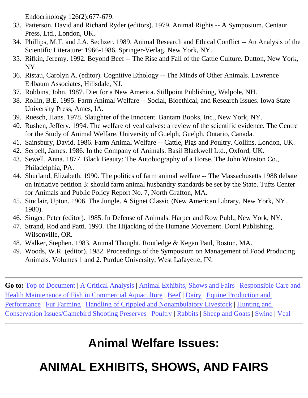Endocrinology 126(2):677-679.

- 33. Patterson, David and Richard Ryder (editors). 1979. Animal Rights -- A Symposium. Centaur Press, Ltd., London, UK.
- 34. Phillips, M.T. and J.A. Sechzer. 1989. Animal Research and Ethical Conflict -- An Analysis of the Scientific Literature: 1966-1986. Springer-Verlag. New York, NY.
- 35. Rifkin, Jeremy. 1992. Beyond Beef -- The Rise and Fall of the Cattle Culture. Dutton, New York, NY.
- 36. Ristau, Carolyn A. (editor). Cognitive Ethology -- The Minds of Other Animals. Lawrence Erlbaum Associates, Hillsdale, NJ.
- 37. Robbins, John. 1987. Diet for a New America. Stillpoint Publishing, Walpole, NH.
- 38. Rollin, B.E. 1995. Farm Animal Welfare -- Social, Bioethical, and Research Issues. Iowa State University Press, Ames, IA.
- 39. Ruesch, Hans. 1978. Slaughter of the Innocent. Bantam Books, Inc., New York, NY.
- 40. Rushen, Jeffery. 1994. The welfare of veal calves: a review of the scientific evidence. The Centre for the Study of Animal Welfare. University of Guelph, Guelph, Ontario, Canada.
- 41. Sainsbury, David. 1986. Farm Animal Welfare -- Cattle, Pigs and Poultry. Collins, London, UK.
- 42. Serpell, James. 1986. In the Company of Animals. Basil Blackwell Ltd., Oxford, UK.
- 43. Sewell, Anna. 1877. Black Beauty: The Autobiography of a Horse. The John Winston Co., Philadelphia, PA.
- 44. Shurland, Elizabeth. 1990. The politics of farm animal welfare -- The Massachusetts 1988 debate on initiative petition 3: should farm animal husbandry standards be set by the State. Tufts Center for Animals and Public Policy Report No. 7, North Grafton, MA.
- 45. Sinclair, Upton. 1906. The Jungle. A Signet Classic (New American Library, New York, NY. 1980).
- 46. Singer, Peter (editor). 1985. In Defense of Animals. Harper and Row Publ., New York, NY.
- 47. Strand, Rod and Patti. 1993. The Hijacking of the Humane Movement. Doral Publishing, Wilsonville, OR.
- 48. Walker, Stephen. 1983. Animal Thought. Routledge & Kegan Paul, Boston, MA.
- 49. Woods, W.R. (editor). 1982. Proceedings of the Symposium on Management of Food Producing Animals. Volumes 1 and 2. Purdue University, West Lafayette, IN.

<span id="page-24-0"></span>Go to: [Top of Document](#page-0-0) | [A Critical Analysis](#page-1-0) | [Animal Exhibits, Shows and Fairs](#page-24-0) | Responsible Care and [Health Maintenance of Fish in Commercial Aquaculture](#page-29-0) | [Beef](#page-45-0) | [Dairy](#page-50-0) | Equine Production and [Performance](#page-66-0) | [Fur Farming](#page-73-0) | [Handling of Crippled and Nonambulatory Livestock](#page-77-0) | Hunting and [Conservation Issues/Gamebird Shooting Preserves](#page-82-0) | [Poultry](#page-87-0) | [Rabbits](#page-94-0) | [Sheep and Goats](#page-102-0) | [Swine](#page-108-0) | [Veal](#page-114-0)

## **Animal Welfare Issues:**

# **ANIMAL EXHIBITS, SHOWS, AND FAIRS**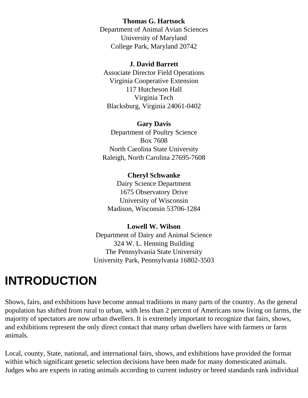#### **Thomas G. Hartsock**

Department of Animal Avian Sciences University of Maryland College Park, Maryland 20742

#### **J. David Barrett** Associate Director Field Operations Virginia Cooperative Extension 117 Hutcheson Hall Virginia Tech Blacksburg, Virginia 24061-0402

**Gary Davis** Department of Poultry Science Box 7608 North Carolina State University Raleigh, North Carolina 27695-7608

#### **Cheryl Schwanke**

Dairy Science Department 1675 Observatory Drive University of Wisconsin Madison, Wisconsin 53706-1284

#### **Lowell W. Wilson**

Department of Dairy and Animal Science 324 W. L. Henning Building The Pennsylvania State University University Park, Pennsylvania 16802-3503

## **INTRODUCTION**

Shows, fairs, and exhibitions have become annual traditions in many parts of the country. As the general population has shifted from rural to urban, with less than 2 percent of Americans now living on farms, the majority of spectators are now urban dwellers. It is extremely important to recognize that fairs, shows, and exhibitions represent the only direct contact that many urban dwellers have with farmers or farm animals.

Local, county, State, national, and international fairs, shows, and exhibitions have provided the format within which significant genetic selection decisions have been made for many domesticated animals. Judges who are experts in rating animals according to current industry or breed standards rank individual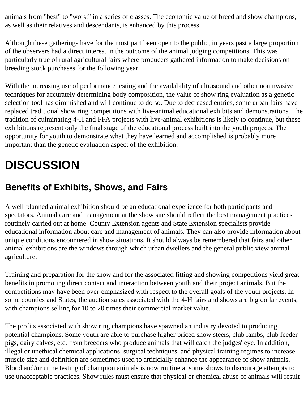animals from "best" to "worst" in a series of classes. The economic value of breed and show champions, as well as their relatives and descendants, is enhanced by this process.

Although these gatherings have for the most part been open to the public, in years past a large proportion of the observers had a direct interest in the outcome of the animal judging competitions. This was particularly true of rural agricultural fairs where producers gathered information to make decisions on breeding stock purchases for the following year.

With the increasing use of performance testing and the availability of ultrasound and other noninvasive techniques for accurately determining body composition, the value of show ring evaluation as a genetic selection tool has diminished and will continue to do so. Due to decreased entries, some urban fairs have replaced traditional show ring competitions with live-animal educational exhibits and demonstrations. The tradition of culminating 4-H and FFA projects with live-animal exhibitions is likely to continue, but these exhibitions represent only the final stage of the educational process built into the youth projects. The opportunity for youth to demonstrate what they have learned and accomplished is probably more important than the genetic evaluation aspect of the exhibition.

# **DISCUSSION**

## **Benefits of Exhibits, Shows, and Fairs**

A well-planned animal exhibition should be an educational experience for both participants and spectators. Animal care and management at the show site should reflect the best management practices routinely carried out at home. County Extension agents and State Extension specialists provide educational information about care and management of animals. They can also provide information about unique conditions encountered in show situations. It should always be remembered that fairs and other animal exhibitions are the windows through which urban dwellers and the general public view animal agriculture.

Training and preparation for the show and for the associated fitting and showing competitions yield great benefits in promoting direct contact and interaction between youth and their project animals. But the competitions may have been over-emphasized with respect to the overall goals of the youth projects. In some counties and States, the auction sales associated with the 4-H fairs and shows are big dollar events, with champions selling for 10 to 20 times their commercial market value.

The profits associated with show ring champions have spawned an industry devoted to producing potential champions. Some youth are able to purchase higher priced show steers, club lambs, club feeder pigs, dairy calves, etc. from breeders who produce animals that will catch the judges' eye. In addition, illegal or unethical chemical applications, surgical techniques, and physical training regimes to increase muscle size and definition are sometimes used to artificially enhance the appearance of show animals. Blood and/or urine testing of champion animals is now routine at some shows to discourage attempts to use unacceptable practices. Show rules must ensure that physical or chemical abuse of animals will result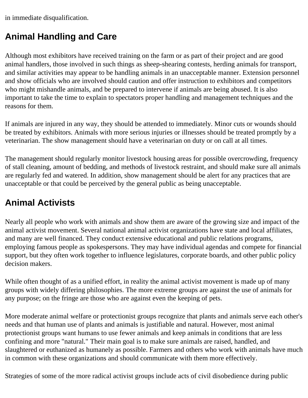in immediate disqualification.

## **Animal Handling and Care**

Although most exhibitors have received training on the farm or as part of their project and are good animal handlers, those involved in such things as sheep-shearing contests, herding animals for transport, and similar activities may appear to be handling animals in an unacceptable manner. Extension personnel and show officials who are involved should caution and offer instruction to exhibitors and competitors who might mishandle animals, and be prepared to intervene if animals are being abused. It is also important to take the time to explain to spectators proper handling and management techniques and the reasons for them.

If animals are injured in any way, they should be attended to immediately. Minor cuts or wounds should be treated by exhibitors. Animals with more serious injuries or illnesses should be treated promptly by a veterinarian. The show management should have a veterinarian on duty or on call at all times.

The management should regularly monitor livestock housing areas for possible overcrowding, frequency of stall cleaning, amount of bedding, and methods of livestock restraint, and should make sure all animals are regularly fed and watered. In addition, show management should be alert for any practices that are unacceptable or that could be perceived by the general public as being unacceptable.

## **Animal Activists**

Nearly all people who work with animals and show them are aware of the growing size and impact of the animal activist movement. Several national animal activist organizations have state and local affiliates, and many are well financed. They conduct extensive educational and public relations programs, employing famous people as spokespersons. They may have individual agendas and compete for financial support, but they often work together to influence legislatures, corporate boards, and other public policy decision makers.

While often thought of as a unified effort, in reality the animal activist movement is made up of many groups with widely differing philosophies. The more extreme groups are against the use of animals for any purpose; on the fringe are those who are against even the keeping of pets.

More moderate animal welfare or protectionist groups recognize that plants and animals serve each other's needs and that human use of plants and animals is justifiable and natural. However, most animal protectionist groups want humans to use fewer animals and keep animals in conditions that are less confining and more "natural." Their main goal is to make sure animals are raised, handled, and slaughtered or euthanized as humanely as possible. Farmers and others who work with animals have much in common with these organizations and should communicate with them more effectively.

Strategies of some of the more radical activist groups include acts of civil disobedience during public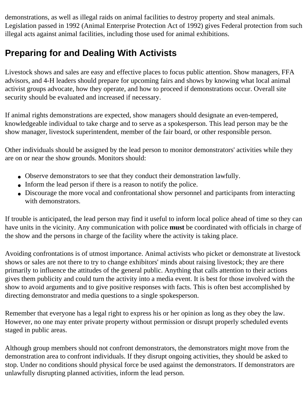demonstrations, as well as illegal raids on animal facilities to destroy property and steal animals. Legislation passed in 1992 (Animal Enterprise Protection Act of 1992) gives Federal protection from such illegal acts against animal facilities, including those used for animal exhibitions.

## **Preparing for and Dealing With Activists**

Livestock shows and sales are easy and effective places to focus public attention. Show managers, FFA advisors, and 4-H leaders should prepare for upcoming fairs and shows by knowing what local animal activist groups advocate, how they operate, and how to proceed if demonstrations occur. Overall site security should be evaluated and increased if necessary.

If animal rights demonstrations are expected, show managers should designate an even-tempered, knowledgeable individual to take charge and to serve as a spokesperson. This lead person may be the show manager, livestock superintendent, member of the fair board, or other responsible person.

Other individuals should be assigned by the lead person to monitor demonstrators' activities while they are on or near the show grounds. Monitors should:

- Observe demonstrators to see that they conduct their demonstration lawfully.
- Inform the lead person if there is a reason to notify the police.
- Discourage the more vocal and confrontational show personnel and participants from interacting with demonstrators.

If trouble is anticipated, the lead person may find it useful to inform local police ahead of time so they can have units in the vicinity. Any communication with police **must** be coordinated with officials in charge of the show and the persons in charge of the facility where the activity is taking place.

Avoiding confrontations is of utmost importance. Animal activists who picket or demonstrate at livestock shows or sales are not there to try to change exhibitors' minds about raising livestock; they are there primarily to influence the attitudes of the general public. Anything that calls attention to their actions gives them publicity and could turn the activity into a media event. It is best for those involved with the show to avoid arguments and to give positive responses with facts. This is often best accomplished by directing demonstrator and media questions to a single spokesperson.

Remember that everyone has a legal right to express his or her opinion as long as they obey the law. However, no one may enter private property without permission or disrupt properly scheduled events staged in public areas.

Although group members should not confront demonstrators, the demonstrators might move from the demonstration area to confront individuals. If they disrupt ongoing activities, they should be asked to stop. Under no conditions should physical force be used against the demonstrators. If demonstrators are unlawfully disrupting planned activities, inform the lead person.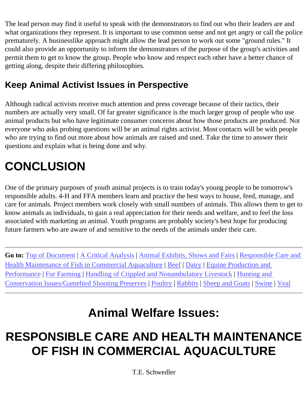The lead person may find it useful to speak with the demonstrators to find out who their leaders are and what organizations they represent. It is important to use common sense and not get angry or call the police prematurely. A businesslike approach might allow the lead person to work out some "ground rules." It could also provide an opportunity to inform the demonstrators of the purpose of the group's activities and permit them to get to know the group. People who know and respect each other have a better chance of getting along, despite their differing philosophies.

## **Keep Animal Activist Issues in Perspective**

Although radical activists receive much attention and press coverage because of their tactics, their numbers are actually very small. Of far greater significance is the much larger group of people who use animal products but who have legitimate consumer concerns about how those products are produced. Not everyone who asks probing questions will be an animal rights activist. Most contacts will be with people who are trying to find out more about how animals are raised and used. Take the time to answer their questions and explain what is being done and why.

# **CONCLUSION**

One of the primary purposes of youth animal projects is to train today's young people to be tomorrow's responsible adults. 4-H and FFA members learn and practice the best ways to house, feed, manage, and care for animals. Project members work closely with small numbers of animals. This allows them to get to know animals as individuals, to gain a real appreciation for their needs and welfare, and to feel the loss associated with marketing an animal. Youth programs are probably society's best hope for producing future farmers who are aware of and sensitive to the needs of the animals under their care.

<span id="page-29-0"></span>**Go to:** [Top of Document](#page-0-0) | [A Critical Analysis](#page-1-0) | [Animal Exhibits, Shows and Fairs](#page-24-0) | [Responsible Care and](#page-29-0)  [Health Maintenance of Fish in Commercial Aquaculture](#page-29-0) | [Beef](#page-45-0) | [Dairy](#page-50-0) | [Equine Production and](#page-66-0)  [Performance](#page-66-0) | [Fur Farming](#page-73-0) | [Handling of Crippled and Nonambulatory Livestock](#page-77-0) | [Hunting and](#page-82-0)  [Conservation Issues/Gamebird Shooting Preserves](#page-82-0) | [Poultry](#page-87-0) | [Rabbits](#page-94-0) | [Sheep and Goats](#page-102-0) | [Swine](#page-108-0) | [Veal](#page-114-0)

## **Animal Welfare Issues:**

# **RESPONSIBLE CARE AND HEALTH MAINTENANCE OF FISH IN COMMERCIAL AQUACULTURE**

T.E. Schwedler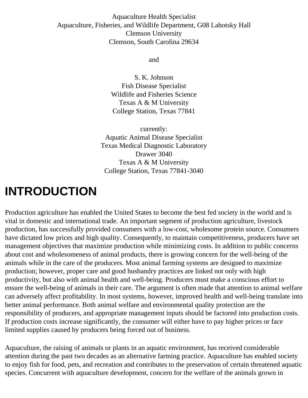Aquaculture Health Specialist Aquaculture, Fisheries, and Wildlife Department, G08 Lahotsky Hall Clemson University Clemson, South Carolina 29634

and

S. K. Johnson Fish Disease Specialist Wildlife and Fisheries Science Texas A & M University College Station, Texas 77841

currently: Aquatic Animal Disease Specialist Texas Medical Diagnostic Laboratory Drawer 3040 Texas A & M University College Station, Texas 77841-3040

## **INTRODUCTION**

Production agriculture has enabled the United States to become the best fed society in the world and is vital in domestic and international trade. An important segment of production agriculture, livestock production, has successfully provided consumers with a low-cost, wholesome protein source. Consumers have dictated low prices and high quality. Consequently, to maintain competitiveness, producers have set management objectives that maximize production while minimizing costs. In addition to public concerns about cost and wholesomeness of animal products, there is growing concern for the well-being of the animals while in the care of the producers. Most animal farming systems are designed to maximize production; however, proper care and good husbandry practices are linked not only with high productivity, but also with animal health and well-being. Producers must make a conscious effort to ensure the well-being of animals in their care. The argument is often made that attention to animal welfare can adversely affect profitability. In most systems, however, improved health and well-being translate into better animal performance. Both animal welfare and environmental quality protection are the responsibility of producers, and appropriate management inputs should be factored into production costs. If production costs increase significantly, the consumer will either have to pay higher prices or face limited supplies caused by producers being forced out of business.

Aquaculture, the raising of animals or plants in an aquatic environment, has received considerable attention during the past two decades as an alternative farming practice. Aquaculture has enabled society to enjoy fish for food, pets, and recreation and contributes to the preservation of certain threatened aquatic species. Concurrent with aquaculture development, concern for the welfare of the animals grown in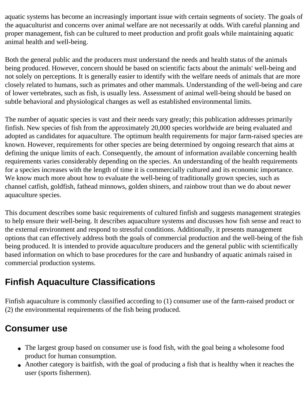aquatic systems has become an increasingly important issue with certain segments of society. The goals of the aquaculturist and concerns over animal welfare are not necessarily at odds. With careful planning and proper management, fish can be cultured to meet production and profit goals while maintaining aquatic animal health and well-being.

Both the general public and the producers must understand the needs and health status of the animals being produced. However, concern should be based on scientific facts about the animals' well-being and not solely on perceptions. It is generally easier to identify with the welfare needs of animals that are more closely related to humans, such as primates and other mammals. Understanding of the well-being and care of lower vertebrates, such as fish, is usually less. Assessment of animal well-being should be based on subtle behavioral and physiological changes as well as established environmental limits.

The number of aquatic species is vast and their needs vary greatly; this publication addresses primarily finfish. New species of fish from the approximately 20,000 species worldwide are being evaluated and adopted as candidates for aquaculture. The optimum health requirements for major farm-raised species are known. However, requirements for other species are being determined by ongoing research that aims at defining the unique limits of each. Consequently, the amount of information available concerning health requirements varies considerably depending on the species. An understanding of the health requirements for a species increases with the length of time it is commercially cultured and its economic importance. We know much more about how to evaluate the well-being of traditionally grown species, such as channel catfish, goldfish, fathead minnows, golden shiners, and rainbow trout than we do about newer aquaculture species.

This document describes some basic requirements of cultured finfish and suggests management strategies to help ensure their well-being. It describes aquaculture systems and discusses how fish sense and react to the external environment and respond to stressful conditions. Additionally, it presents management options that can effectively address both the goals of commercial production and the well-being of the fish being produced. It is intended to provide aquaculture producers and the general public with scientifically based information on which to base procedures for the care and husbandry of aquatic animals raised in commercial production systems.

## **Finfish Aquaculture Classifications**

Finfish aquaculture is commonly classified according to (1) consumer use of the farm-raised product or (2) the environmental requirements of the fish being produced.

### **Consumer use**

- The largest group based on consumer use is food fish, with the goal being a wholesome food product for human consumption.
- Another category is baitfish, with the goal of producing a fish that is healthy when it reaches the user (sports fishermen).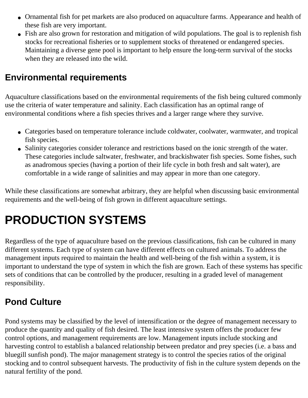- Ornamental fish for pet markets are also produced on aquaculture farms. Appearance and health of these fish are very important.
- Fish are also grown for restoration and mitigation of wild populations. The goal is to replenish fish stocks for recreational fisheries or to supplement stocks of threatened or endangered species. Maintaining a diverse gene pool is important to help ensure the long-term survival of the stocks when they are released into the wild.

### **Environmental requirements**

Aquaculture classifications based on the environmental requirements of the fish being cultured commonly use the criteria of water temperature and salinity. Each classification has an optimal range of environmental conditions where a fish species thrives and a larger range where they survive.

- Categories based on temperature tolerance include coldwater, coolwater, warmwater, and tropical fish species.
- Salinity categories consider tolerance and restrictions based on the ionic strength of the water. These categories include saltwater, freshwater, and brackishwater fish species. Some fishes, such as anadromous species (having a portion of their life cycle in both fresh and salt water), are comfortable in a wide range of salinities and may appear in more than one category.

While these classifications are somewhat arbitrary, they are helpful when discussing basic environmental requirements and the well-being of fish grown in different aquaculture settings.

# **PRODUCTION SYSTEMS**

Regardless of the type of aquaculture based on the previous classifications, fish can be cultured in many different systems. Each type of system can have different effects on cultured animals. To address the management inputs required to maintain the health and well-being of the fish within a system, it is important to understand the type of system in which the fish are grown. Each of these systems has specific sets of conditions that can be controlled by the producer, resulting in a graded level of management responsibility.

## **Pond Culture**

Pond systems may be classified by the level of intensification or the degree of management necessary to produce the quantity and quality of fish desired. The least intensive system offers the producer few control options, and management requirements are low. Management inputs include stocking and harvesting control to establish a balanced relationship between predator and prey species (i.e. a bass and bluegill sunfish pond). The major management strategy is to control the species ratios of the original stocking and to control subsequent harvests. The productivity of fish in the culture system depends on the natural fertility of the pond.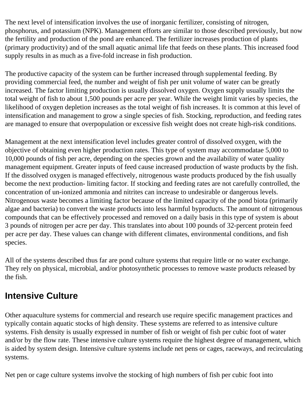The next level of intensification involves the use of inorganic fertilizer, consisting of nitrogen, phosphorus, and potassium (NPK). Management efforts are similar to those described previously, but now the fertility and production of the pond are enhanced. The fertilizer increases production of plants (primary productivity) and of the small aquatic animal life that feeds on these plants. This increased food supply results in as much as a five-fold increase in fish production.

The productive capacity of the system can be further increased through supplemental feeding. By providing commercial feed, the number and weight of fish per unit volume of water can be greatly increased. The factor limiting production is usually dissolved oxygen. Oxygen supply usually limits the total weight of fish to about 1,500 pounds per acre per year. While the weight limit varies by species, the likelihood of oxygen depletion increases as the total weight of fish increases. It is common at this level of intensification and management to grow a single species of fish. Stocking, reproduction, and feeding rates are managed to ensure that overpopulation or excessive fish weight does not create high-risk conditions.

Management at the next intensification level includes greater control of dissolved oxygen, with the objective of obtaining even higher production rates. This type of system may accommodatae 5,000 to 10,000 pounds of fish per acre, depending on the species grown and the availability of water quality management equipment. Greater inputs of feed cause increased production of waste products by the fish. If the dissolved oxygen is managed effectively, nitrogenous waste products produced by the fish usually become the next production- limiting factor. If stocking and feeding rates are not carefully controlled, the concentration of un-ionized ammonia and nitrites can increase to undesirable or dangerous levels. Nitrogenous waste becomes a limiting factor because of the limited capacity of the pond biota (primarily algae and bacteria) to convert the waste products into less harmful byproducts. The amount of nitrogenous compounds that can be effectively processed and removed on a daily basis in this type of system is about 3 pounds of nitrogen per acre per day. This translates into about 100 pounds of 32-percent protein feed per acre per day. These values can change with different climates, environmental conditions, and fish species.

All of the systems described thus far are pond culture systems that require little or no water exchange. They rely on physical, microbial, and/or photosynthetic processes to remove waste products released by the fish.

### **Intensive Culture**

Other aquaculture systems for commercial and research use require specific management practices and typically contain aquatic stocks of high density. These systems are referred to as intensive culture systems. Fish density is usually expressed in number of fish or weight of fish per cubic foot of water and/or by the flow rate. These intensive culture systems require the highest degree of management, which is aided by system design. Intensive culture systems include net pens or cages, raceways, and recirculating systems.

Net pen or cage culture systems involve the stocking of high numbers of fish per cubic foot into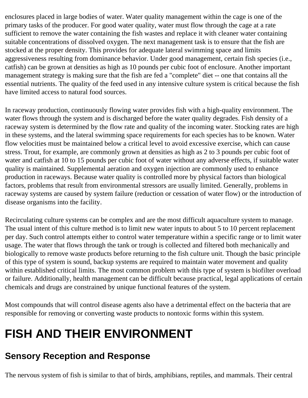enclosures placed in large bodies of water. Water quality management within the cage is one of the primary tasks of the producer. For good water quality, water must flow through the cage at a rate sufficient to remove the water containing the fish wastes and replace it with cleaner water containing suitable concentrations of dissolved oxygen. The next management task is to ensure that the fish are stocked at the proper density. This provides for adequate lateral swimming space and limits aggressiveness resulting from dominance behavior. Under good management, certain fish species (i.e., catfish) can be grown at densities as high as 10 pounds per cubic foot of enclosure. Another important management strategy is making sure that the fish are fed a "complete" diet -- one that contains all the essential nutrients. The quality of the feed used in any intensive culture system is critical because the fish have limited access to natural food sources.

In raceway production, continuously flowing water provides fish with a high-quality environment. The water flows through the system and is discharged before the water quality degrades. Fish density of a raceway system is determined by the flow rate and quality of the incoming water. Stocking rates are high in these systems, and the lateral swimming space requirements for each species has to be known. Water flow velocities must be maintained below a critical level to avoid excessive exercise, which can cause stress. Trout, for example, are commonly grown at densities as high as 2 to 3 pounds per cubic foot of water and catfish at 10 to 15 pounds per cubic foot of water without any adverse effects, if suitable water quality is maintained. Supplemental aeration and oxygen injection are commonly used to enhance production in raceways. Because water quality is controlled more by physical factors than biological factors, problems that result from environmental stressors are usually limited. Generally, problems in raceway systems are caused by system failure (reduction or cessation of water flow) or the introduction of disease organisms into the facility.

Recirculating culture systems can be complex and are the most difficult aquaculture system to manage. The usual intent of this culture method is to limit new water inputs to about 5 to 10 percent replacement per day. Such control attempts either to control water temperature within a specific range or to limit water usage. The water that flows through the tank or trough is collected and filtered both mechanically and biologically to remove waste products before returning to the fish culture unit. Though the basic principle of this type of system is sound, backup systems are required to maintain water movement and quality within established critical limits. The most common problem with this type of system is biofilter overload or failure. Additionally, health management can be difficult because practical, legal applications of certain chemicals and drugs are constrained by unique functional features of the system.

Most compounds that will control disease agents also have a detrimental effect on the bacteria that are responsible for removing or converting waste products to nontoxic forms within this system.

# **FISH AND THEIR ENVIRONMENT**

### **Sensory Reception and Response**

The nervous system of fish is similar to that of birds, amphibians, reptiles, and mammals. Their central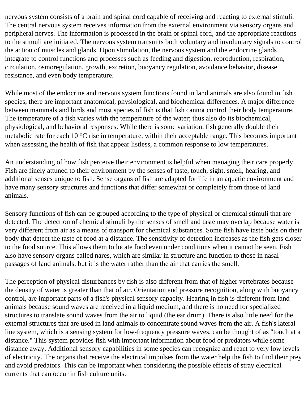nervous system consists of a brain and spinal cord capable of receiving and reacting to external stimuli. The central nervous system receives information from the external environment via sensory organs and peripheral nerves. The information is processed in the brain or spinal cord, and the appropriate reactions to the stimuli are initiated. The nervous system transmits both voluntary and involuntary signals to control the action of muscles and glands. Upon stimulation, the nervous system and the endocrine glands integrate to control functions and processes such as feeding and digestion, reproduction, respiration, circulation, osmoregulation, growth, excretion, buoyancy regulation, avoidance behavior, disease resistance, and even body temperature.

While most of the endocrine and nervous system functions found in land animals are also found in fish species, there are important anatomical, physiological, and biochemical differences. A major difference between mammals and birds and most species of fish is that fish cannot control their body temperature. The temperature of a fish varies with the temperature of the water; thus also do its biochemical, physiological, and behavioral responses. While there is some variation, fish generally double their metabolic rate for each 10 °C rise in temperature, within their acceptable range. This becomes important when assessing the health of fish that appear listless, a common response to low temperatures.

An understanding of how fish perceive their environment is helpful when managing their care properly. Fish are finely attuned to their environment by the senses of taste, touch, sight, smell, hearing, and additional senses unique to fish. Sense organs of fish are adapted for life in an aquatic environment and have many sensory structures and functions that differ somewhat or completely from those of land animals.

Sensory functions of fish can be grouped according to the type of physical or chemical stimuli that are detected. The detection of chemical stimuli by the senses of smell and taste may overlap because water is very different from air as a means of transport for chemical substances. Some fish have taste buds on their body that detect the taste of food at a distance. The sensitivity of detection increases as the fish gets closer to the food source. This allows them to locate food even under conditions when it cannot be seen. Fish also have sensory organs called nares, which are similar in structure and function to those in nasal passages of land animals, but it is the water rather than the air that carries the smell.

The perception of physical disturbances by fish is also different from that of higher vertebrates because the density of water is greater than that of air. Orientation and pressure recognition, along with buoyancy control, are important parts of a fish's physical sensory capacity. Hearing in fish is different from land animals because sound waves are received in a liquid medium, and there is no need for specialized structures to translate sound waves from the air to liquid (the ear drum). There is also little need for the external structures that are used in land animals to concentrate sound waves from the air. A fish's lateral line system, which is a sensing system for low-frequency pressure waves, can be thought of as "touch at a distance." This system provides fish with important information about food or predators while some distance away. Additional sensory capabilities in some species can recognize and react to very low levels of electricity. The organs that receive the electrical impulses from the water help the fish to find their prey and avoid predators. This can be important when considering the possible effects of stray electrical currents that can occur in fish culture units.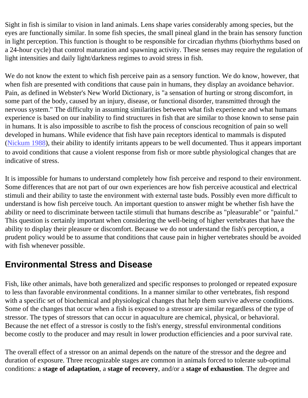Sight in fish is similar to vision in land animals. Lens shape varies considerably among species, but the eyes are functionally similar. In some fish species, the small pineal gland in the brain has sensory function in light perception. This function is thought to be responsible for circadian rhythms (biorhythms based on a 24-hour cycle) that control maturation and spawning activity. These senses may require the regulation of light intensities and daily light/darkness regimes to avoid stress in fish.

We do not know the extent to which fish perceive pain as a sensory function. We do know, however, that when fish are presented with conditions that cause pain in humans, they display an avoidance behavior. Pain, as defined in Webster's New World Dictionary, is "a sensation of hurting or strong discomfort, in some part of the body, caused by an injury, disease, or functional disorder, transmitted through the nervous system." The difficulty in assuming similarities between what fish experience and what humans experience is based on our inability to find structures in fish that are similar to those known to sense pain in humans. It is also impossible to ascribe to fish the process of conscious recognition of pain so well developed in humans. While evidence that fish have pain receptors identical to mammals is disputed ([Nickum 1988\)](#page-44-0), their ability to identify irritants appears to be well documented. Thus it appears important to avoid conditions that cause a violent response from fish or more subtle physiological changes that are indicative of stress.

It is impossible for humans to understand completely how fish perceive and respond to their environment. Some differences that are not part of our own experiences are how fish perceive acoustical and electrical stimuli and their ability to taste the environment with external taste buds. Possibly even more difficult to understand is how fish perceive touch. An important question to answer might be whether fish have the ability or need to discriminate between tactile stimuli that humans describe as "pleasurable" or "painful." This question is certainly important when considering the well-being of higher vertebrates that have the ability to display their pleasure or discomfort. Because we do not understand the fish's perception, a prudent policy would be to assume that conditions that cause pain in higher vertebrates should be avoided with fish whenever possible.

#### **Environmental Stress and Disease**

Fish, like other animals, have both generalized and specific responses to prolonged or repeated exposure to less than favorable environmental conditions. In a manner similar to other vertebrates, fish respond with a specific set of biochemical and physiological changes that help them survive adverse conditions. Some of the changes that occur when a fish is exposed to a stressor are similar regardless of the type of stressor. The types of stressors that can occur in aquaculture are chemical, physical, or behavioral. Because the net effect of a stressor is costly to the fish's energy, stressful environmental conditions become costly to the producer and may result in lower production efficiencies and a poor survival rate.

The overall effect of a stressor on an animal depends on the nature of the stressor and the degree and duration of exposure. Three recognizable stages are common in animals forced to tolerate sub-optimal conditions: a **stage of adaptation**, a **stage of recovery**, and/or a **stage of exhaustion**. The degree and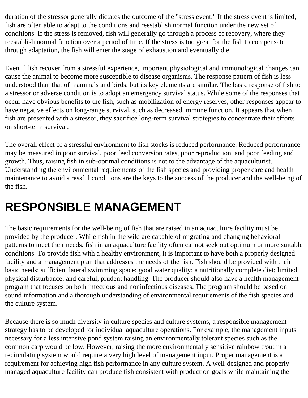duration of the stressor generally dictates the outcome of the "stress event." If the stress event is limited, fish are often able to adapt to the conditions and reestablish normal function under the new set of conditions. If the stress is removed, fish will generally go through a process of recovery, where they reestablish normal function over a period of time. If the stress is too great for the fish to compensate through adaptation, the fish will enter the stage of exhaustion and eventually die.

Even if fish recover from a stressful experience, important physiological and immunological changes can cause the animal to become more susceptible to disease organisms. The response pattern of fish is less understood than that of mammals and birds, but its key elements are similar. The basic response of fish to a stressor or adverse condition is to adopt an emergency survival status. While some of the responses that occur have obvious benefits to the fish, such as mobilization of energy reserves, other responses appear to have negative effects on long-range survival, such as decreased immune function. It appears that when fish are presented with a stressor, they sacrifice long-term survival strategies to concentrate their efforts on short-term survival.

The overall effect of a stressful environment to fish stocks is reduced performance. Reduced performance may be measured in poor survival, poor feed conversion rates, poor reproduction, and poor feeding and growth. Thus, raising fish in sub-optimal conditions is not to the advantage of the aquaculturist. Understanding the environmental requirements of the fish species and providing proper care and health maintenance to avoid stressful conditions are the keys to the success of the producer and the well-being of the fish.

# **RESPONSIBLE MANAGEMENT**

The basic requirements for the well-being of fish that are raised in an aquaculture facility must be provided by the producer. While fish in the wild are capable of migrating and changing behavioral patterns to meet their needs, fish in an aquaculture facility often cannot seek out optimum or more suitable conditions. To provide fish with a healthy environment, it is important to have both a properly designed facility and a management plan that addresses the needs of the fish. Fish should be provided with their basic needs: sufficient lateral swimming space; good water quality; a nutritionally complete diet; limited physical disturbance; and careful, prudent handling. The producer should also have a health management program that focuses on both infectious and noninfectious diseases. The program should be based on sound information and a thorough understanding of environmental requirements of the fish species and the culture system.

Because there is so much diversity in culture species and culture systems, a responsible management strategy has to be developed for individual aquaculture operations. For example, the management inputs necessary for a less intensive pond system raising an environmentally tolerant species such as the common carp would be low. However, raising the more environmentally sensitive rainbow trout in a recirculating system would require a very high level of management input. Proper management is a requirement for achieving high fish performance in any culture system. A well-designed and properly managed aquaculture facility can produce fish consistent with production goals while maintaining the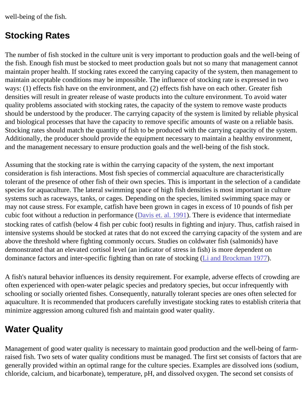well-being of the fish.

### **Stocking Rates**

The number of fish stocked in the culture unit is very important to production goals and the well-being of the fish. Enough fish must be stocked to meet production goals but not so many that management cannot maintain proper health. If stocking rates exceed the carrying capacity of the system, then management to maintain acceptable conditions may be impossible. The influence of stocking rate is expressed in two ways: (1) effects fish have on the environment, and (2) effects fish have on each other. Greater fish densities will result in greater release of waste products into the culture environment. To avoid water quality problems associated with stocking rates, the capacity of the system to remove waste products should be understood by the producer. The carrying capacity of the system is limited by reliable physical and biological processes that have the capacity to remove specific amounts of waste on a reliable basis. Stocking rates should match the quantity of fish to be produced with the carrying capacity of the system. Additionally, the producer should provide the equipment necessary to maintain a healthy environment, and the management necessary to ensure production goals and the well-being of the fish stock.

Assuming that the stocking rate is within the carrying capacity of the system, the next important consideration is fish interactions. Most fish species of commercial aquaculture are characteristically tolerant of the presence of other fish of their own species. This is important in the selection of a candidate species for aquaculture. The lateral swimming space of high fish densities is most important in culture systems such as raceways, tanks, or cages. Depending on the species, limited swimming space may or may not cause stress. For example, catfish have been grown in cages in excess of 10 pounds of fish per cubic foot without a reduction in performance ([Davis et. al. 1991](#page-44-1)). There is evidence that intermediate stocking rates of catfish (below 4 fish per cubic foot) results in fighting and injury. Thus, catfish raised in intensive systems should be stocked at rates that do not exceed the carrying capacity of the system and are above the threshold where fighting commonly occurs. Studies on coldwater fish (salmonids) have demonstrated that an elevated cortisol level (an indicator of stress in fish) is more dependent on dominance factors and inter-specific fighting than on rate of stocking ([Li and Brockman 1977](#page-44-2)).

A fish's natural behavior influences its density requirement. For example, adverse effects of crowding are often experienced with open-water pelagic species and predatory species, but occur infrequently with schooling or socially oriented fishes. Consequently, naturally tolerant species are ones often selected for aquaculture. It is recommended that producers carefully investigate stocking rates to establish criteria that minimize aggression among cultured fish and maintain good water quality.

### **Water Quality**

Management of good water quality is necessary to maintain good production and the well-being of farmraised fish. Two sets of water quality conditions must be managed. The first set consists of factors that are generally provided within an optimal range for the culture species. Examples are dissolved ions (sodium, chloride, calcium, and bicarbonate), temperature, pH, and dissolved oxygen. The second set consists of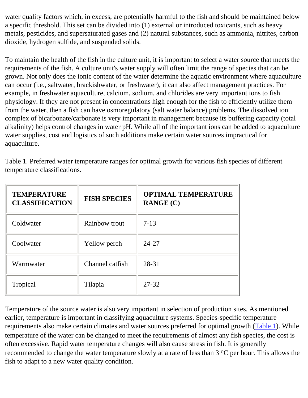water quality factors which, in excess, are potentially harmful to the fish and should be maintained below a specific threshold. This set can be divided into (1) external or introduced toxicants, such as heavy metals, pesticides, and supersaturated gases and (2) natural substances, such as ammonia, nitrites, carbon dioxide, hydrogen sulfide, and suspended solids.

To maintain the health of the fish in the culture unit, it is important to select a water source that meets the requirements of the fish. A culture unit's water supply will often limit the range of species that can be grown. Not only does the ionic content of the water determine the aquatic environment where aquaculture can occur (i.e., saltwater, brackishwater, or freshwater), it can also affect management practices. For example, in freshwater aquaculture, calcium, sodium, and chlorides are very important ions to fish physiology. If they are not present in concentrations high enough for the fish to efficiently utilize them from the water, then a fish can have osmoregulatory (salt water balance) problems. The dissolved ion complex of bicarbonate/carbonate is very important in management because its buffering capacity (total alkalinity) helps control changes in water pH. While all of the important ions can be added to aquaculture water supplies, cost and logistics of such additions make certain water sources impractical for aquaculture.

<span id="page-39-0"></span>Table 1. Preferred water temperature ranges for optimal growth for various fish species of different temperature classifications.

| <b>TEMPERATURE</b><br><b>CLASSIFICATION</b> | <b>FISH SPECIES</b>  | <b>OPTIMAL TEMPERATURE</b><br><b>RANGE (C)</b> |
|---------------------------------------------|----------------------|------------------------------------------------|
| Coldwater                                   | <b>Rainbow trout</b> | $7 - 13$                                       |
| Coolwater                                   | Yellow perch         | $24 - 27$                                      |
| Warmwater                                   | Channel catfish      | 28-31                                          |
| Tropical                                    | Tilapia              | 27-32                                          |

Temperature of the source water is also very important in selection of production sites. As mentioned earlier, temperature is important in classifying aquaculture systems. Species-specific temperature requirements also make certain climates and water sources preferred for optimal growth [\(Table 1](#page-39-0)). While temperature of the water can be changed to meet the requirements of almost any fish species, the cost is often excessive. Rapid water temperature changes will also cause stress in fish. It is generally recommended to change the water temperature slowly at a rate of less than 3 <sup>o</sup>C per hour. This allows the fish to adapt to a new water quality condition.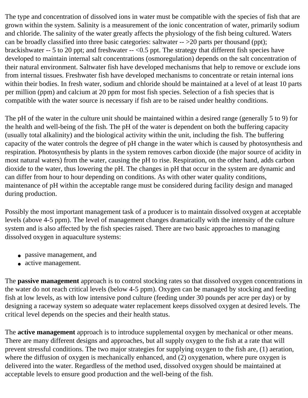The type and concentration of dissolved ions in water must be compatible with the species of fish that are grown within the system. Salinity is a measurement of the ionic concentration of water, primarily sodium and chloride. The salinity of the water greatly affects the physiology of the fish being cultured. Waters can be broadly classified into three basic categories: saltwater -- >20 parts per thousand (ppt); brackishwater -- 5 to 20 ppt; and freshwater --  $< 0.5$  ppt. The strategy that different fish species have developed to maintain internal salt concentrations (osmoregulation) depends on the salt concentration of their natural environment. Saltwater fish have developed mechanisms that help to remove or exclude ions from internal tissues. Freshwater fish have developed mechanisms to concentrate or retain internal ions within their bodies. In fresh water, sodium and chloride should be maintained at a level of at least 10 parts per million (ppm) and calcium at 20 ppm for most fish species. Selection of a fish species that is compatible with the water source is necessary if fish are to be raised under healthy conditions.

The pH of the water in the culture unit should be maintained within a desired range (generally 5 to 9) for the health and well-being of the fish. The pH of the water is dependent on both the buffering capacity (usually total alkalinity) and the biological activity within the unit, including the fish. The buffering capacity of the water controls the degree of pH change in the water which is caused by photosynthesis and respiration. Photosynthesis by plants in the system removes carbon dioxide (the major source of acidity in most natural waters) from the water, causing the pH to rise. Respiration, on the other hand, adds carbon dioxide to the water, thus lowering the pH. The changes in pH that occur in the system are dynamic and can differ from hour to hour depending on conditions. As with other water quality conditions, maintenance of pH within the acceptable range must be considered during facility design and managed during production.

Possibly the most important management task of a producer is to maintain dissolved oxygen at acceptable levels (above 4-5 ppm). The level of management changes dramatically with the intensity of the culture system and is also affected by the fish species raised. There are two basic approaches to managing dissolved oxygen in aquaculture systems:

- passive management, and
- active management.

The **passive management** approach is to control stocking rates so that dissolved oxygen concentrations in the water do not reach critical levels (below 4-5 ppm). Oxygen can be managed by stocking and feeding fish at low levels, as with low intensive pond culture (feeding under 30 pounds per acre per day) or by designing a raceway system so adequate water replacement keeps dissolved oxygen at desired levels. The critical level depends on the species and their health status.

The **active management** approach is to introduce supplemental oxygen by mechanical or other means. There are many different designs and approaches, but all supply oxygen to the fish at a rate that will prevent stressful conditions. The two major strategies for supplying oxygen to the fish are, (1) aeration, where the diffusion of oxygen is mechanically enhanced, and (2) oxygenation, where pure oxygen is delivered into the water. Regardless of the method used, dissolved oxygen should be maintained at acceptable levels to ensure good production and the well-being of the fish.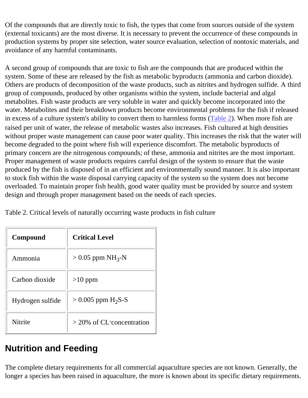Of the compounds that are directly toxic to fish, the types that come from sources outside of the system (external toxicants) are the most diverse. It is necessary to prevent the occurrence of these compounds in production systems by proper site selection, water source evaluation, selection of nontoxic materials, and avoidance of any harmful contaminants.

A second group of compounds that are toxic to fish are the compounds that are produced within the system. Some of these are released by the fish as metabolic byproducts (ammonia and carbon dioxide). Others are products of decomposition of the waste products, such as nitrites and hydrogen sulfide. A third group of compounds, produced by other organisms within the system, include bacterial and algal metabolites. Fish waste products are very soluble in water and quickly become incorporated into the water. Metabolites and their breakdown products become environmental problems for the fish if released in excess of a culture system's ability to convert them to harmless forms [\(Table 2](#page-41-0)). When more fish are raised per unit of water, the release of metabolic wastes also increases. Fish cultured at high densities without proper waste management can cause poor water quality. This increases the risk that the water will become degraded to the point where fish will experience discomfort. The metabolic byproducts of primary concern are the nitrogenous compounds; of these, ammonia and nitrites are the most important. Proper management of waste products requires careful design of the system to ensure that the waste produced by the fish is disposed of in an efficient and environmentally sound manner. It is also important to stock fish within the waste disposal carrying capacity of the system so the system does not become overloaded. To maintain proper fish health, good water quality must be provided by source and system design and through proper management based on the needs of each species.

<span id="page-41-0"></span>Table 2. Critical levels of naturally occurring waste products in fish culture

| Compound         | <b>Critical Level</b>            |
|------------------|----------------------------------|
| Ammonia          | $> 0.05$ ppm NH <sub>3</sub> -N  |
| Carbon dioxide   | $>10$ ppm                        |
| Hydrogen sulfide | $> 0.005$ ppm H <sub>2</sub> S-S |
| Nitrite          | $>$ 20% of CL-concentration      |

### **Nutrition and Feeding**

The complete dietary requirements for all commercial aquaculture species are not known. Generally, the longer a species has been raised in aquaculture, the more is known about its specific dietary requirements.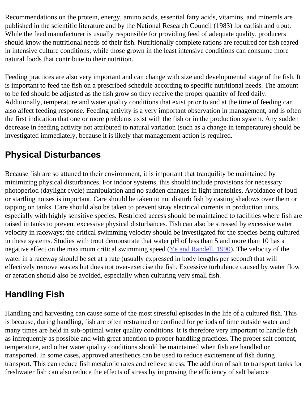Recommendations on the protein, energy, amino acids, essential fatty acids, vitamins, and minerals are published in the scientific literature and by the National Research Council (1983) for catfish and trout. While the feed manufacturer is usually responsible for providing feed of adequate quality, producers should know the nutritional needs of their fish. Nutritionally complete rations are required for fish reared in intensive culture conditions, while those grown in the least intensive conditions can consume more natural foods that contribute to their nutrition.

Feeding practices are also very important and can change with size and developmental stage of the fish. It is important to feed the fish on a prescribed schedule according to specific nutritional needs. The amount to be fed should be adjusted as the fish grow so they receive the proper quantity of feed daily. Additionally, temperature and water quality conditions that exist prior to and at the time of feeding can also affect feeding response. Feeding activity is a very important observation in management, and is often the first indication that one or more problems exist with the fish or in the production system. Any sudden decrease in feeding activity not attributed to natural variation (such as a change in temperature) should be investigated immediately, because it is likely that management action is required.

### **Physical Disturbances**

Because fish are so attuned to their environment, it is important that tranquility be maintained by minimizing physical disturbances. For indoor systems, this should include provisions for necessary photoperiod (daylight cycle) manipulation and no sudden changes in light intensities. Avoidance of loud or startling noises is important. Care should be taken to not disturb fish by casting shadows over them or tapping on tanks. Care should also be taken to prevent stray electrical currents in production units, especially with highly sensitive species. Restricted access should be maintained to facilities where fish are raised in tanks to prevent excessive physical disturbances. Fish can also be stressed by excessive water velocity in raceways; the critical swimming velocity should be investigated for the species being cultured in these systems. Studies with trout demonstrate that water pH of less than 5 and more than 10 has a negative effect on the maximum critical swimming speed [\(Ye and Randell, 1990](#page-45-0)). The velocity of the water in a raceway should be set at a rate (usually expressed in body lengths per second) that will effectively remove wastes but does not over-exercise the fish. Excessive turbulence caused by water flow or aeration should also be avoided, especially when culturing very small fish.

### **Handling Fish**

Handling and harvesting can cause some of the most stressful episodes in the life of a cultured fish. This is because, during handling, fish are often restrained or confined for periods of time outside water and many times are held in sub-optimal water quality conditions. It is therefore very important to handle fish as infrequently as possible and with great attention to proper handling practices. The proper salt content, temperature, and other water quality conditions should be maintained when fish are handled or transported. In some cases, approved anesthetics can be used to reduce excitement of fish during transport. This can reduce fish metabolic rates and relieve stress. The addition of salt to transport tanks for freshwater fish can also reduce the effects of stress by improving the efficiency of salt balance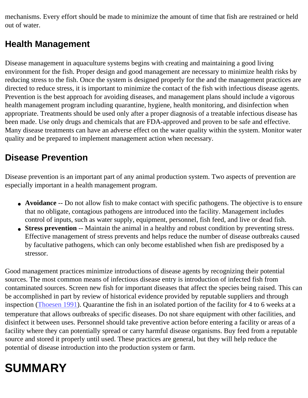mechanisms. Every effort should be made to minimize the amount of time that fish are restrained or held out of water.

### **Health Management**

Disease management in aquaculture systems begins with creating and maintaining a good living environment for the fish. Proper design and good management are necessary to minimize health risks by reducing stress to the fish. Once the system is designed properly for the and the management practices are directed to reduce stress, it is important to minimize the contact of the fish with infectious disease agents. Prevention is the best approach for avoiding diseases, and management plans should include a vigorous health management program including quarantine, hygiene, health monitoring, and disinfection when appropriate. Treatments should be used only after a proper diagnosis of a treatable infectious disease has been made. Use only drugs and chemicals that are FDA-approved and proven to be safe and effective. Many disease treatments can have an adverse effect on the water quality within the system. Monitor water quality and be prepared to implement management action when necessary.

### **Disease Prevention**

Disease prevention is an important part of any animal production system. Two aspects of prevention are especially important in a health management program.

- **Avoidance** -- Do not allow fish to make contact with specific pathogens. The objective is to ensure that no obligate, contagious pathogens are introduced into the facility. Management includes control of inputs, such as water supply, equipment, personnel, fish feed, and live or dead fish.
- **Stress prevention** -- Maintain the animal in a healthy and robust condition by preventing stress. Effective management of stress prevents and helps reduce the number of disease outbreaks caused by facultative pathogens, which can only become established when fish are predisposed by a stressor.

Good management practices minimize introductions of disease agents by recognizing their potential sources. The most common means of infectious disease entry is introduction of infected fish from contaminated sources. Screen new fish for important diseases that affect the species being raised. This can be accomplished in part by review of historical evidence provided by reputable suppliers and through inspection [\(Thoesen 1991\)](#page-45-1). Quarantine the fish in an isolated portion of the facility for 4 to 6 weeks at a temperature that allows outbreaks of specific diseases. Do not share equipment with other facilities, and disinfect it between uses. Personnel should take preventive action before entering a facility or areas of a facility where they can potentially spread or carry harmful disease organisms. Buy feed from a reputable source and stored it properly until used. These practices are general, but they will help reduce the potential of disease introduction into the production system or farm.

# **SUMMARY**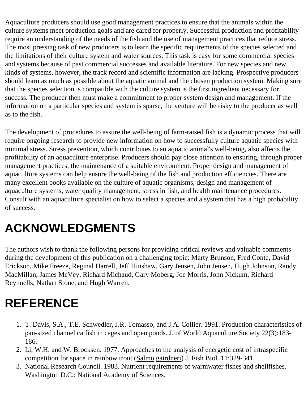Aquaculture producers should use good management practices to ensure that the animals within the culture systems meet production goals and are cared for properly. Successful production and profitability require an understanding of the needs of the fish and the use of management practices that reduce stress. The most pressing task of new producers is to learn the specific requirements of the species selected and the limitations of their culture system and water sources. This task is easy for some commercial species and systems because of past commercial successes and available literature. For new species and new kinds of systems, however, the track record and scientific information are lacking. Prospective producers should learn as much as possible about the aquatic animal and the chosen production system. Making sure that the species selection is compatible with the culture system is the first ingredient necessary for success. The producer then must make a commitment to proper system design and management. If the information on a particular species and system is sparse, the venture will be risky to the producer as well as to the fish.

The development of procedures to assure the well-being of farm-raised fish is a dynamic process that will require ongoing research to provide new information on how to successfully culture aquatic species with minimal stress. Stress prevention, which contributes to an aquatic animal's well-being, also affects the profitability of an aquaculture enterprise. Producers should pay close attention to ensuring, through proper management practices, the maintenance of a suitable environment. Proper design and management of aquaculture systems can help ensure the well-being of the fish and production efficiencies. There are many excellent books available on the culture of aquatic organisms, design and management of aquaculture systems, water quality management, stress in fish, and health maintenance procedures. Consult with an aquaculture specialist on how to select a species and a system that has a high probability of success.

# **ACKNOWLEDGMENTS**

The authors wish to thank the following persons for providing critical reviews and valuable comments during the development of this publication on a challenging topic: Marty Brunson, Fred Conte, David Erickson, Mike Freeze, Reginal Harrell, Jeff Hinshaw, Gary Jensen, John Jensen, Hugh Johnson, Randy MacMillan, James McVey, Richard Michaud, Gary Moberg, Joe Morris, John Nickum, Richard Reynnells, Nathan Stone, and Hugh Warren.

## <span id="page-44-1"></span>**REFERENCE**

- 1. T. Davis, S.A., T.E. Schwedler, J.R. Tomasso, and J.A. Collier. 1991. Production characteristics of pan-sized channel catfish in cages and open ponds. J. of World Aquaculture Society 22(3):183- 186.
- <span id="page-44-2"></span>2. Li, W.H. and W. Brocksen. 1977. Approaches to the analysis of energetic cost of intraspecific competition for space in rainbow trout (Salmo gairdneri) J. Fish Biol. 11:329-341.
- <span id="page-44-0"></span>3. National Research Council. 1983. Nutrient requirements of warmwater fishes and shellfishes. Washington D.C.: National Academy of Sciences.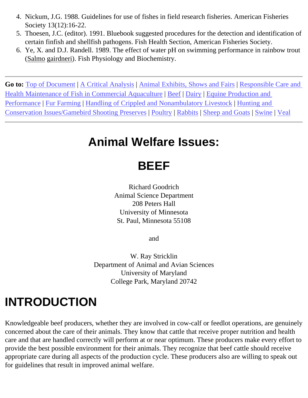- 4. Nickum, J.G. 1988. Guidelines for use of fishes in field research fisheries. American Fisheries Society 13(12):16-22.
- <span id="page-45-1"></span>5. Thoesen, J.C. (editor). 1991. Bluebook suggested procedures for the detection and identification of certain finfish and shellfish pathogens. Fish Health Section, American Fisheries Society.
- <span id="page-45-0"></span>6. Ye, X. and D.J. Randell. 1989. The effect of water pH on swimming performance in rainbow trout (Salmo gairdneri). Fish Physiology and Biochemistry.

<span id="page-45-2"></span>Go to: [Top of Document](#page-0-0) | [A Critical Analysis](#page-1-0) | [Animal Exhibits, Shows and Fairs](#page-24-0) | Responsible Care and [Health Maintenance of Fish in Commercial Aquaculture](#page-29-0) | [Beef](#page-45-2) | [Dairy](#page-50-0) | [Equine Production and](#page-66-0)  [Performance](#page-66-0) | [Fur Farming](#page-73-0) | [Handling of Crippled and Nonambulatory Livestock](#page-77-0) | [Hunting and](#page-82-0)  [Conservation Issues/Gamebird Shooting Preserves](#page-82-0) | [Poultry](#page-87-0) | [Rabbits](#page-94-0) | [Sheep and Goats](#page-102-0) | [Swine](#page-108-0) | [Veal](#page-114-0)

### **Animal Welfare Issues:**

### **BEEF**

Richard Goodrich Animal Science Department 208 Peters Hall University of Minnesota St. Paul, Minnesota 55108

and

W. Ray Stricklin Department of Animal and Avian Sciences University of Maryland College Park, Maryland 20742

## **INTRODUCTION**

Knowledgeable beef producers, whether they are involved in cow-calf or feedlot operations, are genuinely concerned about the care of their animals. They know that cattle that receive proper nutrition and health care and that are handled correctly will perform at or near optimum. These producers make every effort to provide the best possible environment for their animals. They recognize that beef cattle should receive appropriate care during all aspects of the production cycle. These producers also are willing to speak out for guidelines that result in improved animal welfare.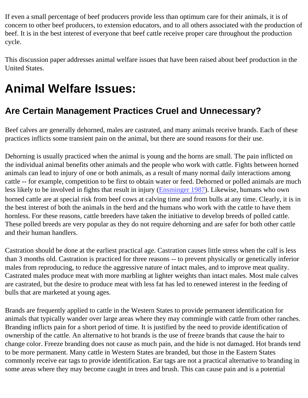If even a small percentage of beef producers provide less than optimum care for their animals, it is of concern to other beef producers, to extension educators, and to all others associated with the production of beef. It is in the best interest of everyone that beef cattle receive proper care throughout the production cycle.

This discussion paper addresses animal welfare issues that have been raised about beef production in the United States.

# **Animal Welfare Issues:**

### **Are Certain Management Practices Cruel and Unnecessary?**

Beef calves are generally dehorned, males are castrated, and many animals receive brands. Each of these practices inflicts some transient pain on the animal, but there are sound reasons for their use.

Dehorning is usually practiced when the animal is young and the horns are small. The pain inflicted on the individual animal benefits other animals and the people who work with cattle. Fights between horned animals can lead to injury of one or both animals, as a result of many normal daily interactions among cattle -- for example, competition to be first to obtain water or feed. Dehorned or polled animals are much less likely to be involved in fights that result in injury [\(Ensminger 1987\)](#page-50-1). Likewise, humans who own horned cattle are at special risk from beef cows at calving time and from bulls at any time. Clearly, it is in the best interest of both the animals in the herd and the humans who work with the cattle to have them hornless. For these reasons, cattle breeders have taken the initiative to develop breeds of polled cattle. These polled breeds are very popular as they do not require dehorning and are safer for both other cattle and their human handlers.

Castration should be done at the earliest practical age. Castration causes little stress when the calf is less than 3 months old. Castration is practiced for three reasons -- to prevent physically or genetically inferior males from reproducing, to reduce the aggressive nature of intact males, and to improve meat quality. Castrated males produce meat with more marbling at lighter weights than intact males. Most male calves are castrated, but the desire to produce meat with less fat has led to renewed interest in the feeding of bulls that are marketed at young ages.

Brands are frequently applied to cattle in the Western States to provide permanent identification for animals that typically wander over large areas where they may commingle with cattle from other ranches. Branding inflicts pain for a short period of time. It is justified by the need to provide identification of ownership of the cattle. An alternative to hot brands is the use of freeze brands that cause the hair to change color. Freeze branding does not cause as much pain, and the hide is not damaged. Hot brands tend to be more permanent. Many cattle in Western States are branded, but those in the Eastern States commonly receive ear tags to provide identification. Ear tags are not a practical alternative to branding in some areas where they may become caught in trees and brush. This can cause pain and is a potential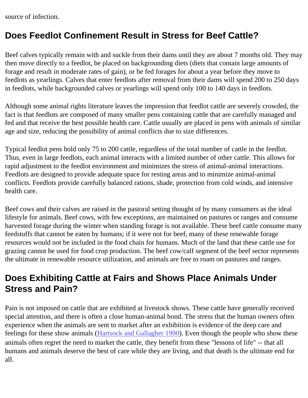source of infection.

### **Does Feedlot Confinement Result in Stress for Beef Cattle?**

Beef calves typically remain with and suckle from their dams until they are about 7 months old. They may then move directly to a feedlot, be placed on backgrounding diets (diets that contain large amounts of forage and result in moderate rates of gain), or be fed forages for about a year before they move to feedlots as yearlings. Calves that enter feedlots after removal from their dams will spend 200 to 250 days in feedlots, while backgrounded calves or yearlings will spend only 100 to 140 days in feedlots.

Although some animal rights literature leaves the impression that feedlot cattle are severely crowded, the fact is that feedlots are composed of many smaller pens containing cattle that are carefully managed and fed and that receive the best possible health care. Cattle usually are placed in pens with animals of similar age and size, reducing the possibility of animal conflicts due to size differences.

Typical feedlot pens hold only 75 to 200 cattle, regardless of the total number of cattle in the feedlot. Thus, even in large feedlots, each animal interacts with a limited number of other cattle. This allows for rapid adjustment to the feedlot environment and minimizes the stress of animal-animal interactions. Feedlots are designed to provide adequate space for resting areas and to minimize animal-animal conflicts. Feedlots provide carefully balanced rations, shade, protection from cold winds, and intensive health care.

Beef cows and their calves are raised in the pastoral setting thought of by many consumers as the ideal lifestyle for animals. Beef cows, with few exceptions, are maintained on pastures or ranges and consume harvested forage during the winter when standing forage is not available. These beef cattle consume many feedstuffs that cannot be eaten by humans; if it were not for beef, many of these renewable forage resources would not be included in the food chain for humans. Much of the land that these cattle use for grazing cannot be used for food crop production. The beef cow/calf segment of the beef sector represents the ultimate in renewable resource utilization, and animals are free to roam on pastures and ranges.

### **Does Exhibiting Cattle at Fairs and Shows Place Animals Under Stress and Pain?**

Pain is not imposed on cattle that are exhibited at livestock shows. These cattle have generally received special attention, and there is often a close human-animal bond. The stress that the human owners often experience when the animals are sent to market after an exhibition is evidence of the deep care and feelings for these show animals [\(Hartsock and Gallagher 1990\)](#page-50-2). Even though the people who show these animals often regret the need to market the cattle, they benefit from these "lessons of life" -- that all humans and animals deserve the best of care while they are living, and that death is the ultimate end for all.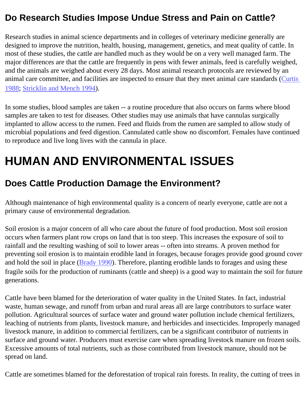### **Do Research Studies Impose Undue Stress and Pain on Cattle?**

Research studies in animal science departments and in colleges of veterinary medicine generally are designed to improve the nutrition, health, housing, management, genetics, and meat quality of cattle. In most of these studies, the cattle are handled much as they would be on a very well managed farm. The major differences are that the cattle are frequently in pens with fewer animals, feed is carefully weighed, and the animals are weighed about every 28 days. Most animal research protocols are reviewed by an animal care committee, and facilities are inspected to ensure that they meet animal care standards (Curtis [1988;](#page-50-3) [Stricklin and Mench 1994\)](#page-50-4).

In some studies, blood samples are taken -- a routine procedure that also occurs on farms where blood samples are taken to test for diseases. Other studies may use animals that have cannulas surgically implanted to allow access to the rumen. Feed and fluids from the rumen are sampled to allow study of microbial populations and feed digestion. Cannulated cattle show no discomfort. Females have continued to reproduce and live long lives with the cannula in place.

# **HUMAN AND ENVIRONMENTAL ISSUES**

### **Does Cattle Production Damage the Environment?**

Although maintenance of high environmental quality is a concern of nearly everyone, cattle are not a primary cause of environmental degradation.

Soil erosion is a major concern of all who care about the future of food production. Most soil erosion occurs when farmers plant row crops on land that is too steep. This increases the exposure of soil to rainfall and the resulting washing of soil to lower areas -- often into streams. A proven method for preventing soil erosion is to maintain erodible land in forages, because forages provide good ground cover and hold the soil in place [\(Brady 1990\)](#page-50-5). Therefore, planting erodible lands to forages and using these fragile soils for the production of ruminants (cattle and sheep) is a good way to maintain the soil for future generations.

Cattle have been blamed for the deterioration of water quality in the United States. In fact, industrial waste, human sewage, and runoff from urban and rural areas all are large contributors to surface water pollution. Agricultural sources of surface water and ground water pollution include chemical fertilizers, leaching of nutrients from plants, livestock manure, and herbicides and insecticides. Improperly managed livestock manure, in addition to commercial fertilizers, can be a significant contributor of nutrients in surface and ground water. Producers must exercise care when spreading livestock manure on frozen soils. Excessive amounts of total nutrients, such as those contributed from livestock manure, should not be spread on land.

Cattle are sometimes blamed for the deforestation of tropical rain forests. In reality, the cutting of trees in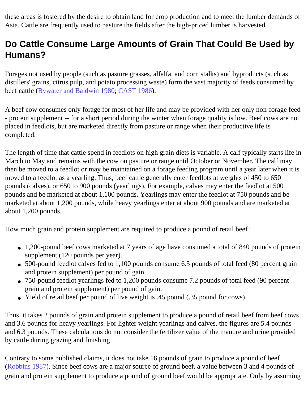these areas is fostered by the desire to obtain land for crop production and to meet the lumber demands of Asia. Cattle are frequently used to pasture the fields after the high-priced lumber is harvested.

### **Do Cattle Consume Large Amounts of Grain That Could Be Used by Humans?**

Forages not used by people (such as pasture grasses, alfalfa, and corn stalks) and byproducts (such as distillers' grains, citrus pulp, and potato processing waste) form the vast majority of feeds consumed by beef cattle ([Bywater and Baldwin 1980;](#page-50-6) [CAST 1986](#page-50-7)).

A beef cow consumes only forage for most of her life and may be provided with her only non-forage feed - - protein supplement -- for a short period during the winter when forage quality is low. Beef cows are not placed in feedlots, but are marketed directly from pasture or range when their productive life is completed.

The length of time that cattle spend in feedlots on high grain diets is variable. A calf typically starts life in March to May and remains with the cow on pasture or range until October or November. The calf may then be moved to a feedlot or may be maintained on a forage feeding program until a year later when it is moved to a feedlot as a yearling. Thus, beef cattle generally enter feedlots at weights of 450 to 650 pounds (calves), or 650 to 900 pounds (yearlings). For example, calves may enter the feedlot at 500 pounds and be marketed at about 1,100 pounds. Yearlings may enter the feedlot at 750 pounds and be marketed at about 1,200 pounds, while heavy yearlings enter at about 900 pounds and are marketed at about 1,200 pounds.

How much grain and protein supplement are required to produce a pound of retail beef?

- 1,200-pound beef cows marketed at 7 years of age have consumed a total of 840 pounds of protein supplement (120 pounds per year).
- 500-pound feedlot calves fed to 1,100 pounds consume 6.5 pounds of total feed (80 percent grain and protein supplement) per pound of gain.
- 750-pound feedlot yearlings fed to 1,200 pounds consume 7.2 pounds of total feed (90 percent grain and protein supplement) per pound of gain.
- Yield of retail beef per pound of live weight is .45 pound (.35 pound for cows).

Thus, it takes 2 pounds of grain and protein supplement to produce a pound of retail beef from beef cows and 3.6 pounds for heavy yearlings. For lighter weight yearlings and calves, the figures are 5.4 pounds and 6.3 pounds. These calculations do not consider the fertilizer value of the manure and urine provided by cattle during grazing and finishing.

Contrary to some published claims, it does not take 16 pounds of grain to produce a pound of beef ([Robbins 1987](#page-50-8)). Since beef cows are a major source of ground beef, a value between 3 and 4 pounds of grain and protein supplement to produce a pound of ground beef would be appropriate. Only by assuming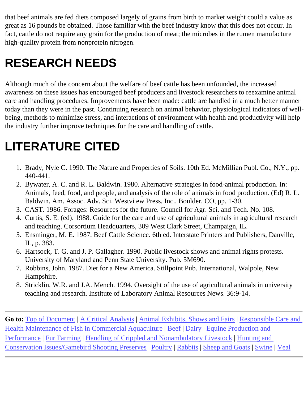that beef animals are fed diets composed largely of grains from birth to market weight could a value as great as 16 pounds be obtained. Those familiar with the beef industry know that this does not occur. In fact, cattle do not require any grain for the production of meat; the microbes in the rumen manufacture high-quality protein from nonprotein nitrogen.

# **RESEARCH NEEDS**

Although much of the concern about the welfare of beef cattle has been unfounded, the increased awareness on these issues has encouraged beef producers and livestock researchers to reexamine animal care and handling procedures. Improvements have been made: cattle are handled in a much better manner today than they were in the past. Continuing research on animal behavior, physiological indicators of wellbeing, methods to minimize stress, and interactions of environment with health and productivity will help the industry further improve techniques for the care and handling of cattle.

## <span id="page-50-5"></span>**LITERATURE CITED**

- 1. Brady, Nyle C. 1990. The Nature and Properties of Soils. 10th Ed. McMillian Publ. Co., N.Y., pp. 440-441.
- <span id="page-50-6"></span>2. Bywater, A. C. and R. L. Baldwin. 1980. Alternative strategies in food-animal production. In: Animals, feed, food, and people, and analysis of the role of animals in food production. (Ed) R. L. Baldwin. Am. Assoc. Adv. Sci. Westvi ew Press, Inc., Boulder, CO, pp. 1-30.
- <span id="page-50-7"></span>3. CAST. 1986. Forages: Resources for the future. Council for Agr. Sci. and Tech. No. 108.
- <span id="page-50-3"></span>4. Curtis, S. E. (ed). 1988. Guide for the care and use of agricultural animals in agricultural research and teaching. Corsortium Headquarters, 309 West Clark Street, Champaign, IL.
- <span id="page-50-1"></span>5. Ensminger, M. E. 1987. Beef Cattle Science. 6th ed. Interstate Printers and Publishers, Danville, IL, p. 383.
- <span id="page-50-2"></span>6. Hartsock, T. G. and J. P. Gallagher. 1990. Public livestock shows and animal rights protests. University of Maryland and Penn State University. Pub. 5M690.
- <span id="page-50-8"></span>7. Robbins, John. 1987. Diet for a New America. Stillpoint Pub. International, Walpole, New Hampshire.
- <span id="page-50-4"></span>8. Stricklin, W.R. and J.A. Mench. 1994. Oversight of the use of agricultural animals in university teaching and research. Institute of Laboratory Animal Resources News. 36:9-14.

<span id="page-50-0"></span>Go to: [Top of Document](#page-0-0) | [A Critical Analysis](#page-1-0) | [Animal Exhibits, Shows and Fairs](#page-24-0) | Responsible Care and [Health Maintenance of Fish in Commercial Aquaculture](#page-29-0) | [Beef](#page-45-2) | [Dairy](#page-50-0) | [Equine Production and](#page-66-0)  [Performance](#page-66-0) | [Fur Farming](#page-73-0) | [Handling of Crippled and Nonambulatory Livestock](#page-77-0) | Hunting and [Conservation Issues/Gamebird Shooting Preserves](#page-82-0) | [Poultry](#page-87-0) | [Rabbits](#page-94-0) | [Sheep and Goats](#page-102-0) | [Swine](#page-108-0) | [Veal](#page-114-0)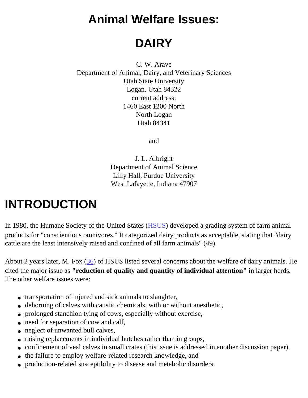### **Animal Welfare Issues:**

## **DAIRY**

C. W. Arave Department of Animal, Dairy, and Veterinary Sciences Utah State University Logan, Utah 84322 current address: 1460 East 1200 North North Logan Utah 84341

and

J. L. Albright Department of Animal Science Lilly Hall, Purdue University West Lafayette, Indiana 47907

# **INTRODUCTION**

In 1980, the Humane Society of the United States (**HSUS**) developed a grading system of farm animal products for "conscientious omnivores." It categorized dairy products as acceptable, stating that "dairy cattle are the least intensively raised and confined of all farm animals" (49).

About 2 years later, M. Fox [\(36\)](#page-63-0) of HSUS listed several concerns about the welfare of dairy animals. He cited the major issue as **"reduction of quality and quantity of individual attention"** in larger herds. The other welfare issues were:

- transportation of injured and sick animals to slaughter,
- dehorning of calves with caustic chemicals, with or without anesthetic,
- prolonged stanchion tying of cows, especially without exercise,
- need for separation of cow and calf,
- neglect of unwanted bull calves,
- raising replacements in individual hutches rather than in groups,
- confinement of veal calves in small crates (this issue is addressed in another discussion paper),
- the failure to employ welfare-related research knowledge, and
- production-related susceptibility to disease and metabolic disorders.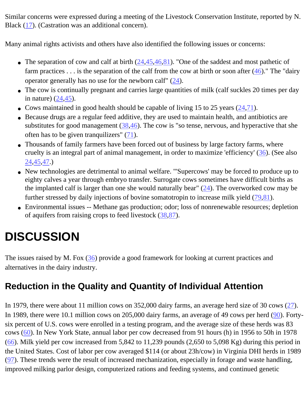Similar concerns were expressed during a meeting of the Livestock Conservation Institute, reported by N. Black [\(17](#page-62-0)). (Castration was an additional concern).

Many animal rights activists and others have also identified the following issues or concerns:

- The separation of cow and calf at birth  $(24,45,46,81)$  $(24,45,46,81)$  $(24,45,46,81)$  $(24,45,46,81)$  $(24,45,46,81)$  $(24,45,46,81)$ . "One of the saddest and most pathetic of farm practices  $\dots$  is the separation of the calf from the cow at birth or soon after ([46\)](#page-63-3)." The "dairy operator generally has no use for the newborn calf" ([24\)](#page-63-1).
- The cow is continually pregnant and carries large quantities of milk (calf suckles 20 times per day in nature) [\(24](#page-63-1),[45\)](#page-63-2).
- Cows maintained in good health should be capable of living 15 to 25 years  $(24,71)$  $(24,71)$  $(24,71)$ .
- Because drugs are a regular feed additive, they are used to maintain health, and antibiotics are substitutes for good management  $(38,46)$  $(38,46)$  $(38,46)$  $(38,46)$ . The cow is "so tense, nervous, and hyperactive that she often has to be given tranquilizers" [\(71](#page-65-1)).
- Thousands of family farmers have been forced out of business by large factory farms, where cruelty is an integral part of animal management, in order to maximize 'efficiency' ([36\)](#page-63-0). (See also [24,](#page-63-1)[45](#page-63-2)[,47](#page-63-5).)
- New technologies are detrimental to animal welfare. "'Supercows' may be forced to produce up to eighty calves a year through embryo transfer. Surrogate cows sometimes have difficult births as the implanted calf is larger than one she would naturally bear" ([24\)](#page-63-1). The overworked cow may be further stressed by daily injections of bovine somatotropin to increase milk yield ([79](#page-65-2)[,81](#page-65-0)).
- Environmental issues -- Methane gas production; odor; loss of nonrenewable resources; depletion of aquifers from raising crops to feed livestock [\(38](#page-63-4),[87\)](#page-65-3).

# **DISCUSSION**

The issues raised by M. Fox ([36\)](#page-63-0) provide a good framework for looking at current practices and alternatives in the dairy industry.

### **Reduction in the Quality and Quantity of Individual Attention**

In 1979, there were about 11 million cows on 352,000 dairy farms, an average herd size of 30 cows [\(27](#page-63-6)). In 1989, there were 10.1 million cows on 205,000 dairy farms, an average of 49 cows per herd [\(90](#page-65-4)). Fortysix percent of U.S. cows were enrolled in a testing program, and the average size of these herds was 83 cows ([60](#page-64-1)). In New York State, annual labor per cow decreased from 91 hours (h) in 1956 to 50h in 1978  $(66)$  $(66)$  $(66)$ . Milk yield per cow increased from 5,842 to 11,239 pounds (2,650 to 5,098 Kg) during this period in the United States. Cost of labor per cow averaged \$114 (or about 23h/cow) in Virginia DHI herds in 1989 ([97](#page-66-1)). These trends were the result of increased mechanization, especially in forage and waste handling, improved milking parlor design, computerized rations and feeding systems, and continued genetic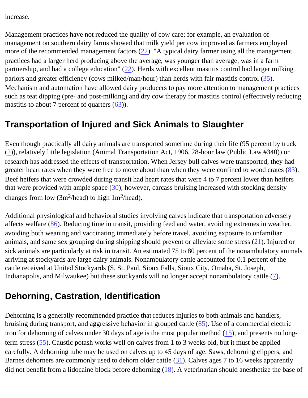increase.

Management practices have not reduced the quality of cow care; for example, an evaluation of management on southern dairy farms showed that milk yield per cow improved as farmers employed more of the recommended management factors  $(22)$ . "A typical dairy farmer using all the management practices had a larger herd producing above the average, was younger than average, was in a farm partnership, and had a college education" ([22](#page-62-1)). Herds with excellent mastitis control had larger milking parlors and greater efficiency (cows milked/man/hour) than herds with fair mastitis control [\(35](#page-63-7)). Mechanism and automation have allowed dairy producers to pay more attention to management practices such as teat dipping (pre- and post-milking) and dry cow therapy for mastitis control (effectively reducing mastitis to about 7 percent of quarters  $(63)$ ).

### **Transportation of Injured and Sick Animals to Slaughter**

Even though practically all dairy animals are transported sometime during their life (95 percent by truck ([2\)](#page-62-2)), relatively little legislation (Animal Transportation Act, 1906, 28-hour law (Public Law #340)) or research has addressed the effects of transportation. When Jersey bull calves were transported, they had greater heart rates when they were free to move about than when they were confined to wood crates  $(83)$  $(83)$ . Beef heifers that were crowded during transit had heart rates that were 4 to 7 percent lower than heifers that were provided with ample space  $(30)$  $(30)$ ; however, carcass bruising increased with stocking density changes from low (3m2/head) to high 1m2/head).

Additional physiological and behavioral studies involving calves indicate that transportation adversely affects welfare [\(86](#page-65-6)). Reducing time in transit, providing feed and water, avoiding extremes in weather, avoiding both weaning and vaccinating immediately before travel, avoiding exposure to unfamiliar animals, and same sex grouping during shipping should prevent or alleviate some stress ([21](#page-62-3)). Injured or sick animals are particularly at risk in transit. An estimated 75 to 80 percent of the nonambulatory animals arriving at stockyards are large dairy animals. Nonambulatory cattle accounted for 0.1 percent of the cattle received at United Stockyards (S. St. Paul, Sioux Falls, Sioux City, Omaha, St. Joseph, Indianapolis, and Milwaukee) but these stockyards will no longer accept nonambulatory cattle [\(7](#page-62-4)).

### **Dehorning, Castration, Identification**

Dehorning is a generally recommended practice that reduces injuries to both animals and handlers, bruising during transport, and aggressive behavior in grouped cattle [\(85](#page-65-7)). Use of a commercial electric iron for dehorning of calves under 30 days of age is the most popular method  $(15)$  $(15)$ , and presents no longterm stress ([55\)](#page-64-4). Caustic potash works well on calves from 1 to 3 weeks old, but it must be applied carefully. A dehorning tube may be used on calves up to 45 days of age. Saws, dehorning clippers, and Barnes dehorners are commonly used to dehorn older cattle [\(31](#page-63-9)). Calves ages 7 to 16 weeks apparently did not benefit from a lidocaine block before dehorning ([18\)](#page-62-6). A veterinarian should anesthetize the base of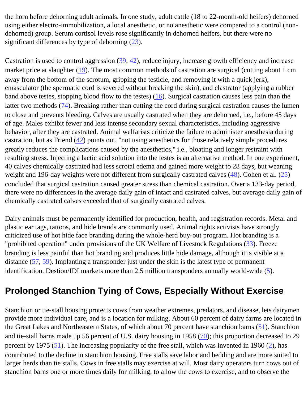the horn before dehorning adult animals. In one study, adult cattle (18 to 22-month-old heifers) dehorned using either electro-immobilization, a local anesthetic, or no anesthetic were compared to a control (nondehorned) group. Serum cortisol levels rose significantly in dehorned heifers, but there were no significant differences by type of dehorning  $(23)$  $(23)$  $(23)$ .

Castration is used to control aggression ([39,](#page-63-10) [42\)](#page-63-11), reduce injury, increase growth efficiency and increase market price at slaughter ([19\)](#page-62-8). The most common methods of castration are surgical (cutting about 1 cm away from the bottom of the scrotum, gripping the testicle, and removing it with a quick jerk), emasculator (the spermatic cord is severed without breaking the skin), and elastrator (applying a rubber band above testes, stopping blood flow to the testes)  $(16)$  $(16)$ . Surgical castration causes less pain than the latter two methods [\(74](#page-65-8)). Breaking rather than cutting the cord during surgical castration causes the lumen to close and prevents bleeding. Calves are usually castrated when they are dehorned, i.e., before 45 days of age. Males exhibit fewer and less intense secondary sexual characteristics, including aggressive behavior, after they are castrated. Animal welfarists criticize the failure to administer anesthesia during castration, but as Friend  $(42)$  $(42)$  $(42)$  points out, "not using anesthetics for those relatively simple procedures greatly reduces the complications caused by the anesthetics," i.e., bloating and longer restraint with resulting stress. Injecting a lactic acid solution into the testes is an alternative method. In one experiment, 40 calves chemically castrated had less scrotal edema and gained more weight to 28 days, but weaning weight and 196-day weights were not different from surgically castrated calves [\(48\)](#page-63-12). Cohen et al. [\(25](#page-63-13)) concluded that surgical castration caused greater stress than chemical castration. Over a 133-day period, there were no differences in the average daily gain of intact and castrated calves, but average daily gain of chemically castrated calves exceeded that of surgically castrated calves.

Dairy animals must be permanently identified for production, health, and registration records. Metal and plastic ear tags, tattoos, and hide brands are commonly used. Animal rights activists have strongly criticized use of hot hide face branding during the whole-herd buy-out program. Hot branding is a "prohibited operation" under provisions of the UK Welfare of Livestock Regulations [\(33](#page-63-14)). Freeze branding is less painful than hot branding and produces little hide damage, although it is visible at a distance ([57](#page-64-5), [59](#page-64-6)). Implanting a transponder just under the skin is the latest type of permanent identification. Destion/IDI markets more than 2.5 million transponders annually world-wide [\(5](#page-62-10)).

#### **Prolonged Stanchion Tying of Cows, Especially Without Exercise**

Stanchion or tie-stall housing protects cows from weather extremes, predators, and disease, lets dairymen provide more individual care, and is a location for milking. About 60 percent of dairy farms are located in the Great Lakes and Northeastern States, of which about 70 percent have stanchion barns ([51](#page-64-7)). Stanchion and tie-stall barns made up 56 percent of U.S. dairy housing in 1958 ([70\)](#page-65-9); this proportion decreased to 29 percent by 1975 ([51](#page-64-7)). The increasing popularity of the free stall, which was invented in 1960 [\(2](#page-62-2)), has contributed to the decline in stanchion housing. Free stalls save labor and bedding and are more suited to larger herds than tie stalls. Cows in free stalls may exercise at will. Most dairy operators turn cows out of stanchion barns one or more times daily for milking, to allow the cows to exercise, and to observe the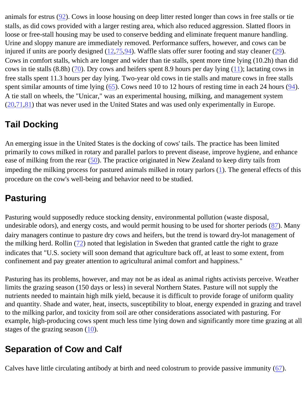animals for estrus ([92\)](#page-65-10). Cows in loose housing on deep litter rested longer than cows in free stalls or tie stalls, as did cows provided with a larger resting area, which also reduced aggression. Slatted floors in loose or free-stall housing may be used to conserve bedding and eliminate frequent manure handling. Urine and sloppy manure are immediately removed. Performance suffers, however, and cows can be injured if units are poorly designed  $(12,75,94)$  $(12,75,94)$  $(12,75,94)$  $(12,75,94)$  $(12,75,94)$ . Waffle slats offer surer footing and stay cleaner [\(29](#page-63-15)). Cows in comfort stalls, which are longer and wider than tie stalls, spent more time lying (10.2h) than did cows in tie stalls  $(8.8h)$   $(70)$  $(70)$ . Dry cows and heifers spent 8.9 hours per day lying  $(11)$  $(11)$ ; lactating cows in free stalls spent 11.3 hours per day lying. Two-year old cows in tie stalls and mature cows in free stalls spent similar amounts of time lying [\(65](#page-64-8)). Cows need 10 to 12 hours of resting time in each 24 hours [\(94](#page-65-12)). A tie stall on wheels, the "Unicar," was an experimental housing, milking, and management system  $(20,71,81)$  $(20,71,81)$  $(20,71,81)$  $(20,71,81)$  $(20,71,81)$  $(20,71,81)$  that was never used in the United States and was used only experimentally in Europe.

### **Tail Docking**

An emerging issue in the United States is the docking of cows' tails. The practice has been limited primarily to cows milked in rotary and parallel parlors to prevent disease, improve hygiene, and enhance ease of milking from the rear ([50\)](#page-64-9). The practice originated in New Zealand to keep dirty tails from impeding the milking process for pastured animals milked in rotary parlors ([1\)](#page-62-14). The general effects of this procedure on the cow's well-being and behavior need to be studied.

### **Pasturing**

Pasturing would supposedly reduce stocking density, environmental pollution (waste disposal, undesirable odors), and energy costs, and would permit housing to be used for shorter periods  $(87)$  $(87)$ . Many dairy managers continue to pasture dry cows and heifers, but the trend is toward dry-lot management of the milking herd. Rollin ([72\)](#page-65-13) noted that legislation in Sweden that granted cattle the right to graze indicates that "U.S. society will soon demand that agriculture back off, at least to some extent, from confinement and pay greater attention to agricultural animal comfort and happiness."

Pasturing has its problems, however, and may not be as ideal as animal rights activists perceive. Weather limits the grazing season (150 days or less) in several Northern States. Pasture will not supply the nutrients needed to maintain high milk yield, because it is difficult to provide forage of uniform quality and quantity. Shade and water, heat, insects, susceptibility to bloat, energy expended in grazing and travel to the milking parlor, and toxicity from soil are other considerations associated with pasturing. For example, high-producing cows spent much less time lying down and significantly more time grazing at all stages of the grazing season  $(10)$  $(10)$ .

### **Separation of Cow and Calf**

Calves have little circulating antibody at birth and need colostrum to provide passive immunity [\(67](#page-64-10)).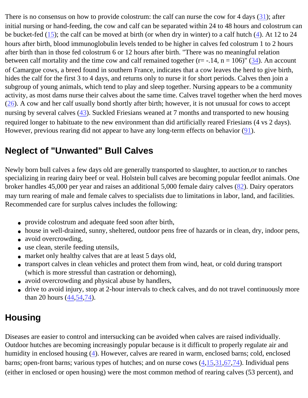There is no consensus on how to provide colostrum: the calf can nurse the cow for 4 days ([31](#page-63-9)); after initial nursing or hand-feeding, the cow and calf can be separated within 24 to 48 hours and colostrum can be bucket-fed [\(15\)](#page-62-5); the calf can be moved at birth (or when dry in winter) to a calf hutch ([4\)](#page-62-16). At 12 to 24 hours after birth, blood immunoglobulin levels tended to be higher in calves fed colostrum 1 to 2 hours after birth than in those fed colostrum 6 or 12 hours after birth. "There was no meaningful relation between calf mortality and the time cow and calf remained together  $(r=-.14, n=106)$ " ([34\)](#page-63-16). An account of Camargue cows, a breed found in southern France, indicates that a cow leaves the herd to give birth, hides the calf for the first 3 to 4 days, and returns only to nurse it for short periods. Calves then join a subgroup of young animals, which tend to play and sleep together. Nursing appears to be a community activity, as most dams nurse their calves about the same time. Calves travel together when the herd moves  $(26)$  $(26)$  $(26)$ . A cow and her calf usually bond shortly after birth; however, it is not unusual for cows to accept nursing by several calves [\(43](#page-63-18)). Suckled Friesians weaned at 7 months and transported to new housing required longer to habituate to the new environment than did artificially reared Friesians (4 vs 2 days). However, previous rearing did not appear to have any long-term effects on behavior [\(91](#page-65-14)).

### **Neglect of "Unwanted" Bull Calves**

Newly born bull calves a few days old are generally transported to slaughter, to auction,or to ranches specializing in rearing dairy beef or veal. Holstein bull calves are becoming popular feedlot animals. One broker handles 45,000 per year and raises an additional 5,000 female dairy calves [\(82](#page-65-15)). Dairy operators may turn rearing of male and female calves to specialists due to limitations in labor, land, and facilities. Recommended care for surplus calves includes the following:

- provide colostrum and adequate feed soon after birth,
- house in well-drained, sunny, sheltered, outdoor pens free of hazards or in clean, dry, indoor pens,
- avoid overcrowding,
- use clean, sterile feeding utensils,
- market only healthy calves that are at least 5 days old,
- transport calves in clean vehicles and protect them from wind, heat, or cold during transport (which is more stressful than castration or dehorning),
- avoid overcrowding and physical abuse by handlers,
- drive to avoid injury, stop at 2-hour intervals to check calves, and do not travel continuously more than 20 hours  $(44, 54, 74)$  $(44, 54, 74)$  $(44, 54, 74)$  $(44, 54, 74)$  $(44, 54, 74)$  $(44, 54, 74)$ .

### **Housing**

Diseases are easier to control and intersucking can be avoided when calves are raised individually. Outdoor hutches are becoming increasingly popular because is it difficult to properly regulate air and humidity in enclosed housing [\(4](#page-62-16)). However, calves are reared in warm, enclosed barns; cold, enclosed barns; open-front barns; various types of hutches; and on nurse cows [\(4](#page-62-16),[15](#page-62-5),[31](#page-63-9)[,67](#page-64-10),[74\)](#page-65-8). Individual pens (either in enclosed or open housing) were the most common method of rearing calves (53 percent), and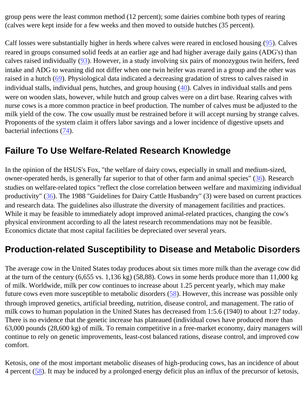group pens were the least common method (12 percent); some dairies combine both types of rearing (calves were kept inside for a few weeks and then moved to outside hutches (35 percent).

Calf losses were substantially higher in herds where calves were reared in enclosed housing ([95\)](#page-65-16). Calves reared in groups consumed solid feeds at an earlier age and had higher average daily gains (ADG's) than calves raised individually [\(93\)](#page-65-17). However, in a study involving six pairs of monozygous twin heifers, feed intake and ADG to weaning did not differ when one twin heifer was reared in a group and the other was raised in a hutch ([69](#page-64-12)). Physiological data indicated a decreasing gradation of stress to calves raised in individual stalls, individual pens, hutches, and group housing ([40](#page-63-20)). Calves in individual stalls and pens were on wooden slats, however, while hutch and group calves were on a dirt base. Rearing calves with nurse cows is a more common practice in beef production. The number of calves must be adjusted to the milk yield of the cow. The cow usually must be restrained before it will accept nursing by strange calves. Proponents of the system claim it offers labor savings and a lower incidence of digestive upsets and bacterial infections [\(74](#page-65-8)).

#### **Failure To Use Welfare-Related Research Knowledge**

In the opinion of the HSUS's Fox, "the welfare of dairy cows, especially in small and medium-sized, owner-operated herds, is generally far superior to that of other farm and animal species" ([36\)](#page-63-0). Research studies on welfare-related topics "reflect the close correlation between welfare and maximizing individual productivity" ([36\)](#page-63-0). The 1988 "Guidelines for Dairy Cattle Husbandry" (3) were based on current practices and research data. The guidelines also illustrate the diversity of management facilities and practices. While it may be feasible to immediately adopt improved animal-related practices, changing the cow's physical environment according to all the latest research recommendations may not be feasible. Economics dictate that most capital facilities be depreciated over several years.

#### **Production-related Susceptibility to Disease and Metabolic Disorders**

The average cow in the United States today produces about six times more milk than the average cow did at the turn of the century (6,655 vs. 1,136 kg) (58,88). Cows in some herds produce more than 11,000 kg of milk. Worldwide, milk per cow continues to increase about 1.25 percent yearly, which may make future cows even more susceptible to metabolic disorders [\(58](#page-64-13)). However, this increase was possible only through improved genetics, artificial breeding, nutrition, disease control, and management. The ratio of milk cows to human population in the United States has decreased from 1:5.6 (1940) to about 1:27 today. There is no evidence that the genetic increase has plateaued (individual cows have produced more than 63,000 pounds (28,600 kg) of milk. To remain competitive in a free-market economy, dairy managers will continue to rely on genetic improvements, least-cost balanced rations, disease control, and improved cow comfort.

Ketosis, one of the most important metabolic diseases of high-producing cows, has an incidence of about 4 percent [\(58](#page-64-13)). It may be induced by a prolonged energy deficit plus an influx of the precursor of ketosis,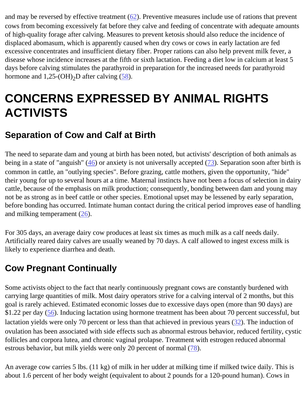and may be reversed by effective treatment  $(62)$ . Preventive measures include use of rations that prevent cows from becoming excessively fat before they calve and feeding of concentrate with adequate amounts of high-quality forage after calving. Measures to prevent ketosis should also reduce the incidence of displaced abomasum, which is apparently caused when dry cows or cows in early lactation are fed excessive concentrates and insufficient dietary fiber. Proper rations can also help prevent milk fever, a disease whose incidence increases at the fifth or sixth lactation. Feeding a diet low in calcium at least 5 days before calving stimulates the parathyroid in preparation for the increased needs for parathyroid hormone and  $1,25-(OH)_2D$  after calving ([58\)](#page-64-13).

## **CONCERNS EXPRESSED BY ANIMAL RIGHTS ACTIVISTS**

### **Separation of Cow and Calf at Birth**

The need to separate dam and young at birth has been noted, but activists' description of both animals as being in a state of "anguish" ([46\)](#page-63-3) or anxiety is not universally accepted [\(73](#page-65-18)). Separation soon after birth is common in cattle, an "outlying species". Before grazing, cattle mothers, given the opportunity, "hide" their young for up to several hours at a time. Maternal instincts have not been a focus of selection in dairy cattle, because of the emphasis on milk production; consequently, bonding between dam and young may not be as strong as in beef cattle or other species. Emotional upset may be lessened by early separation, before bonding has occurred. Intimate human contact during the critical period improves ease of handling and milking temperament  $(26)$  $(26)$ .

For 305 days, an average dairy cow produces at least six times as much milk as a calf needs daily. Artificially reared dairy calves are usually weaned by 70 days. A calf allowed to ingest excess milk is likely to experience diarrhea and death.

### **Cow Pregnant Continually**

Some activists object to the fact that nearly continuously pregnant cows are constantly burdened with carrying large quantities of milk. Most dairy operators strive for a calving interval of 2 months, but this goal is rarely achieved. Estimated economic losses due to excessive days open (more than 90 days) are \$1.22 per day [\(56\)](#page-64-15). Inducing lactation using hormone treatment has been about 70 percent successful, but lactation yields were only 70 percent or less than that achieved in previous years [\(32](#page-63-21)). The induction of ovulation has been associated with side effects such as abnormal estrous behavior, reduced fertility, cystic follicles and corpora lutea, and chronic vaginal prolapse. Treatment with estrogen reduced abnormal estrous behavior, but milk yields were only 20 percent of normal [\(78](#page-65-19)).

An average cow carries 5 lbs. (11 kg) of milk in her udder at milking time if milked twice daily. This is about 1.6 percent of her body weight (equivalent to about 2 pounds for a 120-pound human). Cows in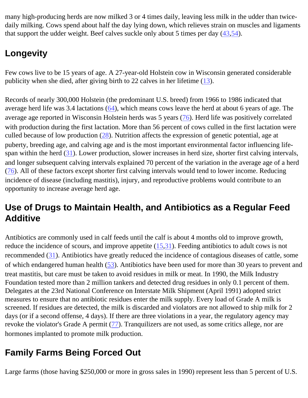many high-producing herds are now milked 3 or 4 times daily, leaving less milk in the udder than twicedaily milking. Cows spend about half the day lying down, which relieves strain on muscles and ligaments that support the udder weight. Beef calves suckle only about 5 times per day  $(43,54)$  $(43,54)$  $(43,54)$ .

### **Longevity**

Few cows live to be 15 years of age. A 27-year-old Holstein cow in Wisconsin generated considerable publicity when she died, after giving birth to 22 calves in her lifetime ([13\)](#page-62-17).

Records of nearly 300,000 Holstein (the predominant U.S. breed) from 1966 to 1986 indicated that average herd life was 3.4 lactations [\(64\)](#page-64-16), which means cows leave the herd at about 6 years of age. The average age reported in Wisconsin Holstein herds was 5 years ([76\)](#page-65-20). Herd life was positively correlated with production during the first lactation. More than 56 percent of cows culled in the first lactation were culled because of low production ([28](#page-63-22)). Nutrition affects the expression of genetic potential, age at puberty, breeding age, and calving age and is the most important environmental factor influencing lifespan within the herd  $(31)$  $(31)$ . Lower production, slower increases in herd size, shorter first calving intervals, and longer subsequent calving intervals explained 70 percent of the variation in the average age of a herd ([76](#page-65-20)). All of these factors except shorter first calving intervals would tend to lower income. Reducing incidence of disease (including mastitis), injury, and reproductive problems would contribute to an opportunity to increase average herd age.

### **Use of Drugs to Maintain Health, and Antibiotics as a Regular Feed Additive**

Antibiotics are commonly used in calf feeds until the calf is about 4 months old to improve growth, reduce the incidence of scours, and improve appetite ([15](#page-62-5),[31\)](#page-63-9). Feeding antibiotics to adult cows is not recommended ([31\)](#page-63-9). Antibiotics have greatly reduced the incidence of contagious diseases of cattle, some of which endangered human health [\(53](#page-64-17)). Antibiotics have been used for more than 30 years to prevent and treat mastitis, but care must be taken to avoid residues in milk or meat. In 1990, the Milk Industry Foundation tested more than 2 million tankers and detected drug residues in only 0.1 percent of them. Delegates at the 23rd National Conference on Interstate Milk Shipment (April 1991) adopted strict measures to ensure that no antibiotic residues enter the milk supply. Every load of Grade A milk is screened. If residues are detected, the milk is discarded and violators are not allowed to ship milk for 2 days (or if a second offense, 4 days). If there are three violations in a year, the regulatory agency may revoke the violator's Grade A permit ([77\)](#page-65-21). Tranquilizers are not used, as some critics allege, nor are hormones implanted to promote milk production.

### **Family Farms Being Forced Out**

Large farms (those having \$250,000 or more in gross sales in 1990) represent less than 5 percent of U.S.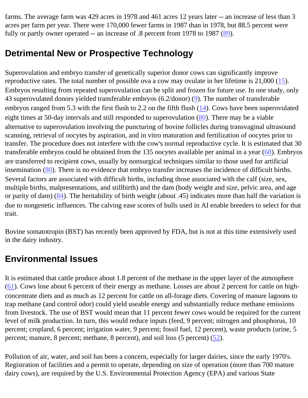farms. The average farm was 429 acres in 1978 and 461 acres 12 years later -- an increase of less than 3 acres per farm per year. There were 170,000 fewer farms in 1987 than in 1978, but 88.5 percent were fully or partly owner operated -- an increase of .8 percent from 1978 to 1987 ([89\)](#page-65-22).

### **Detrimental New or Prospective Technology**

Superovulation and embryo transfer of genetically superior donor cows can significantly improve reproductive rates. The total number of possible ova a cow may ovulate in her lifetime is 21,000 [\(15\)](#page-62-5). Embryos resulting from repeated superovulation can be split and frozen for future use. In one study, only 43 superovulated donors yielded transferable embryos (6.2/donor) ([9\)](#page-62-18). The number of transferable embryos ranged from 5.3 with the first flush to 2.2 on the fifth flush ([14\)](#page-62-19). Cows have been superovulated eight times at 50-day intervals and still responded to superovulation [\(80](#page-65-23)). There may be a viable alternative to superovulation involving the puncturing of bovine follicles during transvaginal ultrasound scanning, retrieval of oocytes by aspiration, and in vitro maturation and fertilization of oocytes prior to transfer. The procedure does not interfere with the cow's normal reproductive cycle. It is estimated that 30 transferable embryos could be obtained from the 135 oocytes available per animal in a year ([68\)](#page-64-18). Embryos are transferred to recipient cows, usually by nonsurgical techniques similar to those used for artificial insemination ([80\)](#page-65-23). There is no evidence that embryo transfer increases the incidence of difficult births. Several factors are associated with difficult births, including those associated with the calf (size, sex, multiple births, malpresentations, and stillbirth) and the dam (body weight and size, pelvic area, and age or parity of dam) ([84](#page-65-24)). The heritability of birth weight (about .45) indicates more than half the variation is due to nongenetic influences. The calving ease scores of bulls used in AI enable breeders to select for that trait.

Bovine somatotropin (BST) has recently been approved by FDA, but is not at this time extensively used in the dairy industry.

### **Environmental Issues**

It is estimated that cattle produce about 1.8 percent of the methane in the upper layer of the atmosphere ([61](#page-64-19)). Cows lose about 6 percent of their energy as methane. Losses are about 2 percent for cattle on highconcentrate diets and as much as 12 percent for cattle on all-forage diets. Covering of manure lagoons to trap methane (and control odor) could yield useable energy and substantially reduce methane emissions from livestock. The use of BST would mean that 11 percent fewer cows would be required for the current level of milk production. In turn, this would reduce inputs (feed, 9 percent; nitrogen and phosphorus, 10 percent; cropland, 6 percent; irrigation water, 9 percent; fossil fuel, 12 percent), waste products (urine, 5 percent; manure, 8 percent; methane, 8 percent), and soil loss (5 percent) [\(52](#page-64-20)).

Pollution of air, water, and soil has been a concern, especially for larger dairies, since the early 1970's. Registration of facilities and a permit to operate, depending on size of operation (more than 700 mature dairy cows), are required by the U.S. Environmental Protection Agency (EPA) and various State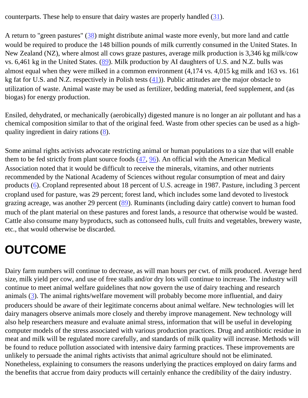counterparts. These help to ensure that dairy wastes are properly handled ([31\)](#page-63-9).

A return to "green pastures" ([38\)](#page-63-4) might distribute animal waste more evenly, but more land and cattle would be required to produce the 148 billion pounds of milk currently consumed in the United States. In New Zealand (NZ), where almost all cows graze pastures, average milk production is 3,346 kg milk/cow vs. 6,461 kg in the United States. [\(89](#page-65-22)). Milk production by AI daughters of U.S. and N.Z. bulls was almost equal when they were milked in a common environment (4,174 vs. 4,015 kg milk and 163 vs. 161 kg fat for U.S. and N.Z. respectively in Polish tests ([41\)](#page-63-23)). Public attitudes are the major obstacle to utilization of waste. Animal waste may be used as fertilizer, bedding material, feed supplement, and (as biogas) for energy production.

Ensiled, dehydrated, or mechanically (aerobically) digested manure is no longer an air pollutant and has a chemical composition similar to that of the original feed. Waste from other species can be used as a highquality ingredient in dairy rations [\(8](#page-62-20)).

Some animal rights activists advocate restricting animal or human populations to a size that will enable them to be fed strictly from plant source foods  $(47, 96)$  $(47, 96)$  $(47, 96)$  $(47, 96)$ . An official with the American Medical Association noted that it would be difficult to receive the minerals, vitamins, and other nutrients recommended by the National Academy of Sciences without regular consumption of meat and dairy products ([6\)](#page-62-21). Cropland represented about 18 percent of U.S. acreage in 1987. Pasture, including 3 percent cropland used for pasture, was 29 percent; forest land, which includes some land devoted to livestock grazing acreage, was another 29 percent [\(89\)](#page-65-22). Ruminants (including dairy cattle) convert to human food much of the plant material on these pastures and forest lands, a resource that otherwise would be wasted. Cattle also consume many byproducts, such as cottonseed hulls, cull fruits and vegetables, brewery waste, etc., that would otherwise be discarded.

# **OUTCOME**

Dairy farm numbers will continue to decrease, as will man hours per cwt. of milk produced. Average herd size, milk yield per cow, and use of free stalls and/or dry lots will continue to increase. The industry will continue to meet animal welfare guidelines that now govern the use of dairy teaching and research animals [\(3](#page-62-22)). The animal rights/welfare movement will probably become more influential, and dairy producers should be aware of their legitimate concerns about animal welfare. New technologies will let dairy managers observe animals more closely and thereby improve management. New technology will also help researchers measure and evaluate animal stress, information that will be useful in developing computer models of the stress associated with various production practices. Drug and antibiotic residue in meat and milk will be regulated more carefully, and standards of milk quality will increase. Methods will be found to reduce pollution associated with intensive dairy farming practices. These improvements are unlikely to persuade the animal rights activists that animal agriculture should not be eliminated. Nonetheless, explaining to consumers the reasons underlying the practices employed on dairy farms and the benefits that accrue from dairy products will certainly enhance the credibility of the dairy industry.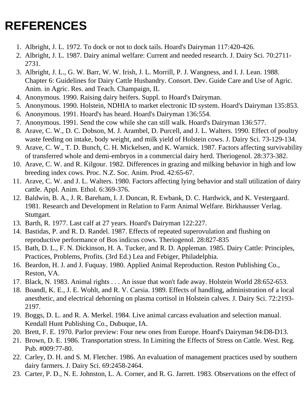# <span id="page-62-14"></span>**REFERENCES**

- 1. Albright, J. L. 1972. To dock or not to dock tails. Hoard's Dairyman 117:420-426.
- <span id="page-62-2"></span>2. Albright, J. L. 1987. Dairy animal welfare: Current and needed research. J. Dairy Sci. 70:2711- 2731.
- <span id="page-62-22"></span>3. Albright, J. L., G. W. Barr, W. W. Irish, J. L. Morrill, P. J. Wangness, and I. J. Lean. 1988. Chapter 6: Guidelines for Dairy Cattle Husbandry. Consort. Dev. Guide Care and Use of Agric. Anim. in Agric. Res. and Teach. Champaign, IL
- <span id="page-62-16"></span>4. Anonymous. 1990. Raising dairy heifers. Suppl. to Hoard's Dairyman.
- <span id="page-62-10"></span>5. Anonymous. 1990. Holstein, NDHIA to market electronic ID system. Hoard's Dairyman 135:853.
- <span id="page-62-21"></span>6. Anonymous. 1991. Hoard's has heard. Hoard's Dairyman 136:554.
- <span id="page-62-4"></span>7. Anonymous. 1991. Send the cow while she can still walk. Hoard's Dairyman 136:577.
- <span id="page-62-20"></span>8. Arave, C. W., D. C. Dobson, M. J. Arambel, D. Purcell, and J. L. Walters. 1990. Effect of poultry waste feeding on intake, body weight, and milk yield of Holstein cows. J. Dairy Sci. 73-129-134.
- <span id="page-62-18"></span>9. Arave, C. W., T. D. Bunch, C. H. Mickelsen, and K. Warnick. 1987. Factors affecting survivability of transferred whole and demi-embryos in a commercial dairy herd. Theriogenol. 28:373-382.
- <span id="page-62-15"></span>10. Arave, C. W. and R. Kilgour. 1982. Differences in grazing and milking behavior in high and low breeding index cows. Proc. N.Z. Soc. Anim. Prod. 42:65-67.
- <span id="page-62-12"></span>11. Arave, C. W. and J. L. Walters. 1980. Factors affecting lying behavior and stall utilization of dairy cattle. Appl. Anim. Ethol. 6:369-376.
- <span id="page-62-11"></span>12. Baldwin, B. A., J. R. Bareham, I. J. Duncan, R. Ewbank, D. C. Hardwick, and K. Vestergaard. 1981. Research and Development in Relation to Farm Animal Welfare. Birkhausser Verlag. Stuttgart.
- <span id="page-62-17"></span>13. Barth, R. 1977. Last calf at 27 years. Hoard's Dairyman 122:227.
- <span id="page-62-19"></span>14. Bastidas, P. and R. D. Randel. 1987. Effects of repeated superovulation and flushing on reproductive performance of Bos indicus cows. Theriogenol. 28:827-835
- <span id="page-62-5"></span>15. Bath, D. L., F. N. Dickinson, H. A. Tucker, and R. D. Appleman. 1985. Dairy Cattle: Principles, Practices, Problems, Profits. (3rd Ed.) Lea and Febiger, Philadelphia.
- <span id="page-62-9"></span>16. Beardon, H. J. and J. Fuquay. 1980. Applied Animal Reproduction. Reston Publishing Co., Reston, VA.
- <span id="page-62-0"></span>17. Black, N. 1983. Animal rights . . . An issue that won't fade away. Holstein World 28:652-653.
- <span id="page-62-6"></span>18. Boandl, K. E., J. E. Wohlt, and R. V. Carsia. 1989. Effects of handling, administration of a local anesthetic, and electrical dehorning on plasma cortisol in Holstein calves. J. Dairy Sci. 72:2193- 2197.
- <span id="page-62-8"></span>19. Boggs, D. L. and R. A. Merkel. 1984. Live animal carcass evaluation and selection manual. Kendall Hunt Publishing Co., Dubuque, IA.
- <span id="page-62-13"></span>20. Brett, F. E. 1970. Parlor preview: Four new ones from Europe. Hoard's Dairyman 94:D8-D13.
- <span id="page-62-3"></span>21. Brown, D. E. 1986. Transportation stress. In Limiting the Effects of Stress on Cattle. West. Reg. Pub. #009:77-80.
- <span id="page-62-1"></span>22. Carley, D. H. and S. M. Fletcher. 1986. An evaluation of management practices used by southern dairy farmers. J. Dairy Sci. 69:2458-2464.
- <span id="page-62-7"></span>23. Carter, P. D., N. E. Johnston, L. A. Corner, and R. G. Jarrett. 1983. Observations on the effect of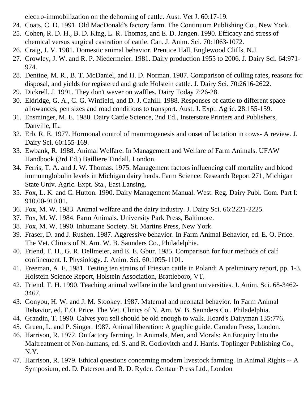electro-immobilization on the dehorning of cattle. Aust. Vet J. 60:17-19.

- <span id="page-63-1"></span>24. Coats, C. D. 1991. Old MacDonald's factory farm. The Continuum Publishing Co., New York.
- <span id="page-63-13"></span>25. Cohen, R. D. H., B. D. King, L. R. Thomas, and E. D. Jangen. 1990. Efficacy and stress of chemical versus surgical castration of cattle. Can. J. Anim. Sci. 70:1063-1072.
- <span id="page-63-17"></span>26. Craig, J. V. 1981. Domestic animal behavior. Prentice Hall, Englewood Cliffs, N.J.
- <span id="page-63-6"></span>27. Crowley, J. W. and R. P. Niedermeier. 1981. Dairy production 1955 to 2006. J. Dairy Sci. 64:971- 974.
- <span id="page-63-22"></span>28. Dentine, M. R., B. T. McDaniel, and H. D. Norman. 1987. Comparison of culling rates, reasons for disposal, and yields for registered and grade Holstein cattle. J. Dairy Sci. 70:2616-2622.
- <span id="page-63-15"></span>29. Dickrell, J. 1991. They don't waver on waffles. Dairy Today 7:26-28.
- <span id="page-63-8"></span>30. Eldridge, G. A., C. G. Winfield, and D. J. Cahill. 1988. Responses of cattle to different space allowances, pen sizes and road conditions to transport. Aust. J. Expt. Agric. 28:155-159.
- <span id="page-63-9"></span>31. Ensminger, M. E. 1980. Dairy Cattle Science, 2nd Ed., Insterstate Printers and Publishers, Danville, IL.
- <span id="page-63-21"></span>32. Erb, R. E. 1977. Hormonal control of mammogenesis and onset of lactation in cows- A review. J. Dairy Sci. 60:155-169.
- <span id="page-63-14"></span>33. Ewbank, R. 1988. Animal Welfare. In Management and Welfare of Farm Animals. UFAW Handbook (3rd Ed.) Bailliere Tindall, London.
- <span id="page-63-16"></span>34. Ferris, T. A. and J. W. Thomas. 1975. Management factors influencing calf mortality and blood immunoglobulin levels in Michigan dairy herds. Farm Science: Research Report 271, Michigan State Univ. Agric. Expt. Sta., East Lansing.
- <span id="page-63-7"></span>35. Fox, L. K. and C. Hutton. 1990. Dairy Management Manual. West. Reg. Dairy Publ. Com. Part I: 910.00-910.01.
- <span id="page-63-0"></span>36. Fox, M. W. 1983. Animal welfare and the dairy industry. J. Dairy Sci. 66:2221-2225.
- 37. Fox, M. W. 1984. Farm Animals. University Park Press, Baltimore.
- <span id="page-63-4"></span>38. Fox, M. W. 1990. Inhumane Society. St. Martins Press, New York.
- <span id="page-63-10"></span>39. Fraser, D. and J. Rushen. 1987. Aggressive behavior. In Farm Animal Behavior, ed. E. O. Price. The Vet. Clinics of N. Am. W. B. Saunders Co., Philadelphia.
- <span id="page-63-20"></span>40. Friend, T. H., G. R. Dellmeier, and E. E. Gbur. 1985. Comparison for four methods of calf confinement. I. Physiology. J. Anim. Sci. 60:1095-1101.
- <span id="page-63-23"></span>41. Freeman, A. E. 1981. Testing ten strains of Friesian cattle in Poland: A preliminary report, pp. 1-3. Holstein Science Report, Holstein Association, Brattleboro, VT.
- <span id="page-63-11"></span>42. Friend, T. H. 1990. Teaching animal welfare in the land grant universities. J. Anim. Sci. 68-3462- 3467.
- <span id="page-63-18"></span>43. Gonyou, H. W. and J. M. Stookey. 1987. Maternal and neonatal behavior. In Farm Animal Behavior, ed. E.O. Price. The Vet. Clinics of N. Am. W. B. Saunders Co., Philadelphia.
- <span id="page-63-19"></span>44. Grandin, T. 1990. Calves you sell should be old enough to walk. Hoard's Dairyman 135:776.
- <span id="page-63-2"></span>45. Gruen, L. and P. Singer. 1987. Animal liberation: A graphic guide. Camden Press, London.
- <span id="page-63-3"></span>46. Harrison, R. 1972. On factory farming. In Animals, Men, and Morals: An Enquiry Into the Maltreatment of Non-humans, ed. S. and R. Godlovitch and J. Harris. Toplinger Publishing Co., N.Y.
- <span id="page-63-12"></span><span id="page-63-5"></span>47. Harrison, R. 1979. Ethical questions concerning modern livestock farming. In Animal Rights -- A Symposium, ed. D. Paterson and R. D. Ryder. Centaur Press Ltd., London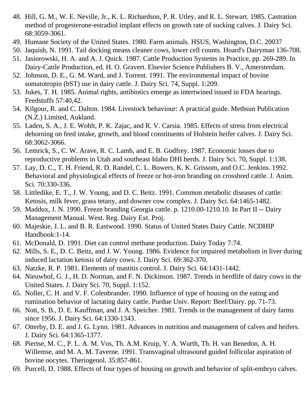- 48. Hill, G. M., W. E. Neville, Jr., K. L. Richardson, P. R. Utley, and R. L. Stewart. 1985. Castration method of progesterone-estradiol implant effects on growth rate of sucking calves. J. Dairy Sci. 68:3059-3061.
- <span id="page-64-0"></span>49. Humane Society of the United States. 1980. Farm animals. HSUS, Washington, D.C. 20037
- <span id="page-64-9"></span>50. Jaquish, N. 1991. Tail docking means cleaner cows, lower cell counts. Hoard's Dairyman 136-708.
- <span id="page-64-7"></span>51. Jasiorowski, H. A. and A. J. Quick. 1987. Cattle Production Systems in Practice, pp. 269-289. In Dairy-Cattle Production, ed. H. O. Gravert. Elsevier Science Publishers B. V., Amersterdam.
- <span id="page-64-20"></span>52. Johnson, D. E., G. M. Ward, and J. Torrent. 1991. The environmental impact of bovine somatotropin (bST) use in dairy cattle. J. Dairy Sci. 74, Suppl. 1:209.
- <span id="page-64-17"></span>53. Jukes, T. H. 1985. Animal rights, antibiotics emerge as intertwined issued in FDA hearings. Feedstuffs 57:40,42.
- <span id="page-64-11"></span>54. Kilgour, R. and C. Dalton. 1984. Livestock behaviour: A practical guide. Methsun Publication (N.Z.) Limited, Aukland.
- <span id="page-64-4"></span>55. Laden, S. A., J. E. Wohlt, P. K. Zajac, and R. V. Carsia. 1985. Effects of stress from electrical dehorning on feed intake, growth, and blood constituents of Holstein heifer calves. J. Dairy Sci. 68:3062-3066.
- <span id="page-64-15"></span>56. Lemrick, S., C. W. Arave, R. C. Lamb, and E. B. Godfrey. 1987. Economic losses due to reproductive problems in Utah and southeast Idaho DHI herds. J. Dairy Sci. 70, Suppl. 1:138.
- <span id="page-64-5"></span>57. Lay, D. C., T. H. Friend, R. D. Randel, C. L. Bowers, K. K. Grissom, and O.C. Jenkins. 1992. Behavioral and physiological effects of freeze or hot-iron branding on crossbred cattle. J. Anim. Sci. 70:330-336.
- <span id="page-64-13"></span>58. Littledike, E. T., J. W. Young, and D. C. Beitz. 1991. Common metabolic diseases of cattle: Ketosis, milk fever, grass tetany, and downer cow complex. J. Dairy Sci. 64:1465-1482.
- <span id="page-64-6"></span>59. Maddux, J. N. 1990. Freeze branding Georgia cattle. p. 1210.00-1210.10. In Part II -- Dairy Management Manual. West. Reg. Dairy Ext. Proj.
- <span id="page-64-1"></span>60. Majeskie, J. L. and B. R. Eastwood. 1990. Status of United States Dairy Cattle. NCDHIP Handbook:1-14.
- <span id="page-64-19"></span>61. McDonald, D. 1991. Diet can control methane production. Dairy Today 7:74.
- <span id="page-64-14"></span>62. Mills, S. E., D. C. Beitz, and J. W. Young. 1986. Evidence for impaired metabolism in liver during induced lactation ketosis of dairy cows. J. Dairy Sci. 69:362-370.
- <span id="page-64-3"></span>63. Natzke, R. P. 1981. Elements of mastitis control. J. Dairy Sci. 64:1431-1442.
- <span id="page-64-16"></span>64. Nieuwhof, G. J., H. D. Norman, and F. N. Dickinson. 1987. Trends in herdlife of dairy cows in the United States. J. Dairy Sci. 70, Suppl. 1:152.
- <span id="page-64-8"></span>65. Noller, C. H. and V. F. Colenbrander. 1990. Influence of type of housing on the eating and rumination behavior of lactating dairy cattle. Purdue Univ. Report: Beef/Dairy. pp. 71-73.
- <span id="page-64-2"></span>66. Nott, S. B., D. E. Kauffman, and J. A. Speicher. 1981. Trends in the management of dairy farms since 1956. J. Dairy Sci. 64:1330-1343.
- <span id="page-64-10"></span>67. Otterby, D. E. and J. G. Lynn. 1981. Advances in nutrition and management of calves and heifers. J. Dairy Sci. 64:1365-1377.
- <span id="page-64-18"></span>68. Piertse, M. C., P. L. A. M. Vos, Th. A.M. Kruip, Y. A. Wurth, Th. H. van Benedon, A. H. Willemse, and M. A. M. Taverne. 1991. Transvaginal ultrasound guided follicular aspiration of bovine oocytes. Theriogenol. 35:857-861.
- <span id="page-64-12"></span>69. Purcell, D. 1988. Effects of four types of housing on growth and behavior of split-embryo calves.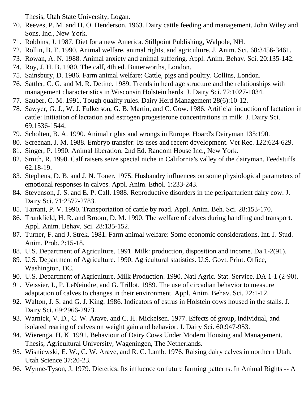Thesis, Utah State University, Logan.

- <span id="page-65-9"></span>70. Reeves, P. M. and H. O. Henderson. 1963. Dairy cattle feeding and management. John Wiley and Sons, Inc., New York.
- <span id="page-65-1"></span>71. Robbins, J. 1987. Diet for a new America. Stillpoint Publishing, Walpole, NH.
- <span id="page-65-13"></span>72. Rollin, B. E. 1990. Animal welfare, animal rights, and agriculture. J. Anim. Sci. 68:3456-3461.
- <span id="page-65-18"></span>73. Rowan, A. N. 1988. Animal anxiety and animal suffering. Appl. Anim. Behav. Sci. 20:135-142.
- <span id="page-65-8"></span>74. Roy, J. H. B. 1980. The calf, 4th ed. Butterworths, London.
- <span id="page-65-11"></span>75. Sainsbury, D. 1986. Farm animal welfare: Cattle, pigs and poultry. Collins, London.
- <span id="page-65-20"></span>76. Sattler, C. G. and M. R. Detine. 1989. Trends in herd age structure and the relationships with management characteristics in Wisconsin Holstein herds. J. Dairy Sci. 72:1027-1034.
- <span id="page-65-21"></span>77. Sauber, C. M. 1991. Tough quality rules. Dairy Herd Management 28(6):10-12.
- <span id="page-65-19"></span>78. Sawyer, G. J., W. J. Fulkerson, G. B. Martin, and C. Gow. 1986. Artificial induction of lactation in cattle: Initiation of lactation and estrogen progesterone concentrations in milk. J. Dairy Sci. 69:1536-1544.
- <span id="page-65-2"></span>79. Scholten, B. A. 1990. Animal rights and wrongs in Europe. Hoard's Dairyman 135:190.
- <span id="page-65-23"></span>80. Screenan, J. M. 1988. Embryo transfer: Its uses and recent development. Vet Rec. 122:624-629.
- <span id="page-65-0"></span>81. Singer, P. 1990. Animal liberation. 2nd Ed. Random House Inc., New York.
- <span id="page-65-15"></span>82. Smith, R. 1990. Calf raisers seize special niche in California's valley of the dairyman. Feedstuffs 62:18-19.
- <span id="page-65-5"></span>83. Stephens, D. B. and J. N. Toner. 1975. Husbandry influences on some physiological parameters of emotional responses in calves. Appl. Anim. Ethol. 1:233-243.
- <span id="page-65-24"></span>84. Stevenson, J. S. and E. P. Call. 1988. Reproductive disorders in the periparturient dairy cow. J. Dairy Sci. 71:2572-2783.
- <span id="page-65-7"></span>85. Tarrant, P. V. 1990. Transportation of cattle by road. Appl. Anim. Beh. Sci. 28:153-170.
- <span id="page-65-6"></span>86. Trunkfield, H. R. and Broom, D. M. 1990. The welfare of calves during handling and transport. Appl. Anim. Behav. Sci. 28:135-152.
- <span id="page-65-3"></span>87. Turner, F. and J. Strek. 1981. Farm animal welfare: Some economic considerations. Int. J. Stud. Anim. Prob. 2:15-18.
- 88. U.S. Department of Agriculture. 1991. Milk: production, disposition and income. Da 1-2(91).
- <span id="page-65-22"></span>89. U.S. Department of Agriculture. 1990. Agricultural statistics. U.S. Govt. Print. Office, Washington, DC.
- <span id="page-65-4"></span>90. U.S. Department of Agriculture. Milk Production. 1990. Natl Agric. Stat. Service. DA 1-1 (2-90).
- <span id="page-65-14"></span>91. Veissier, I., P. LeNeindre, and G. Trillot. 1989. The use of circadian behavior to measure adaptation of calves to changes in their environment. Appl. Anim. Behav. Sci. 22:1-12.
- <span id="page-65-10"></span>92. Walton, J. S. and G. J. King. 1986. Indicators of estrus in Holstein cows housed in the stalls. J. Dairy Sci. 69:2966-2973.
- <span id="page-65-17"></span>93. Warnick, V. D., C. W. Arave, and C. H. Mickelsen. 1977. Effects of group, individual, and isolated rearing of calves on weight gain and behavior. J. Dairy Sci. 60:947-953.
- <span id="page-65-12"></span>94. Wierenga, H. K. 1991. Behaviour of Dairy Cows Under Modern Housing and Management. Thesis, Agricultural University, Wageningen, The Netherlands.
- <span id="page-65-16"></span>95. Wisniewski, E. W., C. W. Arave, and R. C. Lamb. 1976. Raising dairy calves in northern Utah. Utah Science 37:20-23.
- <span id="page-65-25"></span>96. Wynne-Tyson, J. 1979. Dietetics: Its influence on future farming patterns. In Animal Rights -- A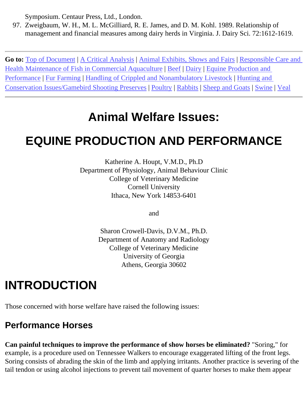Symposium. Centaur Press, Ltd., London.

<span id="page-66-1"></span>97. Zweigbaum, W. H., M. L. McGilliard, R. E. James, and D. M. Kohl. 1989. Relationship of management and financial measures among dairy herds in Virginia. J. Dairy Sci. 72:1612-1619.

<span id="page-66-0"></span>**Go to:** [Top of Document](#page-0-0) | [A Critical Analysis](#page-1-0) | [Animal Exhibits, Shows and Fairs](#page-24-0) | [Responsible Care and](#page-29-0)  [Health Maintenance of Fish in Commercial Aquaculture](#page-29-0) | [Beef](#page-45-2) | [Dairy](#page-50-0) | [Equine Production and](#page-66-0)  [Performance](#page-66-0) | [Fur Farming](#page-73-0) | [Handling of Crippled and Nonambulatory Livestock](#page-77-0) | [Hunting and](#page-82-0)  [Conservation Issues/Gamebird Shooting Preserves](#page-82-0) | [Poultry](#page-87-0) | [Rabbits](#page-94-0) | [Sheep and Goats](#page-102-0) | [Swine](#page-108-0) | [Veal](#page-114-0)

### **Animal Welfare Issues:**

### **EQUINE PRODUCTION AND PERFORMANCE**

Katherine A. Houpt, V.M.D., Ph.D Department of Physiology, Animal Behaviour Clinic College of Veterinary Medicine Cornell University Ithaca, New York 14853-6401

and

Sharon Crowell-Davis, D.V.M., Ph.D. Department of Anatomy and Radiology College of Veterinary Medicine University of Georgia Athens, Georgia 30602

## **INTRODUCTION**

Those concerned with horse welfare have raised the following issues:

### **Performance Horses**

**Can painful techniques to improve the performance of show horses be eliminated?** "Soring," for example, is a procedure used on Tennessee Walkers to encourage exaggerated lifting of the front legs. Soring consists of abrading the skin of the limb and applying irritants. Another practice is severing of the tail tendon or using alcohol injections to prevent tail movement of quarter horses to make them appear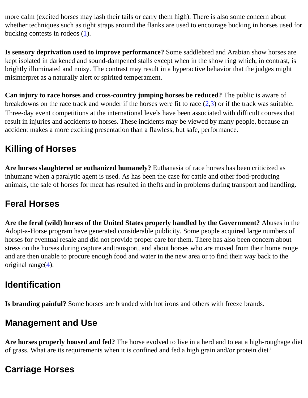more calm (excited horses may lash their tails or carry them high). There is also some concern about whether techniques such as tight straps around the flanks are used to encourage bucking in horses used for bucking contests in rodeos ([1\)](#page-72-0).

**Is sensory deprivation used to improve performance?** Some saddlebred and Arabian show horses are kept isolated in darkened and sound-dampened stalls except when in the show ring which, in contrast, is brightly illuminated and noisy. The contrast may result in a hyperactive behavior that the judges might misinterpret as a naturally alert or spirited temperament.

**Can injury to race horses and cross-country jumping horses be reduced?** The public is aware of breakdowns on the race track and wonder if the horses were fit to race  $(2,3)$  $(2,3)$  $(2,3)$  or if the track was suitable. Three-day event competitions at the international levels have been associated with difficult courses that result in injuries and accidents to horses. These incidents may be viewed by many people, because an accident makes a more exciting presentation than a flawless, but safe, performance.

### **Killing of Horses**

**Are horses slaughtered or euthanized humanely?** Euthanasia of race horses has been criticized as inhumane when a paralytic agent is used. As has been the case for cattle and other food-producing animals, the sale of horses for meat has resulted in thefts and in problems during transport and handling.

### **Feral Horses**

**Are the feral (wild) horses of the United States properly handled by the Government?** Abuses in the Adopt-a-Horse program have generated considerable publicity. Some people acquired large numbers of horses for eventual resale and did not provide proper care for them. There has also been concern about stress on the horses during capture andtransport, and about horses who are moved from their home range and are then unable to procure enough food and water in the new area or to find their way back to the original range $(4)$  $(4)$ .

### **Identification**

**Is branding painful?** Some horses are branded with hot irons and others with freeze brands.

#### **Management and Use**

**Are horses properly housed and fed?** The horse evolved to live in a herd and to eat a high-roughage diet of grass. What are its requirements when it is confined and fed a high grain and/or protein diet?

### **Carriage Horses**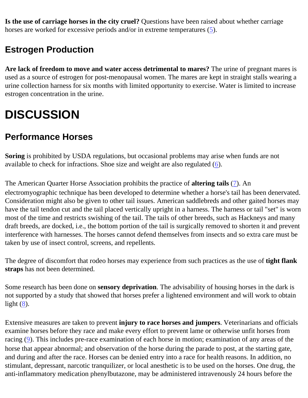**Is the use of carriage horses in the city cruel?** Questions have been raised about whether carriage horses are worked for excessive periods and/or in extreme temperatures ([5\)](#page-72-4).

### **Estrogen Production**

**Are lack of freedom to move and water access detrimental to mares?** The urine of pregnant mares is used as a source of estrogen for post-menopausal women. The mares are kept in straight stalls wearing a urine collection harness for six months with limited opportunity to exercise. Water is limited to increase estrogen concentration in the urine.

# **DISCUSSION**

### **Performance Horses**

**Soring** is prohibited by USDA regulations, but occasional problems may arise when funds are not available to check for infractions. Shoe size and weight are also regulated [\(6](#page-72-5)).

The American Quarter Horse Association prohibits the practice of **altering tails** [\(7](#page-72-6)). An electromyographic technique has been developed to determine whether a horse's tail has been denervated. Consideration might also be given to other tail issues. American saddlebreds and other gaited horses may have the tail tendon cut and the tail placed vertically upright in a harness. The harness or tail "set" is worn most of the time and restricts swishing of the tail. The tails of other breeds, such as Hackneys and many draft breeds, are docked, i.e., the bottom portion of the tail is surgically removed to shorten it and prevent interference with harnesses. The horses cannot defend themselves from insects and so extra care must be taken by use of insect control, screens, and repellents.

The degree of discomfort that rodeo horses may experience from such practices as the use of **tight flank straps** has not been determined.

Some research has been done on **sensory deprivation**. The advisability of housing horses in the dark is not supported by a study that showed that horses prefer a lightened environment and will work to obtain light  $(8)$  $(8)$  $(8)$ .

Extensive measures are taken to prevent **injury to race horses and jumpers**. Veterinarians and officials examine horses before they race and make every effort to prevent lame or otherwise unfit horses from racing ([9\)](#page-72-8). This includes pre-race examination of each horse in motion; examination of any areas of the horse that appear abnormal; and observation of the horse during the parade to post, at the starting gate, and during and after the race. Horses can be denied entry into a race for health reasons. In addition, no stimulant, depressant, narcotic tranquilizer, or local anesthetic is to be used on the horses. One drug, the anti-inflammatory medication phenylbutazone, may be administered intravenously 24 hours before the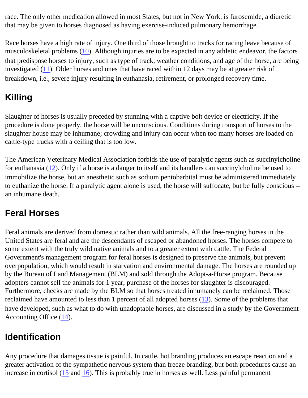race. The only other medication allowed in most States, but not in New York, is furosemide, a diuretic that may be given to horses diagnosed as having exercise-induced pulmonary hemorrhage.

Race horses have a high rate of injury. One third of those brought to tracks for racing leave because of musculoskeletal problems ([10\)](#page-72-9). Although injuries are to be expected in any athletic endeavor, the factors that predispose horses to injury, such as type of track, weather conditions, and age of the horse, are being investigated [\(11](#page-72-10)). Older horses and ones that have raced within 12 days may be at greater risk of breakdown, i.e., severe injury resulting in euthanasia, retirement, or prolonged recovery time.

### **Killing**

Slaughter of horses is usually preceded by stunning with a captive bolt device or electricity. If the procedure is done properly, the horse will be unconscious. Conditions during transport of horses to the slaughter house may be inhumane; crowding and injury can occur when too many horses are loaded on cattle-type trucks with a ceiling that is too low.

The American Veterinary Medical Association forbids the use of paralytic agents such as succinylcholine for euthanasia [\(12](#page-73-1)). Only if a horse is a danger to itself and its handlers can succinylcholine be used to immobilize the horse, but an anesthetic such as sodium pentobarbital must be administered immediately to euthanize the horse. If a paralytic agent alone is used, the horse will suffocate, but be fully conscious - an inhumane death.

### **Feral Horses**

Feral animals are derived from domestic rather than wild animals. All the free-ranging horses in the United States are feral and are the descendants of escaped or abandoned horses. The horses compete to some extent with the truly wild native animals and to a greater extent with cattle. The Federal Government's management program for feral horses is designed to preserve the animals, but prevent overpopulation, which would result in starvation and environmental damage. The horses are rounded up by the Bureau of Land Management (BLM) and sold through the Adopt-a-Horse program. Because adopters cannot sell the animals for 1 year, purchase of the horses for slaughter is discouraged. Furthermore, checks are made by the BLM so that horses treated inhumanely can be reclaimed. Those reclaimed have amounted to less than 1 percent of all adopted horses ([13](#page-73-2)). Some of the problems that have developed, such as what to do with unadoptable horses, are discussed in a study by the Government Accounting Office ([14\)](#page-73-3).

### **Identification**

Any procedure that damages tissue is painful. In cattle, hot branding produces an escape reaction and a greater activation of the sympathetic nervous system than freeze branding, but both procedures cause an increase in cortisol [\(15](#page-73-4) and [16\)](#page-73-5). This is probably true in horses as well. Less painful permanent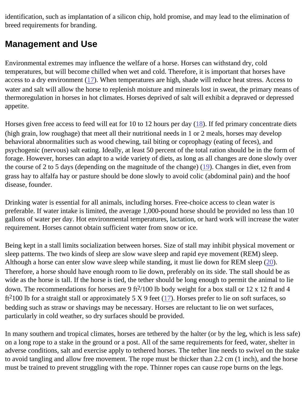identification, such as implantation of a silicon chip, hold promise, and may lead to the elimination of breed requirements for branding.

### **Management and Use**

Environmental extremes may influence the welfare of a horse. Horses can withstand dry, cold temperatures, but will become chilled when wet and cold. Therefore, it is important that horses have access to a dry environment [\(17](#page-73-6)). When temperatures are high, shade will reduce heat stress. Access to water and salt will allow the horse to replenish moisture and minerals lost in sweat, the primary means of thermoregulation in horses in hot climates. Horses deprived of salt will exhibit a depraved or depressed appetite.

Horses given free access to feed will eat for 10 to 12 hours per day [\(18](#page-73-7)). If fed primary concentrate diets (high grain, low roughage) that meet all their nutritional needs in 1 or 2 meals, horses may develop behavioral abnormalities such as wood chewing, tail biting or coprophagy (eating of feces), and psychogenic (nervous) salt eating. Ideally, at least 50 percent of the total ration should be in the form of forage. However, horses can adapt to a wide variety of diets, as long as all changes are done slowly over the course of 2 to 5 days (depending on the magnitude of the change) ([19\)](#page-73-8). Changes in diet, even from grass hay to alfalfa hay or pasture should be done slowly to avoid colic (abdominal pain) and the hoof disease, founder.

Drinking water is essential for all animals, including horses. Free-choice access to clean water is preferable. If water intake is limited, the average 1,000-pound horse should be provided no less than 10 gallons of water per day. Hot environmental temperatures, lactation, or hard work will increase the water requirement. Horses cannot obtain sufficient water from snow or ice.

Being kept in a stall limits socialization between horses. Size of stall may inhibit physical movement or sleep patterns. The two kinds of sleep are slow wave sleep and rapid eye movement (REM) sleep. Although a horse can enter slow wave sleep while standing, it must lie down for REM sleep [\(20](#page-73-9)). Therefore, a horse should have enough room to lie down, preferably on its side. The stall should be as wide as the horse is tall. If the horse is tied, the tether should be long enough to permit the animal to lie down. The recommendations for horses are 9 ft $2/100$  lb body weight for a box stall or 12 x 12 ft and 4 ft<sup>2</sup>100 lb for a straight stall or approximately 5 X 9 feet ([17\)](#page-73-6). Horses prefer to lie on soft surfaces, so bedding such as straw or shavings may be necessary. Horses are reluctant to lie on wet surfaces, particularly in cold weather, so dry surfaces should be provided.

In many southern and tropical climates, horses are tethered by the halter (or by the leg, which is less safe) on a long rope to a stake in the ground or a post. All of the same requirements for feed, water, shelter in adverse conditions, salt and exercise apply to tethered horses. The tether line needs to swivel on the stake to avoid tangling and allow free movement. The rope must be thicker than 2.2 cm (1 inch), and the horse must be trained to prevent struggling with the rope. Thinner ropes can cause rope burns on the legs.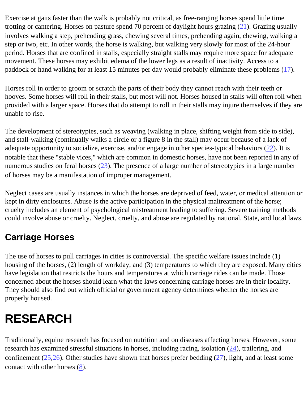Exercise at gaits faster than the walk is probably not critical, as free-ranging horses spend little time trotting or cantering. Horses on pasture spend 70 percent of daylight hours grazing  $(21)$  $(21)$ . Grazing usually involves walking a step, prehending grass, chewing several times, prehending again, chewing, walking a step or two, etc. In other words, the horse is walking, but walking very slowly for most of the 24-hour period. Horses that are confined in stalls, especially straight stalls may require more space for adequate movement. These horses may exhibit edema of the lower legs as a result of inactivity. Access to a paddock or hand walking for at least 15 minutes per day would probably eliminate these problems [\(17](#page-73-6)).

Horses roll in order to groom or scratch the parts of their body they cannot reach with their teeth or hooves. Some horses will roll in their stalls, but most will not. Horses housed in stalls will often roll when provided with a larger space. Horses that do attempt to roll in their stalls may injure themselves if they are unable to rise.

The development of stereotypies, such as weaving (walking in place, shifting weight from side to side), and stall-walking (continually walks a circle or a figure 8 in the stall) may occur because of a lack of adequate opportunity to socialize, exercise, and/or engage in other species-typical behaviors ([22\)](#page-73-11). It is notable that these "stable vices," which are common in domestic horses, have not been reported in any of numerous studies on feral horses [\(23](#page-73-12)). The presence of a large number of stereotypies in a large number of horses may be a manifestation of improper management.

Neglect cases are usually instances in which the horses are deprived of feed, water, or medical attention or kept in dirty enclosures. Abuse is the active participation in the physical maltreatment of the horse; cruelty includes an element of psychological mistreatment leading to suffering. Severe training methods could involve abuse or cruelty. Neglect, cruelty, and abuse are regulated by national, State, and local laws.

### **Carriage Horses**

The use of horses to pull carriages in cities is controversial. The specific welfare issues include (1) housing of the horses, (2) length of workday, and (3) temperatures to which they are exposed. Many cities have legislation that restricts the hours and temperatures at which carriage rides can be made. Those concerned about the horses should learn what the laws concerning carriage horses are in their locality. They should also find out which official or government agency determines whether the horses are properly housed.

## **RESEARCH**

Traditionally, equine research has focused on nutrition and on diseases affecting horses. However, some research has examined stressful situations in horses, including racing, isolation [\(24](#page-73-13)), trailering, and confinement  $(25,26)$  $(25,26)$  $(25,26)$  $(25,26)$ . Other studies have shown that horses prefer bedding  $(27)$  $(27)$ , light, and at least some contact with other horses [\(8](#page-72-7)).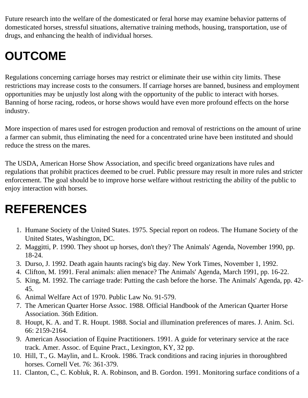Future research into the welfare of the domesticated or feral horse may examine behavior patterns of domesticated horses, stressful situations, alternative training methods, housing, transportation, use of drugs, and enhancing the health of individual horses.

# **OUTCOME**

Regulations concerning carriage horses may restrict or eliminate their use within city limits. These restrictions may increase costs to the consumers. If carriage horses are banned, business and employment opportunities may be unjustly lost along with the opportunity of the public to interact with horses. Banning of horse racing, rodeos, or horse shows would have even more profound effects on the horse industry.

More inspection of mares used for estrogen production and removal of restrictions on the amount of urine a farmer can submit, thus eliminating the need for a concentrated urine have been instituted and should reduce the stress on the mares.

The USDA, American Horse Show Association, and specific breed organizations have rules and regulations that prohibit practices deemed to be cruel. Public pressure may result in more rules and stricter enforcement. The goal should be to improve horse welfare without restricting the ability of the public to enjoy interaction with horses.

## **REFERENCES**

- 1. Humane Society of the United States. 1975. Special report on rodeos. The Humane Society of the United States, Washington, DC.
- 2. Maggitti, P. 1990. They shoot up horses, don't they? The Animals' Agenda, November 1990, pp. 18-24.
- 3. Durso, J. 1992. Death again haunts racing's big day. New York Times, November 1, 1992.
- 4. Clifton, M. 1991. Feral animals: alien menace? The Animals' Agenda, March 1991, pp. 16-22.
- 5. King, M. 1992. The carriage trade: Putting the cash before the horse. The Animals' Agenda, pp. 42- 45.
- 6. Animal Welfare Act of 1970. Public Law No. 91-579.
- 7. The American Quarter Horse Assoc. 1988. Official Handbook of the American Quarter Horse Association. 36th Edition.
- 8. Houpt, K. A. and T. R. Houpt. 1988. Social and illumination preferences of mares. J. Anim. Sci. 66: 2159-2164.
- 9. American Association of Equine Practitioners. 1991. A guide for veterinary service at the race track. Amer. Assoc. of Equine Pract., Lexington, KY, 32 pp.
- 10. Hill, T., G. Maylin, and L. Krook. 1986. Track conditions and racing injuries in thoroughbred horses. Cornell Vet. 76: 361-379.
- 11. Clanton, C., C. Kobluk, R. A. Robinson, and B. Gordon. 1991. Monitoring surface conditions of a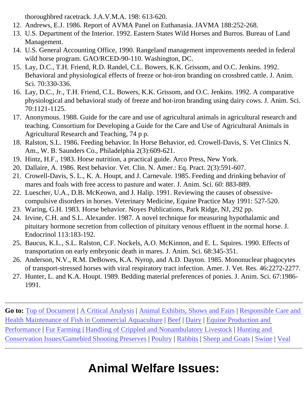thoroughbred racetrack. J.A.V.M.A. 198: 613-620.

- 12. Andrews, E.J. 1986. Report of AVMA Panel on Euthanasia. JAVMA 188:252-268.
- 13. U.S. Department of the Interior. 1992. Eastern States Wild Horses and Burros. Bureau of Land Management.
- 14. U.S. General Accounting Office, 1990. Rangeland management improvements needed in federal wild horse program. GAO/RCED-90-110. Washington, DC.
- 15. Lay, D.C., T.H. Friend, R.D. Randel, C.L. Bowers, K.K. Grissom, and O.C. Jenkins. 1992. Behavioral and physiological effects of freeze or hot-iron branding on crossbred cattle. J. Anim. Sci. 70:330-336.
- 16. Lay, D.C., Jr., T.H. Friend, C.L. Bowers, K.K. Grissom, and O.C. Jenkins. 1992. A comparative physiological and behavioral study of freeze and hot-iron branding using dairy cows. J. Anim. Sci. 70:1121-1125.
- 17. Anonymous. 1988. Guide for the care and use of agricultural animals in agricultural research and teaching. Consortium for Developing a Guide for the Care and Use of Agricultural Animals in Agricultural Research and Teaching, 74 p p.
- 18. Ralston, S.L. 1986. Feeding behavior. In Horse Behavior, ed. Crowell-Davis, S. Vet Clinics N. Am., W. B. Saunders Co., Philadelphia 2(3):609-621.
- 19. Hintz, H.F., 1983. Horse nutrition, a practical guide. Arco Press, New York.
- 20. Dallaire, A. 1986. Rest behavior. Vet. Clin. N. Amer.: Eq. Pract. 2(3):591-607.
- 21. Crowell-Davis, S. L., K. A. Houpt, and J. Carnevale. 1985. Feeding and drinking behavior of mares and foals with free access to pasture and water. J. Anim. Sci. 60: 883-889.
- 22. Luescher, U.A., D.B. McKeown, and J. Halip. 1991. Reviewing the causes of obsessivecompulsive disorders in horses. Veterinary Medicine, Equine Practice May 1991: 527-520.
- 23. Waring, G.H. 1983. Horse behavior. Noyes Publications, Park Ridge, NJ, 292 pp.
- 24. Irvine, C.H. and S.L. Alexander. 1987. A novel technique for measuring hypothalamic and pituitary hormone secretion from collection of pituitary venous effluent in the normal horse. J. Endocrinol 113:183-192.
- 25. Baucus, K.L., S.L. Ralston, C.F. Nockels, A.O. McKinnon, and E. L. Squires. 1990. Effects of transportation on early embryonic death in mares. J. Anim. Sci. 68:345-351.
- 26. Anderson, N.V., R.M. DeBowes, K.A. Nyrop, and A.D. Dayton. 1985. Mononuclear phagocytes of transport-stressed horses with viral respiratory tract infection. Amer. J. Vet. Res. 46:2272-2277.
- 27. Hunter, L. and K.A. Houpt. 1989. Bedding material preferences of ponies. J. Anim. Sci. 67:1986- 1991.

<span id="page-73-0"></span>**Go to:** [Top of Document](#page-0-0) | [A Critical Analysis](#page-1-0) | [Animal Exhibits, Shows and Fairs](#page-24-0) | [Responsible Care and](#page-29-0)  [Health Maintenance of Fish in Commercial Aquaculture](#page-29-0) | [Beef](#page-45-0) | [Dairy](#page-50-0) | [Equine Production and](#page-66-0)  [Performance](#page-66-0) | [Fur Farming](#page-73-0) | [Handling of Crippled and Nonambulatory Livestock](#page-77-0) | Hunting and [Conservation Issues/Gamebird Shooting Preserves](#page-82-0) | [Poultry](#page-87-0) | [Rabbits](#page-94-0) | [Sheep and Goats](#page-102-0) | [Swine](#page-108-0) | [Veal](#page-114-0)

## **Animal Welfare Issues:**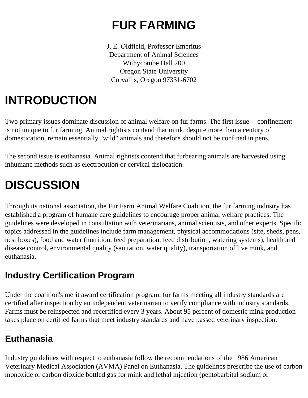# **FUR FARMING**

J. E. Oldfield, Professor Emeritus Department of Animal Sciences Withycombe Hall 200 Oregon State University Corvallis, Oregon 97331-6702

# **INTRODUCTION**

Two primary issues dominate discussion of animal welfare on fur farms. The first issue -- confinement - is not unique to fur farming. Animal rightists contend that mink, despite more than a century of domestication, remain essentially "wild" animals and therefore should not be confined in pens.

The second issue is euthanasia. Animal rightists contend that furbearing animals are harvested using inhumane methods such as electrocution or cervical dislocation.

## **DISCUSSION**

Through its national association, the Fur Farm Animal Welfare Coalition, the fur farming industry has established a program of humane care guidelines to encourage proper animal welfare practices. The guidelines were developed in consultation with veterinarians, animal scientists, and other experts. Specific topics addressed in the guidelines include farm management, physical accommodations (site, sheds, pens, nest boxes), food and water (nutrition, feed preparation, feed distribution, watering systems), health and disease control, environmental quality (sanitation, water quality), transportation of live mink, and euthanasia.

#### **Industry Certification Program**

Under the coalition's merit award certification program, fur farms meeting all industry standards are certified after inspection by an independent veterinarian to verify compliance with industry standards. Farms must be reinspected and recertified every 3 years. About 95 percent of domestic mink production takes place on certified farms that meet industry standards and have passed veterinary inspection.

#### **Euthanasia**

Industry guidelines with respect to euthanasia follow the recommendations of the 1986 American Veterinary Medical Association (AVMA) Panel on Euthanasia. The guidelines prescribe the use of carbon monoxide or carbon dioxide bottled gas for mink and lethal injection (pentobarbital sodium or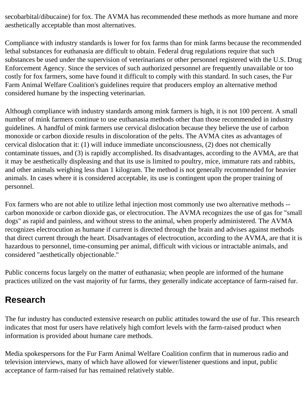secobarbital/dibucaine) for fox. The AVMA has recommended these methods as more humane and more aesthetically acceptable than most alternatives.

Compliance with industry standards is lower for fox farms than for mink farms because the recommended lethal substances for euthanasia are difficult to obtain. Federal drug regulations require that such substances be used under the supervision of veterinarians or other personnel registered with the U.S. Drug Enforcement Agency. Since the services of such authorized personnel are frequently unavailable or too costly for fox farmers, some have found it difficult to comply with this standard. In such cases, the Fur Farm Animal Welfare Coalition's guidelines require that producers employ an alternative method considered humane by the inspecting veterinarian.

Although compliance with industry standards among mink farmers is high, it is not 100 percent. A small number of mink farmers continue to use euthanasia methods other than those recommended in industry guidelines. A handful of mink farmers use cervical dislocation because they believe the use of carbon monoxide or carbon dioxide results in discoloration of the pelts. The AVMA cites as advantages of cervical dislocation that it: (1) will induce immediate unconsciousness, (2) does not chemically contaminate tissues, and (3) is rapidly accomplished. Its disadvantages, according to the AVMA, are that it may be aesthetically displeasing and that its use is limited to poultry, mice, immature rats and rabbits, and other animals weighing less than 1 kilogram. The method is not generally recommended for heavier animals. In cases where it is considered acceptable, its use is contingent upon the proper training of personnel.

Fox farmers who are not able to utilize lethal injection most commonly use two alternative methods - carbon monoxide or carbon dioxide gas, or electrocution. The AVMA recognizes the use of gas for "small dogs" as rapid and painless, and without stress to the animal, when properly administered. The AVMA recognizes electrocution as humane if current is directed through the brain and advises against methods that direct current through the heart. Disadvantages of electrocution, according to the AVMA, are that it is hazardous to personnel, time-consuming per animal, difficult with vicious or intractable animals, and considered "aesthetically objectionable."

Public concerns focus largely on the matter of euthanasia; when people are informed of the humane practices utilized on the vast majority of fur farms, they generally indicate acceptance of farm-raised fur.

#### **Research**

The fur industry has conducted extensive research on public attitudes toward the use of fur. This research indicates that most fur users have relatively high comfort levels with the farm-raised product when information is provided about humane care methods.

Media spokespersons for the Fur Farm Animal Welfare Coalition confirm that in numerous radio and television interviews, many of which have allowed for viewer/listener questions and input, public acceptance of farm-raised fur has remained relatively stable.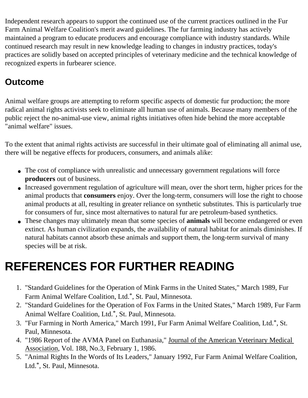Independent research appears to support the continued use of the current practices outlined in the Fur Farm Animal Welfare Coalition's merit award guidelines. The fur farming industry has actively maintained a program to educate producers and encourage compliance with industry standards. While continued research may result in new knowledge leading to changes in industry practices, today's practices are solidly based on accepted principles of veterinary medicine and the technical knowledge of recognized experts in furbearer science.

### **Outcome**

Animal welfare groups are attempting to reform specific aspects of domestic fur production; the more radical animal rights activists seek to eliminate all human use of animals. Because many members of the public reject the no-animal-use view, animal rights initiatives often hide behind the more acceptable "animal welfare" issues.

To the extent that animal rights activists are successful in their ultimate goal of eliminating all animal use, there will be negative effects for producers, consumers, and animals alike:

- The cost of compliance with unrealistic and unnecessary government regulations will force **producers** out of business.
- Increased government regulation of agriculture will mean, over the short term, higher prices for the animal products that **consumers** enjoy. Over the long-term, consumers will lose the right to choose animal products at all, resulting in greater reliance on synthetic substitutes. This is particularly true for consumers of fur, since most alternatives to natural fur are petroleum-based synthetics.
- These changes may ultimately mean that some species of **animals** will become endangered or even extinct. As human civilization expands, the availability of natural habitat for animals diminishes. If natural habitats cannot absorb these animals and support them, the long-term survival of many species will be at risk.

## **REFERENCES FOR FURTHER READING**

- 1. "Standard Guidelines for the Operation of Mink Farms in the United States," March 1989, Fur Farm Animal Welfare Coalition, Ltd.\*, St. Paul, Minnesota.
- 2. "Standard Guidelines for the Operation of Fox Farms in the United States," March 1989, Fur Farm Animal Welfare Coalition, Ltd.\*, St. Paul, Minnesota.
- 3. "Fur Farming in North America," March 1991, Fur Farm Animal Welfare Coalition, Ltd.\*, St. Paul, Minnesota.
- 4. "1986 Report of the AVMA Panel on Euthanasia," Journal of the American Veterinary Medical Association, Vol. 188, No.3, February 1, 1986.
- 5. "Animal Rights In the Words of Its Leaders," January 1992, Fur Farm Animal Welfare Coalition, Ltd.\*, St. Paul, Minnesota.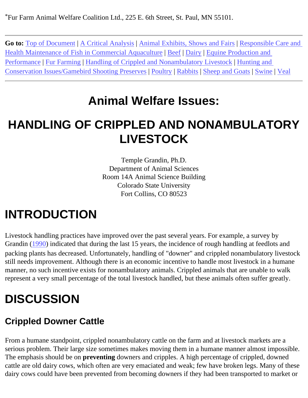<span id="page-77-0"></span>Go to: [Top of Document](#page-0-0) | [A Critical Analysis](#page-1-0) | [Animal Exhibits, Shows and Fairs](#page-24-0) | Responsible Care and [Health Maintenance of Fish in Commercial Aquaculture](#page-29-0) | [Beef](#page-45-0) | [Dairy](#page-50-0) | [Equine Production and](#page-66-0)  [Performance](#page-66-0) | [Fur Farming](#page-73-0) | [Handling of Crippled and Nonambulatory Livestock](#page-77-0) | Hunting and [Conservation Issues/Gamebird Shooting Preserves](#page-82-0) | [Poultry](#page-87-0) | [Rabbits](#page-94-0) | [Sheep and Goats](#page-102-0) | [Swine](#page-108-0) | [Veal](#page-114-0)

## **Animal Welfare Issues:**

### **HANDLING OF CRIPPLED AND NONAMBULATORY LIVESTOCK**

Temple Grandin, Ph.D. Department of Animal Sciences Room 14A Animal Science Building Colorado State University Fort Collins, CO 80523

## **INTRODUCTION**

Livestock handling practices have improved over the past several years. For example, a survey by Grandin ([1990](#page-82-1)) indicated that during the last 15 years, the incidence of rough handling at feedlots and packing plants has decreased. Unfortunately, handling of "downer" and crippled nonambulatory livestock still needs improvement. Although there is an economic incentive to handle most livestock in a humane manner, no such incentive exists for nonambulatory animals. Crippled animals that are unable to walk represent a very small percentage of the total livestock handled, but these animals often suffer greatly.

# **DISCUSSION**

### **Crippled Downer Cattle**

From a humane standpoint, crippled nonambulatory cattle on the farm and at livestock markets are a serious problem. Their large size sometimes makes moving them in a humane manner almost impossible. The emphasis should be on **preventing** downers and cripples. A high percentage of crippled, downed cattle are old dairy cows, which often are very emaciated and weak; few have broken legs. Many of these dairy cows could have been prevented from becoming downers if they had been transported to market or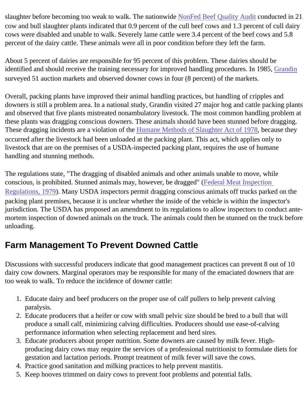slaughter before becoming too weak to walk. The nationwide [NonFed Beef Quality Audit](#page-82-2) conducted in 21 cow and bull slaughter plants indicated that 0.9 percent of the cull beef cows and 1.3 percent of cull dairy cows were disabled and unable to walk. Severely lame cattle were 3.4 percent of the beef cows and 5.8 percent of the dairy cattle. These animals were all in poor condition before they left the farm.

About 5 percent of dairies are responsible for 95 percent of this problem. These dairies should be identified and should receive the training necessary for improved handling procedures. In 1985, [Grandin](#page-82-3) surveyed 51 auction markets and observed downer cows in four (8 percent) of the markets.

Overall, packing plants have improved their animal handling practices, but handling of cripples and downers is still a problem area. In a national study, Grandin visited 27 major hog and cattle packing plants and observed that five plants mistreated nonambulatory livestock. The most common handling problem at these plants was dragging conscious downers. These animals should have been stunned before dragging. These dragging incidents are a violation of the [Humane Methods of Slaughter Act of 1978](#page-82-4), because they occurred after the livestock had been unloaded at the packing plant. This act, which applies only to livestock that are on the premises of a USDA-inspected packing plant, requires the use of humane handling and stunning methods.

The regulations state, "The dragging of disabled animals and other animals unable to move, while conscious, is prohibited. Stunned animals may, however, be dragged" [\(Federal Meat Inspection](#page-82-5) [Regulations, 1979](#page-82-5)). Many USDA inspectors permit dragging conscious animals off trucks parked on the packing plant premises, because it is unclear whether the inside of the vehicle is within the inspector's jurisdiction. The USDA has proposed an amendment to its regulations to allow inspectors to conduct antemortem inspection of downed animals on the truck. The animals could then be stunned on the truck before unloading.

#### **Farm Management To Prevent Downed Cattle**

Discussions with successful producers indicate that good management practices can prevent 8 out of 10 dairy cow downers. Marginal operators may be responsible for many of the emaciated downers that are too weak to walk. To reduce the incidence of downer cattle:

- 1. Educate dairy and beef producers on the proper use of calf pullers to help prevent calving paralysis.
- 2. Educate producers that a heifer or cow with small pelvic size should be bred to a bull that will produce a small calf, minimizing calving difficulties. Producers should use ease-of-calving performance information when selecting replacement and herd sires.
- 3. Educate producers about proper nutrition. Some downers are caused by milk fever. Highproducing dairy cows may require the services of a professional nutritionist to formulate diets for gestation and lactation periods. Prompt treatment of milk fever will save the cows.
- 4. Practice good sanitation and milking practices to help prevent mastitis.
- 5. Keep hooves trimmed on dairy cows to prevent foot problems and potential falls.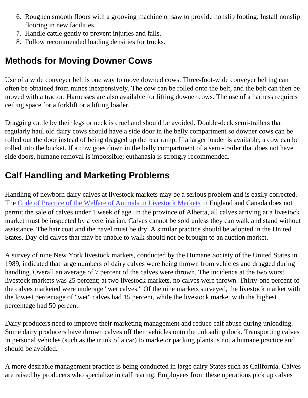- 6. Roughen smooth floors with a grooving machine or saw to provide nonslip footing. Install nonslip flooring in new facilities.
- 7. Handle cattle gently to prevent injuries and falls.
- 8. Follow recommended loading densities for trucks.

#### **Methods for Moving Downer Cows**

Use of a wide conveyer belt is one way to move downed cows. Three-foot-wide conveyer belting can often be obtained from mines inexpensively. The cow can be rolled onto the belt, and the belt can then be moved with a tractor. Harnesses are also available for lifting downer cows. The use of a harness requires ceiling space for a forklift or a lifting loader.

Dragging cattle by their legs or neck is cruel and should be avoided. Double-deck semi-trailers that regularly haul old dairy cows should have a side door in the belly compartment so downer cows can be rolled out the door instead of being dragged up the rear ramp. If a larger loader is available, a cow can be rolled into the bucket. If a cow goes down in the belly compartment of a semi-trailer that does not have side doors, humane removal is impossible; euthanasia is strongly recommended.

### **Calf Handling and Marketing Problems**

Handling of newborn dairy calves at livestock markets may be a serious problem and is easily corrected. The [Code of Practice of the Welfare of Animals in Livestock Markets](#page-82-6) in England and Canada does not permit the sale of calves under 1 week of age. In the province of Alberta, all calves arriving at a livestock market must be inspected by a veterinarian. Calves cannot be sold unless they can walk and stand without assistance. The hair coat and the navel must be dry. A similar practice should be adopted in the United States. Day-old calves that may be unable to walk should not be brought to an auction market.

A survey of nine New York livestock markets, conducted by the Humane Society of the United States in 1989, indicated that large numbers of dairy calves were being thrown from vehicles and dragged during handling. Overall an average of 7 percent of the calves were thrown. The incidence at the two worst livestock markets was 25 percent; at two livestock markets, no calves were thrown. Thirty-one percent of the calves marketed were underage "wet calves." Of the nine markets surveyed, the livestock market with the lowest percentage of "wet" calves had 15 percent, while the livestock market with the highest percentage had 50 percent.

Dairy producers need to improve their marketing management and reduce calf abuse during unloading. Some dairy producers have thrown calves off their vehicles onto the unloading dock. Transporting calves in personal vehicles (such as the trunk of a car) to marketor packing plants is not a humane practice and should be avoided.

A more desirable management practice is being conducted in large dairy States such as California. Calves are raised by producers who specialize in calf rearing. Employees from these operations pick up calves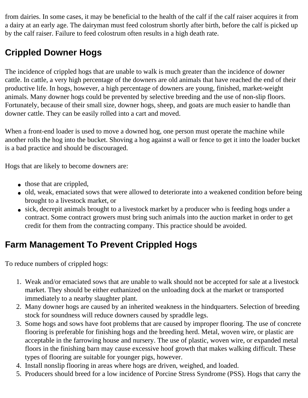from dairies. In some cases, it may be beneficial to the health of the calf if the calf raiser acquires it from a dairy at an early age. The dairyman must feed colostrum shortly after birth, before the calf is picked up by the calf raiser. Failure to feed colostrum often results in a high death rate.

### **Crippled Downer Hogs**

The incidence of crippled hogs that are unable to walk is much greater than the incidence of downer cattle. In cattle, a very high percentage of the downers are old animals that have reached the end of their productive life. In hogs, however, a high percentage of downers are young, finished, market-weight animals. Many downer hogs could be prevented by selective breeding and the use of non-slip floors. Fortunately, because of their small size, downer hogs, sheep, and goats are much easier to handle than downer cattle. They can be easily rolled into a cart and moved.

When a front-end loader is used to move a downed hog, one person must operate the machine while another rolls the hog into the bucket. Shoving a hog against a wall or fence to get it into the loader bucket is a bad practice and should be discouraged.

Hogs that are likely to become downers are:

- those that are crippled,
- old, weak, emaciated sows that were allowed to deteriorate into a weakened condition before being brought to a livestock market, or
- sick, decrepit animals brought to a livestock market by a producer who is feeding hogs under a contract. Some contract growers must bring such animals into the auction market in order to get credit for them from the contracting company. This practice should be avoided.

### **Farm Management To Prevent Crippled Hogs**

To reduce numbers of crippled hogs:

- 1. Weak and/or emaciated sows that are unable to walk should not be accepted for sale at a livestock market. They should be either euthanized on the unloading dock at the market or transported immediately to a nearby slaughter plant.
- 2. Many downer hogs are caused by an inherited weakness in the hindquarters. Selection of breeding stock for soundness will reduce downers caused by spraddle legs.
- 3. Some hogs and sows have foot problems that are caused by improper flooring. The use of concrete flooring is preferable for finishing hogs and the breeding herd. Metal, woven wire, or plastic are acceptable in the farrowing house and nursery. The use of plastic, woven wire, or expanded metal floors in the finishing barn may cause excessive hoof growth that makes walking difficult. These types of flooring are suitable for younger pigs, however.
- 4. Install nonslip flooring in areas where hogs are driven, weighed, and loaded.
- 5. Producers should breed for a low incidence of Porcine Stress Syndrome (PSS). Hogs that carry the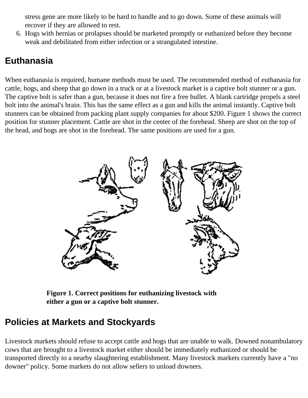stress gene are more likely to be hard to handle and to go down. Some of these animals will recover if they are allowed to rest.

6. Hogs with hernias or prolapses should be marketed promptly or euthanized before they become weak and debilitated from either infection or a strangulated intestine.

#### **Euthanasia**

When euthanasia is required, humane methods must be used. The recommended method of euthanasia for cattle, hogs, and sheep that go down in a truck or at a livestock market is a captive bolt stunner or a gun. The captive bolt is safer than a gun, because it does not fire a free bullet. A blank cartridge propels a steel bolt into the animal's brain. This has the same effect as a gun and kills the animal instantly. Captive bolt stunners can be obtained from packing plant supply companies for about \$200. Figure 1 shows the correct position for stunner placement. Cattle are shot in the center of the forehead. Sheep are shot on the top of the head, and hogs are shot in the forehead. The same positions are used for a gun.



**Figure 1. Correct positions for euthanizing livestock with either a gun or a captive bolt stunner.**

#### **Policies at Markets and Stockyards**

Livestock markets should refuse to accept cattle and hogs that are unable to walk. Downed nonambulatory cows that are brought to a livestock market either should be immediately euthanized or should be transported directly to a nearby slaughtering establishment. Many livestock markets currently have a "no downer" policy. Some markets do not allow sellers to unload downers.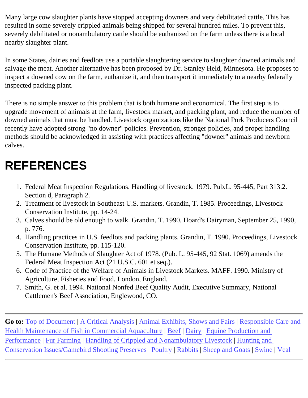Many large cow slaughter plants have stopped accepting downers and very debilitated cattle. This has resulted in some severely crippled animals being shipped for several hundred miles. To prevent this, severely debilitated or nonambulatory cattle should be euthanized on the farm unless there is a local nearby slaughter plant.

In some States, dairies and feedlots use a portable slaughtering service to slaughter downed animals and salvage the meat. Another alternative has been proposed by Dr. Stanley Held, Minnesota. He proposes to inspect a downed cow on the farm, euthanize it, and then transport it immediately to a nearby federally inspected packing plant.

There is no simple answer to this problem that is both humane and economical. The first step is to upgrade movement of animals at the farm, livestock market, and packing plant, and reduce the number of downed animals that must be handled. Livestock organizations like the National Pork Producers Council recently have adopted strong "no downer" policies. Prevention, stronger policies, and proper handling methods should be acknowledged in assisting with practices affecting "downer" animals and newborn calves.

## <span id="page-82-5"></span>**REFERENCES**

- 1. Federal Meat Inspection Regulations. Handling of livestock. 1979. Pub.L. 95-445, Part 313.2. Section d, Paragraph 2.
- <span id="page-82-3"></span>2. Treatment of livestock in Southeast U.S. markets. Grandin, T. 1985. Proceedings, Livestock Conservation Institute, pp. 14-24.
- 3. Calves should be old enough to walk. Grandin. T. 1990. Hoard's Dairyman, September 25, 1990, p. 776.
- <span id="page-82-1"></span>4. Handling practices in U.S. feedlots and packing plants. Grandin, T. 1990. Proceedings, Livestock Conservation Institute, pp. 115-120.
- <span id="page-82-4"></span>5. The Humane Methods of Slaughter Act of 1978. (Pub. L. 95-445, 92 Stat. 1069) amends the Federal Meat Inspection Act (21 U.S.C. 601 et seq.).
- <span id="page-82-6"></span>6. Code of Practice of the Welfare of Animals in Livestock Markets. MAFF. 1990. Ministry of Agriculture, Fisheries and Food, London, England.
- <span id="page-82-2"></span>7. Smith, G. et al. 1994. National Nonfed Beef Quality Audit, Executive Summary, National Cattlemen's Beef Association, Englewood, CO.

<span id="page-82-0"></span>**Go to:** [Top of Document](#page-0-0) | [A Critical Analysis](#page-1-0) | [Animal Exhibits, Shows and Fairs](#page-24-0) | [Responsible Care and](#page-29-0)  [Health Maintenance of Fish in Commercial Aquaculture](#page-29-0) | [Beef](#page-45-0) | [Dairy](#page-50-0) | [Equine Production and](#page-66-0)  [Performance](#page-66-0) | [Fur Farming](#page-73-0) | [Handling of Crippled and Nonambulatory Livestock](#page-77-0) | [Hunting and](#page-82-0)  [Conservation Issues/Gamebird Shooting Preserves](#page-82-0) | [Poultry](#page-87-0) | [Rabbits](#page-94-0) | [Sheep and Goats](#page-102-0) | [Swine](#page-108-0) | [Veal](#page-114-0)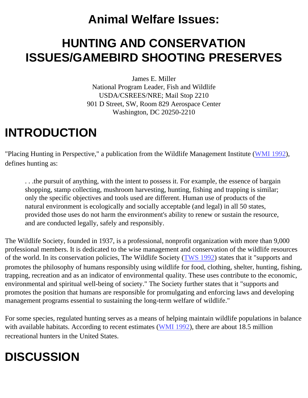### **Animal Welfare Issues:**

### **HUNTING AND CONSERVATION ISSUES/GAMEBIRD SHOOTING PRESERVES**

James E. Miller National Program Leader, Fish and Wildlife USDA/CSREES/NRE; Mail Stop 2210 901 D Street, SW, Room 829 Aerospace Center Washington, DC 20250-2210

## **INTRODUCTION**

"Placing Hunting in Perspective," a publication from the Wildlife Management Institute ([WMI 1992](#page-87-1)), defines hunting as:

. . .the pursuit of anything, with the intent to possess it. For example, the essence of bargain shopping, stamp collecting, mushroom harvesting, hunting, fishing and trapping is similar; only the specific objectives and tools used are different. Human use of products of the natural environment is ecologically and socially acceptable (and legal) in all 50 states, provided those uses do not harm the environment's ability to renew or sustain the resource, and are conducted legally, safely and responsibly.

The Wildlife Society, founded in 1937, is a professional, nonprofit organization with more than 9,000 professional members. It is dedicated to the wise management and conservation of the wildlife resources of the world. In its conservation policies, The Wildlife Society ([TWS 1992](#page-87-2)) states that it "supports and promotes the philosophy of humans responsibly using wildlife for food, clothing, shelter, hunting, fishing, trapping, recreation and as an indicator of environmental quality. These uses contribute to the economic, environmental and spiritual well-being of society." The Society further states that it "supports and promotes the position that humans are responsible for promulgating and enforcing laws and developing management programs essential to sustaining the long-term welfare of wildlife."

For some species, regulated hunting serves as a means of helping maintain wildlife populations in balance with available habitats. According to recent estimates ([WMI 1992\)](#page-87-1), there are about 18.5 million recreational hunters in the United States.

## **DISCUSSION**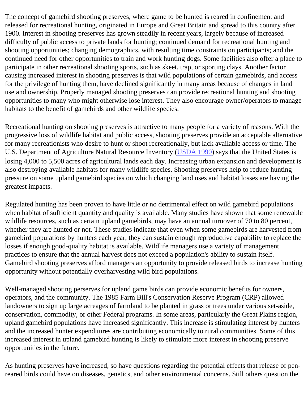The concept of gamebird shooting preserves, where game to be hunted is reared in confinement and released for recreational hunting, originated in Europe and Great Britain and spread to this country after 1900. Interest in shooting preserves has grown steadily in recent years, largely because of increased difficulty of public access to private lands for hunting; continued demand for recreational hunting and shooting opportunities; changing demographics, with resulting time constraints on participants; and the continued need for other opportunities to train and work hunting dogs. Some facilities also offer a place to participate in other recreational shooting sports, such as skeet, trap, or sporting clays. Another factor causing increased interest in shooting preserves is that wild populations of certain gamebirds, and access for the privilege of hunting them, have declined significantly in many areas because of changes in land use and ownership. Properly managed shooting preserves can provide recreational hunting and shooting opportunities to many who might otherwise lose interest. They also encourage owner/operators to manage habitats to the benefit of gamebirds and other wildlife species.

Recreational hunting on shooting preserves is attractive to many people for a variety of reasons. With the progressive loss of wildlife habitat and public access, shooting preserves provide an acceptable alternative for many recreationists who desire to hunt or shoot recreationally, but lack available access or time. The U.S. Department of Agriculture Natural Resource Inventory [\(USDA 1990](#page-87-3)) says that the United States is losing 4,000 to 5,500 acres of agricultural lands each day. Increasing urban expansion and development is also destroying available habitats for many wildlife species. Shooting preserves help to reduce hunting pressure on some upland gamebird species on which changing land uses and habitat losses are having the greatest impacts.

Regulated hunting has been proven to have little or no detrimental effect on wild gamebird populations when habitat of sufficient quantity and quality is available. Many studies have shown that some renewable wildlife resources, such as certain upland gamebirds, may have an annual turnover of 70 to 80 percent, whether they are hunted or not. These studies indicate that even when some gamebirds are harvested from gamebird populations by hunters each year, they can sustain enough reproductive capability to replace the losses if enough good-quality habitat is available. Wildlife managers use a variety of management practices to ensure that the annual harvest does not exceed a population's ability to sustain itself. Gamebird shooting preserves afford managers an opportunity to provide released birds to increase hunting opportunity without potentially overharvesting wild bird populations.

Well-managed shooting perserves for upland game birds can provide economic benefits for owners, operators, and the community. The 1985 Farm Bill's Conservation Reserve Program (CRP) allowed landowners to sign up large acreages of farmland to be planted in grass or trees under various set-aside, conservation, commodity, or other Federal programs. In some areas, particularly the Great Plains region, upland gamebird populations have increased significantly. This increase is stimulating interest by hunters and the increased hunter expenditures are contributing economically to rural communities. Some of this increased interest in upland gamebird hunting is likely to stimulate more interest in shooting preserve opportunities in the future.

As hunting preserves have increased, so have questions regarding the potential effects that release of penreared birds could have on diseases, genetics, and other environmental concerns. Still others question the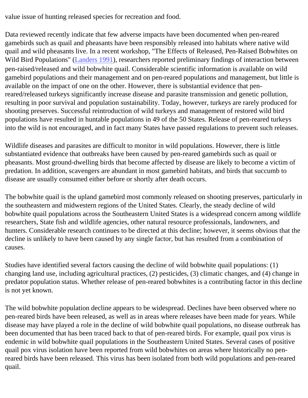value issue of hunting released species for recreation and food.

Data reviewed recently indicate that few adverse impacts have been documented when pen-reared gamebirds such as quail and pheasants have been responsibly released into habitats where native wild quail and wild pheasants live. In a recent workshop, "The Effects of Released, Pen-Raised Bobwhites on Wild Bird Populations" ([Landers 1991\)](#page-87-4), researchers reported preliminary findings of interaction between pen-raised/released and wild bobwhite quail. Considerable scientific information is available on wild gamebird populations and their management and on pen-reared populations and management, but little is available on the impact of one on the other. However, there is substantial evidence that penreared/released turkeys significantly increase disease and parasite transmission and genetic pollution, resulting in poor survival and population sustainability. Today, however, turkeys are rarely produced for shooting preserves. Successful reintroduction of wild turkeys and management of restored wild bird populations have resulted in huntable populations in 49 of the 50 States. Release of pen-reared turkeys into the wild is not encouraged, and in fact many States have passed regulations to prevent such releases.

Wildlife diseases and parasites are difficult to monitor in wild populations. However, there is little substantiated evidence that outbreaks have been caused by pen-reared gamebirds such as quail or pheasants. Most ground-dwelling birds that become affected by disease are likely to become a victim of predation. In addition, scavengers are abundant in most gamebird habitats, and birds that succumb to disease are usually consumed either before or shortly after death occurs.

The bobwhite quail is the upland gamebird most commonly released on shooting preserves, particularly in the southeastern and midwestern regions of the United States. Clearly, the steady decline of wild bobwhite quail populations across the Southeastern United States is a widespread concern among wildlife researchers, State fish and wildlife agencies, other natural resource professionals, landowners, and hunters. Considerable research continues to be directed at this decline; however, it seems obvious that the decline is unlikely to have been caused by any single factor, but has resulted from a combination of causes.

Studies have identified several factors causing the decline of wild bobwhite quail populations: (1) changing land use, including agricultural practices, (2) pesticides, (3) climatic changes, and (4) change in predator population status. Whether release of pen-reared bobwhites is a contributing factor in this decline is not yet known.

The wild bobwhite population decline appears to be widespread. Declines have been observed where no pen-reared birds have been released, as well as in areas where releases have been made for years. While disease may have played a role in the decline of wild bobwhite quail populations, no disease outbreak has been documented that has been traced back to that of pen-reared birds. For example, quail pox virus is endemic in wild bobwhite quail populations in the Southeastern United States. Several cases of positive quail pox virus isolation have been reported from wild bobwhites on areas where historically no penreared birds have been released. This virus has been isolated from both wild populations and pen-reared quail.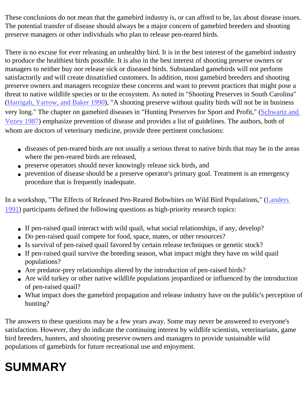These conclusions do not mean that the gamebird industry is, or can afford to be, lax about disease issues. The potential transfer of disease should always be a major concern of gamebird breeders and shooting preserve managers or other individuals who plan to release pen-reared birds.

There is no excuse for ever releasing an unhealthy bird. It is in the best interest of the gamebird industry to produce the healthiest birds possible. It is also in the best interest of shooting preserve owners or managers to neither buy nor release sick or diseased birds. Substandard gamebirds will not perform satisfactorily and will create dissatisfied customers. In addition, most gamebird breeders and shooting preserve owners and managers recognize these concerns and want to prevent practices that might pose a threat to native wildlife species or to the ecosystem. As noted in "Shooting Preserves in South Carolina" ([Harrigah, Yarrow, and Baker 1990](#page-87-5)), "A shooting preserve without quality birds will not be in business very long." The chapter on gamebird diseases in "Hunting Preserves for Sport and Profit," ([Schwartz and](#page-87-6)  [Vezey 1987\)](#page-87-6) emphasize prevention of disease and provides a list of guidelines. The authors, both of whom are doctors of veterinary medicine, provide three pertinent conclusions:

- diseases of pen-reared birds are not usually a serious threat to native birds that may be in the areas where the pen-reared birds are released,
- preserve operators should never knowingly release sick birds, and
- prevention of disease should be a preserve operator's primary goal. Treatment is an emergency procedure that is frequently inadequate.

In a workshop, "The Effects of Released Pen-Reared Bobwhites on Wild Bird Populations," ([Landers](#page-87-4) [1991\)](#page-87-4) participants defined the following questions as high-priority research topics:

- If pen-raised quail interact with wild quail, what social relationships, if any, develop?
- Do pen-raised quail compete for food, space, mates, or other resources?
- Is survival of pen-raised quail favored by certain release techniques or genetic stock?
- If pen-raised quail survive the breeding season, what impact might they have on wild quail populations?
- Are predator-prey relationships altered by the introduction of pen-raised birds?
- Are wild turkey or other native wildlife populations jeopardized or influenced by the introduction of pen-raised quail?
- What impact does the gamebird propagation and release industry have on the public's perception of hunting?

The answers to these questions may be a few years away. Some may never be answered to everyone's satisfaction. However, they do indicate the continuing interest by wildlife scientists, veterinarians, game bird breeders, hunters, and shooting preserve owners and managers to provide sustainable wild populations of gamebirds for future recreational use and enjoyment.

# **SUMMARY**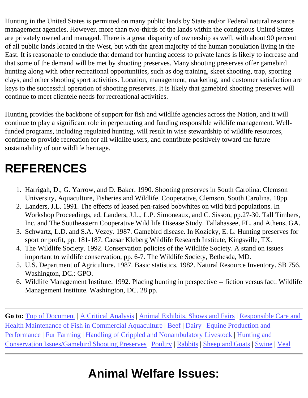Hunting in the United States is permitted on many public lands by State and/or Federal natural resource management agencies. However, more than two-thirds of the lands within the contiguous United States are privately owned and managed. There is a great disparity of ownership as well, with about 90 percent of all public lands located in the West, but with the great majority of the human population living in the East. It is reasonable to conclude that demand for hunting access to private lands is likely to increase and that some of the demand will be met by shooting preserves. Many shooting preserves offer gamebird hunting along with other recreational opportunities, such as dog training, skeet shooting, trap, sporting clays, and other shooting sport activities. Location, management, marketing, and customer satisfaction are keys to the successful operation of shooting preserves. It is likely that gamebird shooting preserves will continue to meet clientele needs for recreational activities.

Hunting provides the backbone of support for fish and wildlife agencies across the Nation, and it will continue to play a significant role in perpetuating and funding responsible wildlife management. Wellfunded programs, including regulated hunting, will result in wise stewardship of wildlife resources, continue to provide recreation for all wildlife users, and contribute positively toward the future sustainability of our wildlife heritage.

### <span id="page-87-5"></span>**REFERENCES**

- 1. Harrigah, D., G. Yarrow, and D. Baker. 1990. Shooting preserves in South Carolina. Clemson University, Aquaculture, Fisheries and Wildlife. Cooperative, Clemson, South Carolina. 18pp.
- <span id="page-87-4"></span>2. Landers, J.L. 1991. The effects of leased pen-raised bobwhites on wild bird populations. In Workshop Proceedings, ed. Landers, J.L., L.P. Simoneaux, and C. Sisson, pp.27-30. Tall Timbers, Inc. and The Southeastern Cooperative Wild life Disease Study. Tallahassee, FL, and Athens, GA.
- <span id="page-87-6"></span>3. Schwartz, L.D. and S.A. Vezey. 1987. Gamebird disease. In Kozicky, E. L. Hunting preserves for sport or profit, pp. 181-187. Caesar Kleberg Wildlife Research Institute, Kingsville, TX.
- <span id="page-87-2"></span>4. The Wildlife Society. 1992. Conservation policies of the Wildlife Society. A stand on issues important to wildlife conservation, pp. 6-7. The Wildlife Society, Bethesda, MD.
- <span id="page-87-3"></span>5. U.S. Department of Agriculture. 1987. Basic statistics, 1982. Natural Resource Inventory. SB 756. Washington, DC.: GPO.
- <span id="page-87-1"></span>6. Wildlife Management Institute. 1992. Placing hunting in perspective -- fiction versus fact. Wildlife Management Institute. Washington, DC. 28 pp.

<span id="page-87-0"></span>Go to: [Top of Document](#page-0-0) | [A Critical Analysis](#page-1-0) | [Animal Exhibits, Shows and Fairs](#page-24-0) | Responsible Care and [Health Maintenance of Fish in Commercial Aquaculture](#page-29-0) | [Beef](#page-45-0) | [Dairy](#page-50-0) | [Equine Production and](#page-66-0)  [Performance](#page-66-0) | [Fur Farming](#page-73-0) | [Handling of Crippled and Nonambulatory Livestock](#page-77-0) | Hunting and [Conservation Issues/Gamebird Shooting Preserves](#page-82-0) | [Poultry](#page-87-0) | [Rabbits](#page-94-0) | [Sheep and Goats](#page-102-0) | [Swine](#page-108-0) | [Veal](#page-114-0)

## **Animal Welfare Issues:**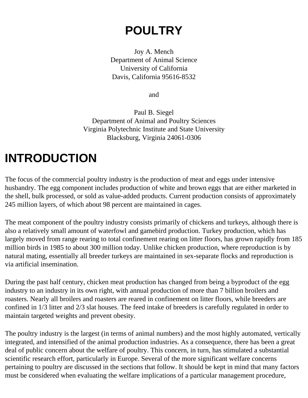### **POULTRY**

Joy A. Mench Department of Animal Science University of California Davis, California 95616-8532

and

Paul B. Siegel Department of Animal and Poultry Sciences Virginia Polytechnic Institute and State University Blacksburg, Virginia 24061-0306

## **INTRODUCTION**

The focus of the commercial poultry industry is the production of meat and eggs under intensive husbandry. The egg component includes production of white and brown eggs that are either marketed in the shell, bulk processed, or sold as value-added products. Current production consists of approximately 245 million layers, of which about 98 percent are maintained in cages.

The meat component of the poultry industry consists primarily of chickens and turkeys, although there is also a relatively small amount of waterfowl and gamebird production. Turkey production, which has largely moved from range rearing to total confinement rearing on litter floors, has grown rapidly from 185 million birds in 1985 to about 300 million today. Unlike chicken production, where reproduction is by natural mating, essentially all breeder turkeys are maintained in sex-separate flocks and reproduction is via artificial insemination.

During the past half century, chicken meat production has changed from being a byproduct of the egg industry to an industry in its own right, with annual production of more than 7 billion broilers and roasters. Nearly all broilers and roasters are reared in confinement on litter floors, while breeders are confined in 1/3 litter and 2/3 slat houses. The feed intake of breeders is carefully regulated in order to maintain targeted weights and prevent obesity.

The poultry industry is the largest (in terms of animal numbers) and the most highly automated, vertically integrated, and intensified of the animal production industries. As a consequence, there has been a great deal of public concern about the welfare of poultry. This concern, in turn, has stimulated a substantial scientific research effort, particularly in Europe. Several of the more significant welfare concerns pertaining to poultry are discussed in the sections that follow. It should be kept in mind that many factors must be considered when evaluating the welfare implications of a particular management procedure,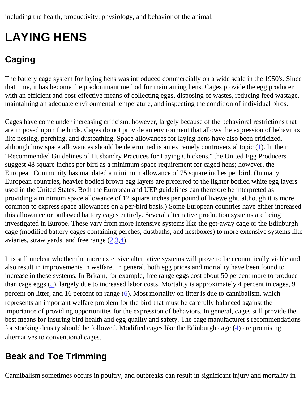including the health, productivity, physiology, and behavior of the animal.

# **LAYING HENS**

### **Caging**

The battery cage system for laying hens was introduced commercially on a wide scale in the 1950's. Since that time, it has become the predominant method for maintaining hens. Cages provide the egg producer with an efficient and cost-effective means of collecting eggs, disposing of wastes, reducing feed wastage, maintaining an adequate environmental temperature, and inspecting the condition of individual birds.

Cages have come under increasing criticism, however, largely because of the behavioral restrictions that are imposed upon the birds. Cages do not provide an environment that allows the expression of behaviors like nesting, perching, and dustbathing. Space allowances for laying hens have also been criticized, although how space allowances should be determined is an extremely controversial topic [\(1](#page-93-0)). In their "Recommended Guidelines of Husbandry Practices for Laying Chickens," the United Egg Producers suggest 48 square inches per bird as a minimum space requirement for caged hens; however, the European Community has mandated a minimum allowance of 75 square inches per bird. (In many European countries, heavier bodied brown egg layers are preferred to the lighter bodied white egg layers used in the United States. Both the European and UEP guidelines can therefore be interpreted as providing a minimum space allowance of 12 square inches per pound of liveweight, although it is more common to express space allowances on a per-bird basis.) Some European countries have either increased this allowance or outlawed battery cages entirely. Several alternative production systems are being investigated in Europe. These vary from more intensive systems like the get-away cage or the Edinburgh cage (modified battery cages containing perches, dustbaths, and nestboxes) to more extensive systems like aviaries, straw yards, and free range  $(2,3,4)$  $(2,3,4)$  $(2,3,4)$  $(2,3,4)$  $(2,3,4)$ .

It is still unclear whether the more extensive alternative systems will prove to be economically viable and also result in improvements in welfare. In general, both egg prices and mortality have been found to increase in these systems. In Britain, for example, free range eggs cost about 50 percent more to produce than cage eggs ([5\)](#page-93-4), largely due to increased labor costs. Mortality is approximately 4 percent in cages, 9 percent on litter, and 1[6](#page-93-5) percent on range (6). Most mortality on litter is due to cannibalism, which represents an important welfare problem for the bird that must be carefully balanced against the importance of providing opportunities for the expression of behaviors. In general, cages still provide the best means for insuring bird health and egg quality and safety. The cage manufacturer's recommendations for stocking density should be followed. Modified cages like the Edinburgh cage [\(4](#page-93-3)) are promising alternatives to conventional cages.

#### **Beak and Toe Trimming**

Cannibalism sometimes occurs in poultry, and outbreaks can result in significant injury and mortality in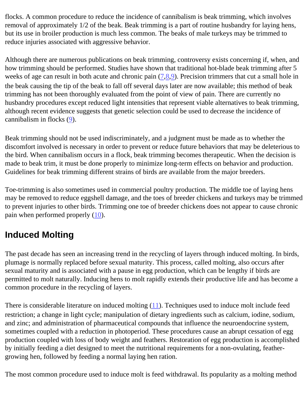flocks. A common procedure to reduce the incidence of cannibalism is beak trimming, which involves removal of approximately 1/2 of the beak. Beak trimming is a part of routine husbandry for laying hens, but its use in broiler production is much less common. The beaks of male turkeys may be trimmed to reduce injuries associated with aggressive behavior.

Although there are numerous publications on beak trimming, controversy exists concerning if, when, and how trimming should be performed. Studies have shown that traditional hot-blade beak trimming after 5 weeks of age can result in both acute and chronic pain  $(7,8,9)$  $(7,8,9)$  $(7,8,9)$  $(7,8,9)$ . Precision trimmers that cut a small hole in the beak causing the tip of the beak to fall off several days later are now available; this method of beak trimming has not been thoroughly evaluated from the point of view of pain. There are currently no husbandry procedures except reduced light intensities that represent viable alternatives to beak trimming, although recent evidence suggests that genetic selection could be used to decrease the incidence of cannibalism in flocks ([9\)](#page-93-8).

Beak trimming should not be used indiscriminately, and a judgment must be made as to whether the discomfort involved is necessary in order to prevent or reduce future behaviors that may be deleterious to the bird. When cannibalism occurs in a flock, beak trimming becomes therapeutic. When the decision is made to beak trim, it must be done properly to minimize long-term effects on behavior and production. Guidelines for beak trimming different strains of birds are available from the major breeders.

Toe-trimming is also sometimes used in commercial poultry production. The middle toe of laying hens may be removed to reduce eggshell damage, and the toes of breeder chickens and turkeys may be trimmed to prevent injuries to other birds. Trimming one toe of breeder chickens does not appear to cause chronic pain when performed properly [\(10](#page-93-9)).

#### **Induced Molting**

The past decade has seen an increasing trend in the recycling of layers through induced molting. In birds, plumage is normally replaced before sexual maturity. This process, called molting, also occurs after sexual maturity and is associated with a pause in egg production, which can be lengthy if birds are permitted to molt naturally. Inducing hens to molt rapidly extends their productive life and has become a common procedure in the recycling of layers.

There is considerable literature on induced molting  $(11)$  $(11)$ . Techniques used to induce molt include feed restriction; a change in light cycle; manipulation of dietary ingredients such as calcium, iodine, sodium, and zinc; and administration of pharmaceutical compounds that influence the neuroendocrine system, sometimes coupled with a reduction in photoperiod. These procedures cause an abrupt cessation of egg production coupled with loss of body weight and feathers. Restoration of egg production is accomplished by initially feeding a diet designed to meet the nutritional requirements for a non-ovulating, feathergrowing hen, followed by feeding a normal laying hen ration.

The most common procedure used to induce molt is feed withdrawal. Its popularity as a molting method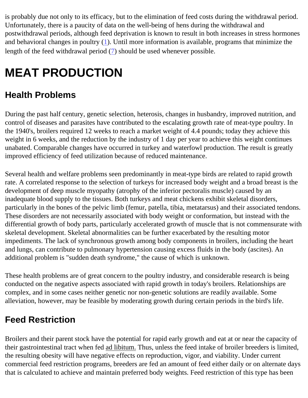is probably due not only to its efficacy, but to the elimination of feed costs during the withdrawal period. Unfortunately, there is a paucity of data on the well-being of hens during the withdrawal and postwithdrawal periods, although feed deprivation is known to result in both increases in stress hormones and behavioral changes in poultry [\(1](#page-93-0)). Until more information is available, programs that minimize the length of the feed withdrawal period ([7\)](#page-93-6) should be used whenever possible.

# **MEAT PRODUCTION**

### **Health Problems**

During the past half century, genetic selection, heterosis, changes in husbandry, improved nutrition, and control of diseases and parasites have contributed to the escalating growth rate of meat-type poultry. In the 1940's, broilers required 12 weeks to reach a market weight of 4.4 pounds; today they achieve this weight in 6 weeks, and the reduction by the industry of 1 day per year to achieve this weight continues unabated. Comparable changes have occurred in turkey and waterfowl production. The result is greatly improved efficiency of feed utilization because of reduced maintenance.

Several health and welfare problems seen predominantly in meat-type birds are related to rapid growth rate. A correlated response to the selection of turkeys for increased body weight and a broad breast is the development of deep muscle myopathy (atrophy of the inferior pectoralis muscle) caused by an inadequate blood supply to the tissues. Both turkeys and meat chickens exhibit skeletal disorders, particularly in the bones of the pelvic limb (femur, patella, tibia, metatarsus) and their associated tendons. These disorders are not necessarily associated with body weight or conformation, but instead with the differential growth of body parts, particularly accelerated growth of muscle that is not commensurate with skeletal development. Skeletal abnormalities can be further exacerbated by the resulting motor impediments. The lack of synchronous growth among body components in broilers, including the heart and lungs, can contribute to pulmonary hypertension causing excess fluids in the body (ascites). An additional problem is "sudden death syndrome," the cause of which is unknown.

These health problems are of great concern to the poultry industry, and considerable research is being conducted on the negative aspects associated with rapid growth in today's broilers. Relationships are complex, and in some cases neither genetic nor non-genetic solutions are readily available. Some alleviation, however, may be feasible by moderating growth during certain periods in the bird's life.

#### **Feed Restriction**

Broilers and their parent stock have the potential for rapid early growth and eat at or near the capacity of their gastrointestinal tract when fed ad libitum. Thus, unless the feed intake of broiler breeders is limited, the resulting obesity will have negative effects on reproduction, vigor, and viability. Under current commercial feed restriction programs, breeders are fed an amount of feed either daily or on alternate days that is calculated to achieve and maintain preferred body weights. Feed restriction of this type has been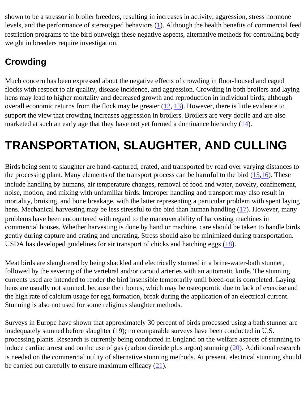shown to be a stressor in broiler breeders, resulting in increases in activity, aggression, stress hormone levels, and the performance of stereotyped behaviors ([1\)](#page-93-0). Although the health benefits of commercial feed restriction programs to the bird outweigh these negative aspects, alternative methods for controlling body weight in breeders require investigation.

### **Crowding**

Much concern has been expressed about the negative effects of crowding in floor-housed and caged flocks with respect to air quality, disease incidence, and aggression. Crowding in both broilers and laying hens may lead to higher mortality and decreased growth and reproduction in individual birds, although overall economic returns from the flock may be greater  $(12, 13)$  $(12, 13)$  $(12, 13)$ . However, there is little evidence to support the view that crowding increases aggression in broilers. Broilers are very docile and are also marketed at such an early age that they have not yet formed a dominance hierarchy  $(14)$  $(14)$ .

## **TRANSPORTATION, SLAUGHTER, AND CULLING**

Birds being sent to slaughter are hand-captured, crated, and transported by road over varying distances to the processing plant. Many elements of the transport process can be harmful to the bird [\(15](#page-94-1),[16\)](#page-94-2). These include handling by humans, air temperature changes, removal of food and water, novelty, confinement, noise, motion, and mixing with unfamiliar birds. Improper handling and transport may also result in mortality, bruising, and bone breakage, with the latter representing a particular problem with spent laying hens. Mechanical harvesting may be less stressful to the bird than human handling [\(17](#page-94-3)). However, many problems have been encountered with regard to the maneuverability of harvesting machines in commercial houses. Whether harvesting is done by hand or machine, care should be taken to handle birds gently during capture and crating and uncrating. Stress should also be minimized during transportation. USDA has developed guidelines for air transport of chicks and hatching eggs  $(18)$  $(18)$ .

Meat birds are slaughtered by being shackled and electrically stunned in a brine-water-bath stunner, followed by the severing of the vertebral and/or carotid arteries with an automatic knife. The stunning currents used are intended to render the bird insensible temporarily until bleed-out is completed. Laying hens are usually not stunned, because their bones, which may be osteoporotic due to lack of exercise and the high rate of calcium usage for egg formation, break during the application of an electrical current. Stunning is also not used for some religious slaughter methods.

Surveys in Europe have shown that approximately 30 percent of birds processed using a bath stunner are inadequately stunned before slaughter (19); no comparable surveys have been conducted in U.S. processing plants. Research is currently being conducted in England on the welfare aspects of stunning to induce cardiac arrest and on the use of gas (carbon dioxide plus argon) stunning [\(20](#page-94-5)). Additional research is needed on the commercial utility of alternative stunning methods. At present, electrical stunning should be carried out carefully to ensure maximum efficacy [\(21](#page-94-6)).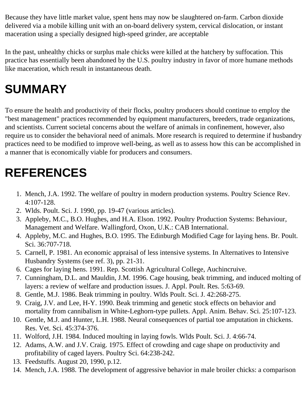Because they have little market value, spent hens may now be slaughtered on-farm. Carbon dioxide delivered via a mobile killing unit with an on-board delivery system, cervical dislocation, or instant maceration using a specially designed high-speed grinder, are acceptable

In the past, unhealthy chicks or surplus male chicks were killed at the hatchery by suffocation. This practice has essentially been abandoned by the U.S. poultry industry in favor of more humane methods like maceration, which result in instantaneous death.

# **SUMMARY**

To ensure the health and productivity of their flocks, poultry producers should continue to employ the "best management" practices recommended by equipment manufacturers, breeders, trade organizations, and scientists. Current societal concerns about the welfare of animals in confinement, however, also require us to consider the behavioral need of animals. More research is required to determine if husbandry practices need to be modified to improve well-being, as well as to assess how this can be accomplished in a manner that is economically viable for producers and consumers.

## <span id="page-93-0"></span>**REFERENCES**

- 1. Mench, J.A. 1992. The welfare of poultry in modern production systems. Poultry Science Rev. 4:107-128.
- <span id="page-93-1"></span>2. Wlds. Poult. Sci. J. 1990, pp. 19-47 (various articles).
- <span id="page-93-2"></span>3. Appleby, M.C., B.O. Hughes, and H.A. Elson. 1992. Poultry Production Systems: Behaviour, Management and Welfare. Wallingford, Oxon, U.K.: CAB International.
- <span id="page-93-3"></span>4. Appleby, M.C. and Hughes, B.O. 1995. The Edinburgh Modified Cage for laying hens. Br. Poult. Sci. 36:707-718.
- <span id="page-93-4"></span>5. Carnell, P. 1981. An economic appraisal of less intensive systems. In Alternatives to Intensive Husbandry Systems (see ref. 3), pp. 21-31.
- <span id="page-93-5"></span>6. Cages for laying hens. 1991. Rep. Scottish Agricultural College, Auchincruive.
- <span id="page-93-6"></span>7. Cunningham, D.L. and Mauldin, J.M. 1996. Cage housing, beak trimming, and induced molting of layers: a review of welfare and production issues. J. Appl. Poult. Res. 5:63-69.
- <span id="page-93-7"></span>8. Gentle, M.J. 1986. Beak trimming in poultry. Wlds Poult. Sci. J. 42:268-275.
- <span id="page-93-8"></span>9. Craig, J.V. and Lee, H-Y. 1990. Beak trimming and genetic stock effects on behavior and mortality from cannibalism in White-Leghorn-type pullets. Appl. Anim. Behav. Sci. 25:107-123.
- <span id="page-93-9"></span>10. Gentle, M.J. and Hunter, L.H. 1988. Neural consequences of partial toe amputation in chickens. Res. Vet. Sci. 45:374-376.
- <span id="page-93-10"></span>11. Wolford, J.H. 1984. Induced moulting in laying fowls. Wlds Poult. Sci. J. 4:66-74.
- <span id="page-93-11"></span>12. Adams, A.W. and J.V. Craig. 1975. Effect of crowding and cage shape on productivity and profitability of caged layers. Poultry Sci. 64:238-242.
- <span id="page-93-12"></span>13. Feedstuffs. August 20, 1990, p.12.
- <span id="page-93-13"></span>14. Mench, J.A. 1988. The development of aggressive behavior in male broiler chicks: a comparison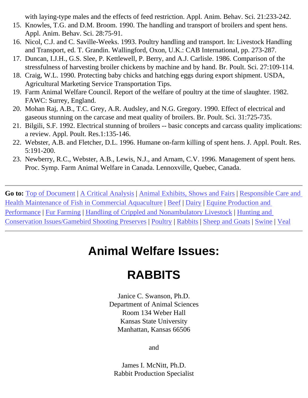with laying-type males and the effects of feed restriction. Appl. Anim. Behav. Sci. 21:233-242.

- <span id="page-94-1"></span>15. Knowles, T.G. and D.M. Broom. 1990. The handling and transport of broilers and spent hens. Appl. Anim. Behav. Sci. 28:75-91.
- <span id="page-94-2"></span>16. Nicol, C.J. and C. Saville-Weeks. 1993. Poultry handling and transport. In: Livestock Handling and Transport, ed. T. Grandin. Wallingford, Oxon, U.K.: CAB International, pp. 273-287.
- <span id="page-94-3"></span>17. Duncan, I.J.H., G.S. Slee, P. Kettlewell, P. Berry, and A.J. Carlisle. 1986. Comparison of the stressfulness of harvesting broiler chickens by machine and by hand. Br. Poult. Sci. 27:109-114.
- <span id="page-94-4"></span>18. Craig, W.L. 1990. Protecting baby chicks and hatching eggs during export shipment. USDA, Agricultural Marketing Service Transportation Tips.
- 19. Farm Animal Welfare Council. Report of the welfare of poultry at the time of slaughter. 1982. FAWC: Surrey, England.
- <span id="page-94-5"></span>20. Mohan Raj, A.B., T.C. Grey, A.R. Audsley, and N.G. Gregory. 1990. Effect of electrical and gaseous stunning on the carcase and meat quality of broilers. Br. Poult. Sci. 31:725-735.
- <span id="page-94-6"></span>21. Bilgili, S.F. 1992. Electrical stunning of broilers -- basic concepts and carcass quality implications: a review. Appl. Poult. Res.1:135-146.
- 22. Webster, A.B. and Fletcher, D.L. 1996. Humane on-farm killing of spent hens. J. Appl. Poult. Res. 5:191-200.
- 23. Newberry, R.C., Webster, A.B., Lewis, N.J., and Arnam, C.V. 1996. Management of spent hens. Proc. Symp. Farm Animal Welfare in Canada. Lennoxville, Quebec, Canada.

<span id="page-94-0"></span>**Go to:** [Top of Document](#page-0-0) | [A Critical Analysis](#page-1-0) | [Animal Exhibits, Shows and Fairs](#page-24-0) | [Responsible Care and](#page-29-0)  [Health Maintenance of Fish in Commercial Aquaculture](#page-29-0) | [Beef](#page-45-0) | [Dairy](#page-50-0) | [Equine Production and](#page-66-0)  [Performance](#page-66-0) | [Fur Farming](#page-73-0) | [Handling of Crippled and Nonambulatory Livestock](#page-77-0) | Hunting and [Conservation Issues/Gamebird Shooting Preserves](#page-82-0) | [Poultry](#page-87-0) | [Rabbits](#page-94-0) | [Sheep and Goats](#page-102-0) | [Swine](#page-108-0) | [Veal](#page-114-0)

### **Animal Welfare Issues:**

### **RABBITS**

Janice C. Swanson, Ph.D. Department of Animal Sciences Room 134 Weber Hall Kansas State University Manhattan, Kansas 66506

and

James I. McNitt, Ph.D. Rabbit Production Specialist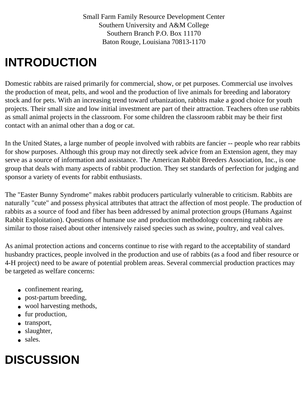Small Farm Family Resource Development Center Southern University and A&M College Southern Branch P.O. Box 11170 Baton Rouge, Louisiana 70813-1170

## **INTRODUCTION**

Domestic rabbits are raised primarily for commercial, show, or pet purposes. Commercial use involves the production of meat, pelts, and wool and the production of live animals for breeding and laboratory stock and for pets. With an increasing trend toward urbanization, rabbits make a good choice for youth projects. Their small size and low initial investment are part of their attraction. Teachers often use rabbits as small animal projects in the classroom. For some children the classroom rabbit may be their first contact with an animal other than a dog or cat.

In the United States, a large number of people involved with rabbits are fancier -- people who rear rabbits for show purposes. Although this group may not directly seek advice from an Extension agent, they may serve as a source of information and assistance. The American Rabbit Breeders Association, Inc., is one group that deals with many aspects of rabbit production. They set standards of perfection for judging and sponsor a variety of events for rabbit enthusiasts.

The "Easter Bunny Syndrome" makes rabbit producers particularly vulnerable to criticism. Rabbits are naturally "cute" and possess physical attributes that attract the affection of most people. The production of rabbits as a source of food and fiber has been addressed by animal protection groups (Humans Against Rabbit Exploitation). Questions of humane use and production methodology concerning rabbits are similar to those raised about other intensively raised species such as swine, poultry, and veal calves.

As animal protection actions and concerns continue to rise with regard to the acceptability of standard husbandry practices, people involved in the production and use of rabbits (as a food and fiber resource or 4-H project) need to be aware of potential problem areas. Several commercial production practices may be targeted as welfare concerns:

- confinement rearing,
- post-partum breeding,
- wool harvesting methods,
- fur production,
- transport,
- slaughter,
- sales.

# **DISCUSSION**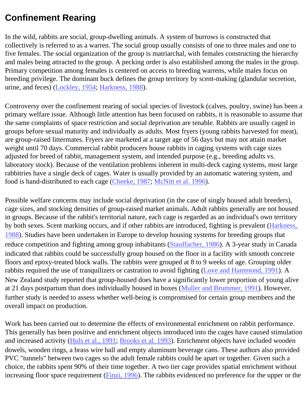### **Confinement Rearing**

In the wild, rabbits are social, group-dwelling animals. A system of burrows is constructed that collectively is referred to as a warren. The social group usually consists of one to three males and one to five females. The social organization of the group is matriarchal, with females constructing the hierarchy and males being attracted to the group. A pecking order is also established among the males in the group. Primary competition among females is centered on access to breeding warrens, while males focus on breeding privilege. The dominant buck defines the group territory by scent-making (glandular secretion, urine, and feces) [\(Lockley, 1954;](#page-101-0) [Harkness, 1988](#page-101-1)).

Controversy over the confinement rearing of social species of livestock (calves, poultry, swine) has been a primary welfare issue. Although little attention has been focused on rabbits, it is reasonable to assume that the same complaints of space restriction and social deprivation are tenable. Rabbits are usually caged in groups before sexual maturity and individually as adults. Most fryers (young rabbits harvested for meat), are group-raised littermates. Fryers are marketed at a target age of 56 days but may not attain market weight until 70 days. Commercial rabbit producers house rabbits in caging systems with cage sizes adjusted for breed of rabbit, management system, and intended purpose (e.g., breeding adults vs. laboratory stock). Because of the ventilation problems inherent in multi-deck caging systems, most large rabbitries have a single deck of cages. Water is usually provided by an automatic watering system, and food is hand-distributed to each cage ([Cheeke, 1987](#page-100-0); [McNitt et al. 1996\)](#page-101-2).

Possible welfare concerns may include social deprivation (in the case of singly housed adult breeders), cage sizes, and stocking densities of group-raised market animals. Adult rabbits generally are not housed in groups. Because of the rabbit's territorial nature, each cage is regarded as an individual's own territory by both sexes. Scent marking occurs, and if other rabbits are introduced, fighting is prevalent ([Harkness,](#page-101-1)  [1988\)](#page-101-1). Studies have been undertaken in Europe to develop housing systems for breeding groups that reduce competition and fighting among group inhabitants ([Stauffacher, 1986](#page-102-1)). A 3-year study in Canada indicated that rabbits could be successfully group housed on the floor in a facility with smooth concrete floors and epoxy-treated block walls. The rabbits were grouped at 8 to 9 weeks of age. Grouping older rabbits required the use of tranquilizers or castration to avoid fighting ([Love and Hammond, 1991\)](#page-101-3). A New Zealand study reported that group-housed does have a significantly lower proportion of young alive at 21 days postpartum than does individually housed in boxes [\(Muller and Brummer, 1991](#page-101-4)). However, further study is needed to assess whether well-being is compromised for certain group members and the overall impact on production.

Work has been carried out to determine the effects of environmental enrichment on rabbit performance. This generally has been positive and enrichment objects introduced into the cages have caused stimulation and increased activity [\(Huls et al., 1991;](#page-101-5) [Brooks et al. 1993\)](#page-100-1). Enrichment objects have included wooden dowels, wooden rings, a brass wire ball and empty aluminum beverage cans. These authors also provided PVC "tunnels" between two cages so the adult female rabbits could be apart or together. Given such a choice, the rabbits spent 90% of their time together. A two tier cage provides spatial enrichment without increasing floor space requirement ([Finzi, 1996\)](#page-101-6). The rabbits evidenced no preference for the upper or the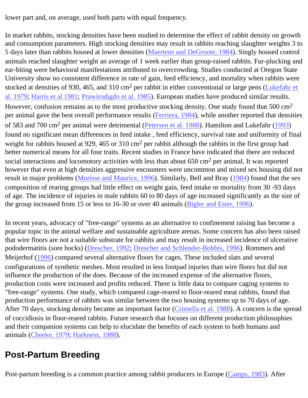lower part and, on average, used both parts with equal frequency.

In market rabbits, stocking densities have been studied to determine the effect of rabbit density on growth and consumption parameters. High stocking densities may result in rabbits reaching slaughter weights 3 to 5 days later than rabbits housed at lower densities [\(Maertens and DeGroote, 1984\)](#page-101-7). Singly housed control animals reached slaughter weight an average of 1 week earlier than group-raised rabbits. Fur-plucking and ear-biting were behavioral manifestations attributed to overcrowding. Studies conducted at Oregon State University show no consistent difference in rate of gain, feed efficiency, and mortality when rabbits were stocked at densities of 930, 465, and 310 cm<sup>2</sup> per rabbit in either conventional or large pens ([Lukefahr et](#page-101-8) [al. 1979;](#page-101-8) [Harris et al 1981](#page-101-9); [Prawirodigdo et al. 1985\)](#page-102-2). European studies have produced similar results. However, confusion remains as to the most productive stocking density. One study found that 500 cm<sup>2</sup> per animal gave the best overall performance results ([Ferriera, 1984](#page-101-10)), while another reported that densities of 583 and 700 cm<sup>2</sup> per animal were detrimental ([Petersen et al. 1988](#page-102-3)). Hamilton and Lukefahr ([1993](#page-101-11)) found no significant mean differences in feed intake , feed efficiency, survival rate and uniformity of final weight for rabbits housed at 929, 465 or 310 cm<sup>2</sup> per rabbit although the rabbits in the first group had better numerical means for all four traits. Recent studies in France have indicated that there are reduced social interactions and locomotory activities with less than about 650 cm2 per animal. It was reported however that even at high densities aggressive encounters were uncommon and mixed sex housing did not result in major problems [\(Morisse and Maurice, 1996](#page-101-12)). Similarly, Bell and Bray ([1984\)](#page-100-2) found that the sex composition of rearing groups had little effect on weight gain, feed intake or mortality from 30 -93 days of age. The incidence of injuries in male rabbits 60 to 80 days of age increased significantly as the size of the group increased from 15 or less to 16-30 or over 40 animals ([Bigler and Ester, 1996\)](#page-100-3).

In recent years, advocacy of "free-range" systems as an alternative to confinement raising has become a popular topic in the animal welfare and sustainable agriculture arenas. Some concern has also been raised that wire floors are not a suitable substrate for rabbits and may result in increased incidence of ulcerative pododermatitis (sore hocks) [\(Drescher, 1992](#page-101-13); [Drescher and Schlender-Bobbis, 1996\)](#page-101-14). Rommers and Meijerhof ([1996](#page-102-4)) compared several alternative floors for cages. These included slats and several configurations of synthetic meshes. Most resulted in less footpad injuries than wire floors but did not influence the production of the does. Because of the increased expense of the alternative floors, production costs were increased and profits reduced. There is little data to compare caging systems to "free-range" systems. One study, which compared cage-reared to floor-reared meat rabbits, found that production performance of rabbits was similar between the two housing systems up to 70 days of age. After 70 days, stocking density became an important factor [\(Crimella et al. 1988\)](#page-100-4). A concern is the spread of coccidiosis in floor-reared rabbits. Future research that focuses on different production philosophies and their companion systems can help to elucidate the benefits of each system to both humans and animals [\(Cheeke, 1979;](#page-100-5) [Harkness, 1988](#page-101-1)).

#### **Post-Partum Breeding**

Post-partum breeding is a common practice among rabbit producers in Europe [\(Camps, 1983\)](#page-100-6). After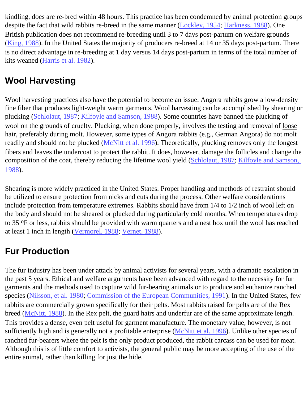kindling, does are re-bred within 48 hours. This practice has been condemned by animal protection groups despite the fact that wild rabbits re-breed in the same manner ([Lockley, 1954;](#page-101-0) [Harkness, 1988\)](#page-101-1). One British publication does not recommend re-breeding until 3 to 7 days post-partum on welfare grounds ([King, 1988](#page-101-15)). In the United States the majority of producers re-breed at 14 or 35 days post-partum. There is no direct advantage in re-breeding at 1 day versus 14 days post-partum in terms of the total number of kits weaned [\(Harris et al. 1982\)](#page-101-16).

### **Wool Harvesting**

Wool harvesting practices also have the potential to become an issue. Angora rabbits grow a low-density fine fiber that produces light-weight warm garments. Wool harvesting can be accomplished by shearing or plucking ([Schlolaut, 1987;](#page-102-5) [Kilfoyle and Samson, 1988](#page-101-17)). Some countries have banned the plucking of wool on the grounds of cruelty. Plucking, when done properly, involves the testing and removal of loose hair, preferably during molt. However, some types of Angora rabbits (e.g., German Angora) do not molt readily and should not be plucked [\(McNitt et al. 1996\)](#page-101-2). Theoretically, plucking removes only the longest fibers and leaves the undercoat to protect the rabbit. It does, however, damage the follicles and change the composition of the coat, thereby reducing the lifetime wool yield [\(Schlolaut, 1987;](#page-102-5) [Kilfoyle and Samson,](#page-101-17)  [1988\)](#page-101-17).

Shearing is more widely practiced in the United States. Proper handling and methods of restraint should be utilized to ensure protection from nicks and cuts during the process. Other welfare considerations include protection from temperature extremes. Rabbits should have from 1/4 to 1/2 inch of wool left on the body and should not be sheared or plucked during particularly cold months. When temperatures drop to 35 oF or less, rabbits should be provided with warm quarters and a nest box until the wool has reached at least 1 inch in length [\(Vermorel, 1988](#page-102-6); [Vernet, 1988](#page-102-7)).

### **Fur Production**

The fur industry has been under attack by animal activists for several years, with a dramatic escalation in the past 5 years. Ethical and welfare arguments have been advanced with regard to the necessity for fur garments and the methods used to capture wild fur-bearing animals or to produce and euthanize ranched species [\(Nilsson, et al. 1980;](#page-102-8) [Commission of the European Communities, 1991\)](#page-100-7). In the United States, few rabbits are commercially grown specifically for their pelts. Most rabbits raised for pelts are of the Rex breed ([McNitt, 1988\)](#page-101-18). In the Rex pelt, the guard hairs and underfur are of the same approximate length. This provides a dense, even pelt useful for garment manufacture. The monetary value, however, is not sufficiently high and is generally not a profitable enterprise ([McNitt et al. 1996\)](#page-101-2). Unlike other species of ranched fur-bearers where the pelt is the only product produced, the rabbit carcass can be used for meat. Although this is of little comfort to activists, the general public may be more accepting of the use of the entire animal, rather than killing for just the hide.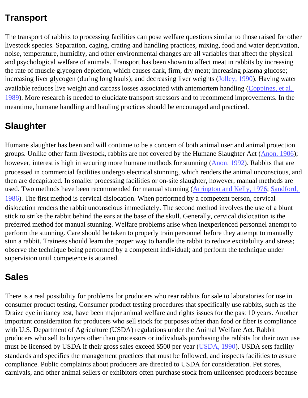#### **Transport**

The transport of rabbits to processing facilities can pose welfare questions similar to those raised for other livestock species. Separation, caging, crating and handling practices, mixing, food and water deprivation, noise, temperature, humidity, and other environmental changes are all variables that affect the physical and psychological welfare of animals. Transport has been shown to affect meat in rabbits by increasing the rate of muscle glycogen depletion, which causes dark, firm, dry meat; increasing plasma glucose; increasing liver glycogen (during long hauls); and decreasing liver weights ([Jolley, 1990](#page-101-19)). Having water available reduces live weight and carcass losses associated with antemortem handling [\(Coppings, et al.](#page-100-8)  [1989\)](#page-100-8). More research is needed to elucidate transport stressors and to recommend improvements. In the meantime, humane handling and hauling practices should be encouraged and practiced.

#### **Slaughter**

Humane slaughter has been and will continue to be a concern of both animal user and animal protection groups. Unlike other farm livestock, rabbits are not covered by the Humane Slaughter Act ([Anon. 1906](#page-100-9)); however, interest is high in securing more humane methods for stunning ([Anon. 1992](#page-100-10)). Rabbits that are processed in commercial facilities undergo electrical stunning, which renders the animal unconscious, and then are decapitated. In smaller processing facilities or on-site slaughter, however, manual methods are used. Two methods have been recommended for manual stunning ([Arrington and Kelly, 1976](#page-100-11); Sandford, [1986\)](#page-102-9). The first method is cervical dislocation. When performed by a competent person, cervical dislocation renders the rabbit unconscious immediately. The second method involves the use of a blunt stick to strike the rabbit behind the ears at the base of the skull. Generally, cervical dislocation is the preferred method for manual stunning. Welfare problems arise when inexperienced personnel attempt to perform the stunning. Care should be taken to properly train personnel before they attempt to manually stun a rabbit. Trainees should learn the proper way to handle the rabbit to reduce excitability and stress; observe the technique being performed by a competent individual; and perform the technique under supervision until competence is attained.

#### **Sales**

There is a real possibility for problems for producers who rear rabbits for sale to laboratories for use in consumer product testing. Consumer product testing procedures that specifically use rabbits, such as the Draize eye irritancy test, have been major animal welfare and rights issues for the past 10 years. Another important consideration for producers who sell stock for purposes other than food or fiber is compliance with U.S. Department of Agriculture (USDA) regulations under the Animal Welfare Act. Rabbit producers who sell to buyers other than processors or individuals purchasing the rabbits for their own use must be licensed by USDA if their gross sales exceed \$500 per year ([USDA, 1990](#page-102-10)). USDA sets facility standards and specifies the management practices that must be followed, and inspects facilities to assure compliance. Public complaints about producers are directed to USDA for consideration. Pet stores, carnivals, and other animal sellers or exhibitors often purchase stock from unlicensed producers because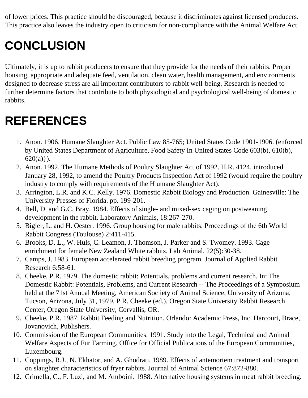of lower prices. This practice should be discouraged, because it discriminates against licensed producers. This practice also leaves the industry open to criticism for non-compliance with the Animal Welfare Act.

# **CONCLUSION**

Ultimately, it is up to rabbit producers to ensure that they provide for the needs of their rabbits. Proper housing, appropriate and adequate feed, ventilation, clean water, health management, and environments designed to decrease stress are all important contributors to rabbit well-being. Research is needed to further determine factors that contribute to both physiological and psychological well-being of domestic rabbits.

## <span id="page-100-9"></span>**REFERENCES**

- 1. Anon. 1906. Humane Slaughter Act. Public Law 85-765; United States Code 1901-1906. (enforced by United States Department of Agriculture, Food Safety In United States Code 603(b), 610(b),  $620(a)$ .
- <span id="page-100-10"></span>2. Anon. 1992. The Humane Methods of Poultry Slaughter Act of 1992. H.R. 4124, introduced January 28, 1992, to amend the Poultry Products Inspection Act of 1992 (would require the poultry industry to comply with requirements of the H umane Slaughter Act).
- <span id="page-100-11"></span>3. Arrington, L.R. and K.C. Kelly. 1976. Domestic Rabbit Biology and Production. Gainesville: The University Presses of Florida. pp. 199-201.
- <span id="page-100-2"></span>4. Bell, D. and G.C. Bray. 1984. Effects of single- and mixed-sex caging on postweaning development in the rabbit. Laboratory Animals, 18:267-270.
- <span id="page-100-3"></span>5. Bigler, L. and H. Oester. 1996. Group housing for male rabbits. Proceedings of the 6th World Rabbit Congress (Toulouse) 2:411-415.
- <span id="page-100-1"></span>6. Brooks, D. L., W. Huls, C. Leamon, J. Thomson, J. Parker and S. Twomey. 1993. Cage enrichment for female New Zealand White rabbits. Lab Animal, 22(5):30-38.
- <span id="page-100-6"></span>7. Camps, J. 1983. European accelerated rabbit breeding program. Journal of Applied Rabbit Research 6:58-61.
- <span id="page-100-5"></span>8. Cheeke, P.R. 1979. The domestic rabbit: Potentials, problems and current research. In: The Domestic Rabbit: Potentials, Problems, and Current Research -- The Proceedings of a Symposium held at the 71st Annual Meeting, American Soc iety of Animal Science, University of Arizona, Tucson, Arizona, July 31, 1979. P.R. Cheeke (ed.), Oregon State University Rabbit Research Center, Oregon State University, Corvallis, OR.
- <span id="page-100-0"></span>9. Cheeke, P.R. 1987. Rabbit Feeding and Nutrition. Orlando: Academic Press, Inc. Harcourt, Brace, Jovanovich, Publishers.
- <span id="page-100-7"></span>10. Commission of the European Communities. 1991. Study into the Legal, Technical and Animal Welfare Aspects of Fur Farming. Office for Official Publications of the European Communities, Luxembourg.
- <span id="page-100-8"></span>11. Coppings, R.J., N. Ekhator, and A. Ghodrati. 1989. Effects of antemortem treatment and transport on slaughter characteristics of fryer rabbits. Journal of Animal Science 67:872-880.
- <span id="page-100-4"></span>12. Crimella, C., F. Luzi, and M. Amboini. 1988. Alternative housing systems in meat rabbit breeding.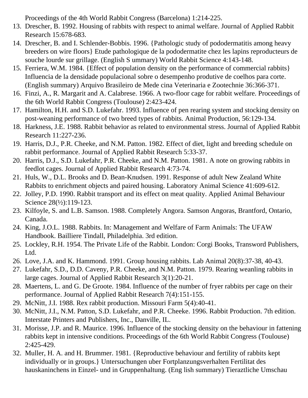Proceedings of the 4th World Rabbit Congress (Barcelona) 1:214-225.

- <span id="page-101-13"></span>13. Drescher, B. 1992. Housing of rabbits with respect to animal welfare. Journal of Applied Rabbit Research 15:678-683.
- <span id="page-101-14"></span>14. Drescher, B. and I. Schlender-Bobbis. 1996. {Pathologic study of pododermatitis among heavy breeders on wire floors} Etude pathologique de la pododermatite chez les lapins reproducteurs de souche lourde sur grillage. (English S ummary) World Rabbit Science 4:143-148.
- <span id="page-101-10"></span>15. Ferriera, W.M. 1984. {Effect of population density on the performance of commercial rabbits} Influencia de la densidade populacional sobre o desempenho produtive de coelhos para corte. (English summary) Arquivo Brasileiro de Mede cina Veterinaria e Zootechnie 36:366-371.
- <span id="page-101-6"></span>16. Finzi, A., R. Margarit and A. Calabrese. 1966. A two-floor cage for rabbit welfare. Proceedings of the 6th World Rabbit Congress (Toulouse) 2:423-424.
- <span id="page-101-11"></span>17. Hamilton, H.H. and S.D. Lukefahr. 1993. Influence of pen rearing system and stocking density on post-weaning performance of two breed types of rabbits. Animal Production, 56:129-134.
- <span id="page-101-1"></span>18. Harkness, J.E. 1988. Rabbit behavior as related to environmental stress. Journal of Applied Rabbit Research 11:227-236.
- <span id="page-101-16"></span>19. Harris, D.J., P.R. Cheeke, and N.M. Patton. 1982. Effect of diet, light and breeding schedule on rabbit performance. Journal of Applied Rabbit Research 5:33-37.
- <span id="page-101-9"></span>20. Harris, D.J., S.D. Lukefahr, P.R. Cheeke, and N.M. Patton. 1981. A note on growing rabbits in feedlot cages. Journal of Applied Rabbit Research 4:73-74.
- <span id="page-101-5"></span>21. Huls, W., D.L. Brooks and D. Bean-Knudsen. 1991. Response of adult New Zealand White Rabbits to enrichment objects and paired housing. Laboratory Animal Science 41:609-612.
- <span id="page-101-19"></span>22. Jolley, P.D. 1990. Rabbit transport and its effect on meat quality. Applied Animal Behaviour Science 28(½):119-123.
- <span id="page-101-17"></span>23. Kilfoyle, S. and L.B. Samson. 1988. Completely Angora. Samson Angoras, Brantford, Ontario, Canada.
- <span id="page-101-15"></span>24. King, J.O.L. 1988. Rabbits. In: Management and Welfare of Farm Animals: The UFAW Handbook. Bailliere Tindall, Philadelphia. 3rd edition.
- <span id="page-101-0"></span>25. Lockley, R.H. 1954. The Private Life of the Rabbit. London: Corgi Books, Transword Publishers, Ltd.
- <span id="page-101-3"></span>26. Love, J.A. and K. Hammond. 1991. Group housing rabbits. Lab Animal 20(8):37-38, 40-43.
- <span id="page-101-8"></span>27. Lukefahr, S.D., D.D. Caveny, P.R. Cheeke, and N.M. Patton. 1979. Rearing weanling rabbits in large cages. Journal of Applied Rabbit Research 3(1):20-21.
- <span id="page-101-7"></span>28. Maertens, L. and G. De Groote. 1984. Influence of the number of fryer rabbits per cage on their performance. Journal of Applied Rabbit Research 7(4):151-155.
- <span id="page-101-18"></span>29. McNitt, J.I. 1988. Rex rabbit production. Missouri Farm 5(4):40-41.
- <span id="page-101-2"></span>30. McNitt, J.I., N.M. Patton, S.D. Lukefahr, and P.R. Cheeke. 1996. Rabbit Production. 7th edition. Interstate Printers and Publishers, Inc., Danville, IL.
- <span id="page-101-12"></span>31. Morisse, J.P. and R. Maurice. 1996. Influence of the stocking density on the behaviour in fattening rabbits kept in intensive conditions. Proceedings of the 6th World Rabbit Congress (Toulouse) 2:425-429.
- <span id="page-101-4"></span>32. Muller, H. A. and H. Brummer. 1981. {Reproductive behaviour and fertility of rabbits kept individually or in groups.} Untersuchungen uber Fortplanzungsverhalten Fertilitat des hauskaninchens in Einzel- und in Gruppenhaltung. (Eng lish summary) Tieraztliche Umschau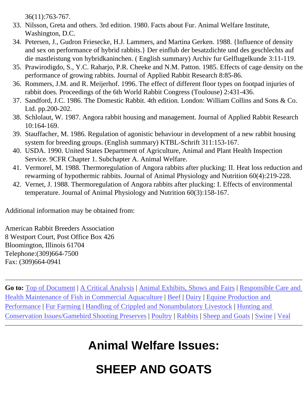36(11):763-767.

- <span id="page-102-8"></span>33. Nilsson, Greta and others. 3rd edition. 1980. Facts about Fur. Animal Welfare Institute, Washington, D.C.
- <span id="page-102-3"></span>34. Petersen, J., Gudron Friesecke, H.J. Lammers, and Martina Gerken. 1988. {Influence of density and sex on performance of hybrid rabbits.} Der einflub der besatzdichte und des geschlechts auf die mastleistung von hybridkaninchen. ( English summary) Archiv fur Gelflugelkunde 3:11-119.
- <span id="page-102-2"></span>35. Prawirodigdo, S., Y.C. Raharjo, P.R. Cheeke and N.M. Patton. 1985. Effects of cage density on the performance of growing rabbits. Journal of Applied Rabbit Research 8:85-86.
- <span id="page-102-4"></span>36. Rommers, J.M. and R. Meijerhof. 1996. The effect of different floor types on footpad injuries of rabbit does. Proceedings of the 6th World Rabbit Congress (Toulouse) 2:431-436.
- <span id="page-102-9"></span>37. Sandford, J.C. 1986. The Domestic Rabbit. 4th edition. London: William Collins and Sons & Co. Ltd. pp.200-202.
- <span id="page-102-5"></span>38. Schlolaut, W. 1987. Angora rabbit housing and management. Journal of Applied Rabbit Research 10:164-169.
- <span id="page-102-1"></span>39. Stauffacher, M. 1986. Regulation of agonistic behaviour in development of a new rabbit housing system for breeding groups. (English summary) KTBL-Schrift 311:153-167.
- <span id="page-102-10"></span>40. USDA. 1990. United States Department of Agriculture, Animal and Plant Health Inspection Service. 9CFR Chapter 1. Subchapter A. Animal Welfare.
- <span id="page-102-6"></span>41. Vermorel, M. 1988. Thermoregulation of Angora rabbits after plucking: II. Heat loss reduction and rewarming of hypothermic rabbits. Journal of Animal Physiology and Nutrition 60(4):219-228.
- <span id="page-102-7"></span>42. Vernet, J. 1988. Thermoregulation of Angora rabbits after plucking: I. Effects of environmental temperature. Journal of Animal Physiology and Nutrition 60(3):158-167.

Additional information may be obtained from:

American Rabbit Breeders Association 8 Westport Court, Post Office Box 426 Bloomington, Illinois 61704 Telephone:(309)664-7500 Fax: (309)664-0941

<span id="page-102-0"></span>Go to: [Top of Document](#page-0-0) | [A Critical Analysis](#page-1-0) | [Animal Exhibits, Shows and Fairs](#page-24-0) | Responsible Care and [Health Maintenance of Fish in Commercial Aquaculture](#page-29-0) | [Beef](#page-45-0) | [Dairy](#page-50-0) | [Equine Production and](#page-66-0)  [Performance](#page-66-0) | [Fur Farming](#page-73-0) | [Handling of Crippled and Nonambulatory Livestock](#page-77-0) | [Hunting and](#page-82-0)  [Conservation Issues/Gamebird Shooting Preserves](#page-82-0) | [Poultry](#page-87-0) | [Rabbits](#page-94-0) | [Sheep and Goats](#page-102-0) | [Swine](#page-108-0) | [Veal](#page-114-0)

## **Animal Welfare Issues:**

# **SHEEP AND GOATS**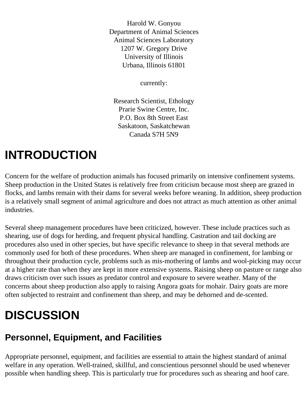Harold W. Gonyou Department of Animal Sciences Animal Sciences Laboratory 1207 W. Gregory Drive University of Illinois Urbana, Illinois 61801

currently:

Research Scientist, Ethology Prarie Swine Centre, Inc. P.O. Box 8th Street East Saskatoon, Saskatchewan Canada S7H 5N9

## **INTRODUCTION**

Concern for the welfare of production animals has focused primarily on intensive confinement systems. Sheep production in the United States is relatively free from criticism because most sheep are grazed in flocks, and lambs remain with their dams for several weeks before weaning. In addition, sheep production is a relatively small segment of animal agriculture and does not attract as much attention as other animal industries.

Several sheep management procedures have been criticized, however. These include practices such as shearing, use of dogs for herding, and frequent physical handling. Castration and tail docking are procedures also used in other species, but have specific relevance to sheep in that several methods are commonly used for both of these procedures. When sheep are managed in confinement, for lambing or throughout their production cycle, problems such as mis-mothering of lambs and wool-picking may occur at a higher rate than when they are kept in more extensive systems. Raising sheep on pasture or range also draws criticism over such issues as predator control and exposure to severe weather. Many of the concerns about sheep production also apply to raising Angora goats for mohair. Dairy goats are more often subjected to restraint and confinement than sheep, and may be dehorned and de-scented.

## **DISCUSSION**

#### **Personnel, Equipment, and Facilities**

Appropriate personnel, equipment, and facilities are essential to attain the highest standard of animal welfare in any operation. Well-trained, skillful, and conscientious personnel should be used whenever possible when handling sheep. This is particularly true for procedures such as shearing and hoof care.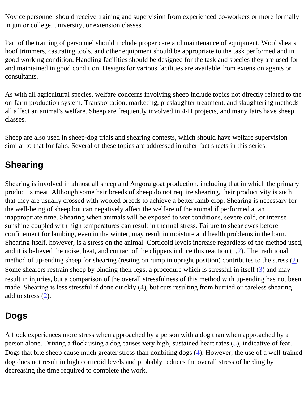Novice personnel should receive training and supervision from experienced co-workers or more formally in junior college, university, or extension classes.

Part of the training of personnel should include proper care and maintenance of equipment. Wool shears, hoof trimmers, castrating tools, and other equipment should be appropriate to the task performed and in good working condition. Handling facilities should be designed for the task and species they are used for and maintained in good condition. Designs for various facilities are available from extension agents or consultants.

As with all agricultural species, welfare concerns involving sheep include topics not directly related to the on-farm production system. Transportation, marketing, preslaughter treatment, and slaughtering methods all affect an animal's welfare. Sheep are frequently involved in 4-H projects, and many fairs have sheep classes.

Sheep are also used in sheep-dog trials and shearing contests, which should have welfare supervision similar to that for fairs. Several of these topics are addressed in other fact sheets in this series.

#### **Shearing**

Shearing is involved in almost all sheep and Angora goat production, including that in which the primary product is meat. Although some hair breeds of sheep do not require shearing, their productivity is such that they are usually crossed with wooled breeds to achieve a better lamb crop. Shearing is necessary for the well-being of sheep but can negatively affect the welfare of the animal if performed at an inappropriate time. Shearing when animals will be exposed to wet conditions, severe cold, or intense sunshine coupled with high temperatures can result in thermal stress. Failure to shear ewes before confinement for lambing, even in the winter, may result in moisture and health problems in the barn. Shearing itself, however, is a stress on the animal. Corticoid levels increase regardless of the method used, and it is believed the noise, heat, and contact of the clippers induce this reaction  $(1,2)$  $(1,2)$  $(1,2)$  $(1,2)$ . The traditional method of up-ending sheep for shearing (resting on rump in upright position) contributes to the stress [\(2](#page-107-1)). Some shearers restrain sheep by binding their legs, a procedure which is stressful in itself ([3\)](#page-107-2) and may result in injuries, but a comparison of the overall stressfulness of this method with up-ending has not been made. Shearing is less stressful if done quickly (4), but cuts resulting from hurried or careless shearing add to stress ([2\)](#page-107-1).

#### **Dogs**

A flock experiences more stress when approached by a person with a dog than when approached by a person alone. Driving a flock using a dog causes very high, sustained heart rates  $(5)$  $(5)$ , indicative of fear. Dogs that bite sheep cause much greater stress than nonbiting dogs [\(4](#page-108-2)). However, the use of a well-trained dog does not result in high corticoid levels and probably reduces the overall stress of herding by decreasing the time required to complete the work.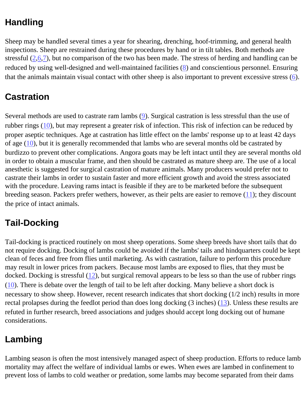#### **Handling**

Sheep may be handled several times a year for shearing, drenching, hoof-trimming, and general health inspections. Sheep are restrained during these procedures by hand or in tilt tables. Both methods are stressful [\(2](#page-107-1),[6,](#page-108-3)[7](#page-108-4)), but no comparison of the two has been made. The stress of herding and handling can be reduced by using well-designed and well-maintained facilities [\(8](#page-108-5)) and conscientious personnel. Ensuring that the animals maintain visual contact with other sheep is also important to prevent excessive stress [\(6](#page-108-3)).

#### **Castration**

Several methods are used to castrate ram lambs ([9\)](#page-108-6). Surgical castration is less stressful than the use of rubber rings ([10](#page-108-7)), but may represent a greater risk of infection. This risk of infection can be reduced by proper aseptic techniques. Age at castration has little effect on the lambs' response up to at least 42 days of age [\(10](#page-108-7)), but it is generally recommended that lambs who are several months old be castrated by burdizzo to prevent other complications. Angora goats may be left intact until they are several months old in order to obtain a muscular frame, and then should be castrated as mature sheep are. The use of a local anesthetic is suggested for surgical castration of mature animals. Many producers would prefer not to castrate their lambs in order to sustain faster and more efficient growth and avoid the stress associated with the procedure. Leaving rams intact is feasible if they are to be marketed before the subsequent breeding season. Packers prefer wethers, however, as their pelts are easier to remove  $(11)$  $(11)$ ; they discount the price of intact animals.

#### **Tail-Docking**

Tail-docking is practiced routinely on most sheep operations. Some sheep breeds have short tails that do not require docking. Docking of lambs could be avoided if the lambs' tails and hindquarters could be kept clean of feces and free from flies until marketing. As with castration, failure to perform this procedure may result in lower prices from packers. Because most lambs are exposed to flies, that they must be docked. Docking is stressful  $(12)$  $(12)$  $(12)$ , but surgical removal appears to be less so than the use of rubber rings ([10](#page-108-7)). There is debate over the length of tail to be left after docking. Many believe a short dock is necessary to show sheep. However, recent research indicates that short docking (1/2 inch) results in more rectal prolapses during the feedlot period than does long docking (3 inches) ([13](#page-108-10)). Unless these results are refuted in further research, breed associations and judges should accept long docking out of humane considerations.

#### **Lambing**

Lambing season is often the most intensively managed aspect of sheep production. Efforts to reduce lamb mortality may affect the welfare of individual lambs or ewes. When ewes are lambed in confinement to prevent loss of lambs to cold weather or predation, some lambs may become separated from their dams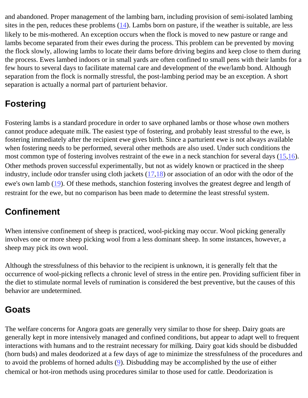and abandoned. Proper management of the lambing barn, including provision of semi-isolated lambing sites in the pen, reduces these problems ([14\)](#page-108-11). Lambs born on pasture, if the weather is suitable, are less likely to be mis-mothered. An exception occurs when the flock is moved to new pasture or range and lambs become separated from their ewes during the process. This problem can be prevented by moving the flock slowly, allowing lambs to locate their dams before driving begins and keep close to them during the process. Ewes lambed indoors or in small yards are often confined to small pens with their lambs for a few hours to several days to facilitate maternal care and development of the ewe/lamb bond. Although separation from the flock is normally stressful, the post-lambing period may be an exception. A short separation is actually a normal part of parturient behavior.

### **Fostering**

Fostering lambs is a standard procedure in order to save orphaned lambs or those whose own mothers cannot produce adequate milk. The easiest type of fostering, and probably least stressful to the ewe, is fostering immediately after the recipient ewe gives birth. Since a parturient ewe is not always available when fostering needs to be performed, several other methods are also used. Under such conditions the most common type of fostering involves restraint of the ewe in a neck stanchion for several days [\(15](#page-108-12),[16\)](#page-108-13). Other methods proven successful experimentally, but not as widely known or practiced in the sheep industry, include odor transfer using cloth jackets  $(17,18)$  $(17,18)$  $(17,18)$  or association of an odor with the odor of the ewe's own lamb ([19\)](#page-108-16). Of these methods, stanchion fostering involves the greatest degree and length of restraint for the ewe, but no comparison has been made to determine the least stressful system.

#### **Confinement**

When intensive confinement of sheep is practiced, wool-picking may occur. Wool picking generally involves one or more sheep picking wool from a less dominant sheep. In some instances, however, a sheep may pick its own wool.

Although the stressfulness of this behavior to the recipient is unknown, it is generally felt that the occurrence of wool-picking reflects a chronic level of stress in the entire pen. Providing sufficient fiber in the diet to stimulate normal levels of rumination is considered the best preventive, but the causes of this behavior are undetermined.

#### **Goats**

The welfare concerns for Angora goats are generally very similar to those for sheep. Dairy goats are generally kept in more intensively managed and confined conditions, but appear to adapt well to frequent interactions with humans and to the restraint necessary for milking. Dairy goat kids should be disbudded (horn buds) and males deodorized at a few days of age to minimize the stressfulness of the procedures and to avoid the problems of horned adults ([9\)](#page-108-6). Disbudding may be accomplished by the use of either chemical or hot-iron methods using procedures similar to those used for cattle. Deodorization is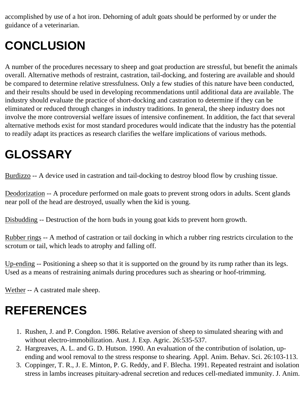accomplished by use of a hot iron. Dehorning of adult goats should be performed by or under the guidance of a veterinarian.

# **CONCLUSION**

A number of the procedures necessary to sheep and goat production are stressful, but benefit the animals overall. Alternative methods of restraint, castration, tail-docking, and fostering are available and should be compared to determine relative stressfulness. Only a few studies of this nature have been conducted, and their results should be used in developing recommendations until additional data are available. The industry should evaluate the practice of short-docking and castration to determine if they can be eliminated or reduced through changes in industry traditions. In general, the sheep industry does not involve the more controversial welfare issues of intensive confinement. In addition, the fact that several alternative methods exist for most standard procedures would indicate that the industry has the potential to readily adapt its practices as research clarifies the welfare implications of various methods.

# **GLOSSARY**

Burdizzo -- A device used in castration and tail-docking to destroy blood flow by crushing tissue.

Deodorization -- A procedure performed on male goats to prevent strong odors in adults. Scent glands near poll of the head are destroyed, usually when the kid is young.

Disbudding -- Destruction of the horn buds in young goat kids to prevent horn growth.

Rubber rings -- A method of castration or tail docking in which a rubber ring restricts circulation to the scrotum or tail, which leads to atrophy and falling off.

Up-ending -- Positioning a sheep so that it is supported on the ground by its rump rather than its legs. Used as a means of restraining animals during procedures such as shearing or hoof-trimming.

Wether -- A castrated male sheep.

## <span id="page-107-0"></span>**REFERENCES**

- 1. Rushen, J. and P. Congdon. 1986. Relative aversion of sheep to simulated shearing with and without electro-immobilization. Aust. J. Exp. Agric. 26:535-537.
- <span id="page-107-1"></span>2. Hargreaves, A. L. and G. D. Hutson. 1990. An evaluation of the contribution of isolation, upending and wool removal to the stress response to shearing. Appl. Anim. Behav. Sci. 26:103-113.
- <span id="page-107-2"></span>3. Coppinger, T. R., J. E. Minton, P. G. Reddy, and F. Blecha. 1991. Repeated restraint and isolation stress in lambs increases pituitary-adrenal secretion and reduces cell-mediated immunity. J. Anim.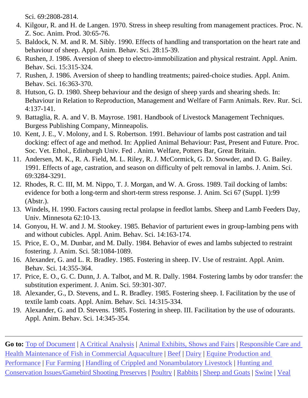Sci. 69:2808-2814.

- 4. Kilgour, R. and H. de Langen. 1970. Stress in sheep resulting from management practices. Proc. N. Z. Soc. Anim. Prod. 30:65-76.
- 5. Baldock, N. M. and R. M. Sibly. 1990. Effects of handling and transportation on the heart rate and behaviour of sheep. Appl. Anim. Behav. Sci. 28:15-39.
- 6. Rushen, J. 1986. Aversion of sheep to electro-immobilization and physical restraint. Appl. Anim. Behav. Sci. 15:315-324.
- 7. Rushen, J. 1986. Aversion of sheep to handling treatments; paired-choice studies. Appl. Anim. Behav. Sci. 16:363-370.
- 8. Hutson, G. D. 1980. Sheep behaviour and the design of sheep yards and shearing sheds. In: Behaviour in Relation to Reproduction, Management and Welfare of Farm Animals. Rev. Rur. Sci. 4:137-141.
- 9. Battaglia, R. A. and V. B. Mayrose. 1981. Handbook of Livestock Management Techniques. Burgess Publishing Company, Minneapolis.
- 10. Kent, J. E., V. Molony, and I. S. Robertson. 1991. Behaviour of lambs post castration and tail docking: effect of age and method. In: Applied Animal Behaviour: Past, Present and Future. Proc. Soc. Vet. Ethol., Edinburgh Univ. Fed . Anim. Welfare, Potters Bar, Great Britain.
- 11. Andersen, M. K., R. A. Field, M. L. Riley, R. J. McCormick, G. D. Snowder, and D. G. Bailey. 1991. Effects of age, castration, and season on difficulty of pelt removal in lambs. J. Anim. Sci. 69:3284-3291.
- 12. Rhodes, R. C. III, M. M. Nippo, T. J. Morgan, and W. A. Gross. 1989. Tail docking of lambs: evidence for both a long-term and short-term stress response. J. Anim. Sci 67 (Suppl. 1):99 (Abstr.).
- 13. Windels, H. 1990. Factors causing rectal prolapse in feedlot lambs. Sheep and Lamb Feeders Day, Univ. Minnesota 62:10-13.
- 14. Gonyou, H. W. and J. M. Stookey. 1985. Behavior of parturient ewes in group-lambing pens with and without cubicles. Appl. Anim. Behav. Sci. 14:163-174.
- 15. Price, E. O., M. Dunbar, and M. Dally. 1984. Behavior of ewes and lambs subjected to restraint fostering. J. Anim. Sci. 58:1084-1089.
- 16. Alexander, G. and L. R. Bradley. 1985. Fostering in sheep. IV. Use of restraint. Appl. Anim. Behav. Sci. 14:355-364.
- 17. Price, E. O., G. C. Dunn, J. A. Talbot, and M. R. Dally. 1984. Fostering lambs by odor transfer: the substitution experiment. J. Anim. Sci. 59:301-307.
- 18. Alexander, G., D. Stevens, and L. R. Bradley. 1985. Fostering sheep. I. Facilitation by the use of textile lamb coats. Appl. Anim. Behav. Sci. 14:315-334.
- 19. Alexander, G. and D. Stevens. 1985. Fostering in sheep. III. Facilitation by the use of odourants. Appl. Anim. Behav. Sci. 14:345-354.

<span id="page-108-0"></span>**Go to:** [Top of Document](#page-0-0) | [A Critical Analysis](#page-1-0) | [Animal Exhibits, Shows and Fairs](#page-24-0) | [Responsible Care and](#page-29-0)  [Health Maintenance of Fish in Commercial Aquaculture](#page-29-0) | [Beef](#page-45-0) | [Dairy](#page-50-0) | [Equine Production and](#page-66-0)  [Performance](#page-66-0) | [Fur Farming](#page-73-0) | [Handling of Crippled and Nonambulatory Livestock](#page-77-0) | [Hunting and](#page-82-0)  [Conservation Issues/Gamebird Shooting Preserves](#page-82-0) | [Poultry](#page-87-0) | [Rabbits](#page-94-0) | [Sheep and Goats](#page-102-0) | [Swine](#page-108-0) | [Veal](#page-114-0)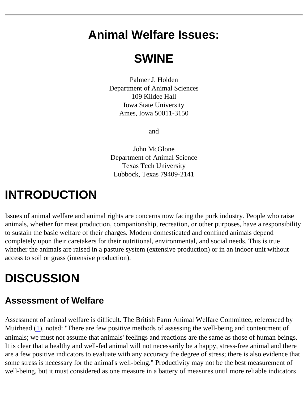### **Animal Welfare Issues:**

### **SWINE**

Palmer J. Holden Department of Animal Sciences 109 Kildee Hall Iowa State University Ames, Iowa 50011-3150

and

John McGlone Department of Animal Science Texas Tech University Lubbock, Texas 79409-2141

### **INTRODUCTION**

Issues of animal welfare and animal rights are concerns now facing the pork industry. People who raise animals, whether for meat production, companionship, recreation, or other purposes, have a responsibility to sustain the basic welfare of their charges. Modern domesticated and confined animals depend completely upon their caretakers for their nutritional, environmental, and social needs. This is true whether the animals are raised in a pasture system (extensive production) or in an indoor unit without access to soil or grass (intensive production).

# **DISCUSSION**

#### **Assessment of Welfare**

Assessment of animal welfare is difficult. The British Farm Animal Welfare Committee, referenced by Muirhead  $(1)$  $(1)$ , noted: "There are few positive methods of assessing the well-being and contentment of animals; we must not assume that animals' feelings and reactions are the same as those of human beings. It is clear that a healthy and well-fed animal will not necessarily be a happy, stress-free animal and there are a few positive indicators to evaluate with any accuracy the degree of stress; there is also evidence that some stress is necessary for the animal's well-being." Productivity may not be the best measurement of well-being, but it must considered as one measure in a battery of measures until more reliable indicators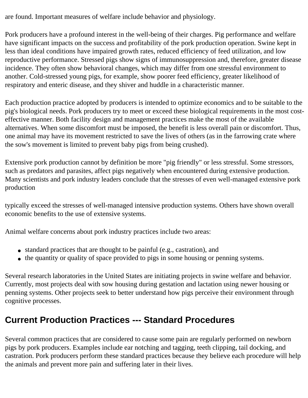are found. Important measures of welfare include behavior and physiology.

Pork producers have a profound interest in the well-being of their charges. Pig performance and welfare have significant impacts on the success and profitability of the pork production operation. Swine kept in less than ideal conditions have impaired growth rates, reduced efficiency of feed utilization, and low reproductive performance. Stressed pigs show signs of immunosuppression and, therefore, greater disease incidence. They often show behavioral changes, which may differ from one stressful environment to another. Cold-stressed young pigs, for example, show poorer feed efficiency, greater likelihood of respiratory and enteric disease, and they shiver and huddle in a characteristic manner.

Each production practice adopted by producers is intended to optimize economics and to be suitable to the pig's biological needs. Pork producers try to meet or exceed these biological requirements in the most costeffective manner. Both facility design and management practices make the most of the available alternatives. When some discomfort must be imposed, the benefit is less overall pain or discomfort. Thus, one animal may have its movement restricted to save the lives of others (as in the farrowing crate where the sow's movement is limited to prevent baby pigs from being crushed).

Extensive pork production cannot by definition be more "pig friendly" or less stressful. Some stressors, such as predators and parasites, affect pigs negatively when encountered during extensive production. Many scientists and pork industry leaders conclude that the stresses of even well-managed extensive pork production

typically exceed the stresses of well-managed intensive production systems. Others have shown overall economic benefits to the use of extensive systems.

Animal welfare concerns about pork industry practices include two areas:

- standard practices that are thought to be painful (e.g., castration), and
- the quantity or quality of space provided to pigs in some housing or penning systems.

Several research laboratories in the United States are initiating projects in swine welfare and behavior. Currently, most projects deal with sow housing during gestation and lactation using newer housing or penning systems. Other projects seek to better understand how pigs perceive their environment through cognitive processes.

#### **Current Production Practices --- Standard Procedures**

Several common practices that are considered to cause some pain are regularly performed on newborn pigs by pork producers. Examples include ear notching and tagging, teeth clipping, tail docking, and castration. Pork producers perform these standard practices because they believe each procedure will help the animals and prevent more pain and suffering later in their lives.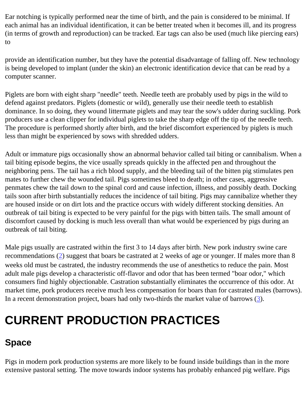Ear notching is typically performed near the time of birth, and the pain is considered to be minimal. If each animal has an individual identification, it can be better treated when it becomes ill, and its progress (in terms of growth and reproduction) can be tracked. Ear tags can also be used (much like piercing ears) to

provide an identification number, but they have the potential disadvantage of falling off. New technology is being developed to implant (under the skin) an electronic identification device that can be read by a computer scanner.

Piglets are born with eight sharp "needle" teeth. Needle teeth are probably used by pigs in the wild to defend against predators. Piglets (domestic or wild), generally use their needle teeth to establish dominance. In so doing, they wound littermate piglets and may tear the sow's udder during suckling. Pork producers use a clean clipper for individual piglets to take the sharp edge off the tip of the needle teeth. The procedure is performed shortly after birth, and the brief discomfort experienced by piglets is much less than might be experienced by sows with shredded udders.

Adult or immature pigs occasionally show an abnormal behavior called tail biting or cannibalism. When a tail biting episode begins, the vice usually spreads quickly in the affected pen and throughout the neighboring pens. The tail has a rich blood supply, and the bleeding tail of the bitten pig stimulates pen mates to further chew the wounded tail. Pigs sometimes bleed to death; in other cases, aggressive penmates chew the tail down to the spinal cord and cause infection, illness, and possibly death. Docking tails soon after birth substantially reduces the incidence of tail biting. Pigs may cannibalize whether they are housed inside or on dirt lots and the practice occurs with widely different stocking densities. An outbreak of tail biting is expected to be very painful for the pigs with bitten tails. The small amount of discomfort caused by docking is much less overall than what would be experienced by pigs during an outbreak of tail biting.

Male pigs usually are castrated within the first 3 to 14 days after birth. New pork industry swine care recommendations ([2\)](#page-113-1) suggest that boars be castrated at 2 weeks of age or younger. If males more than 8 weeks old must be castrated, the industry recommends the use of anesthetics to reduce the pain. Most adult male pigs develop a characteristic off-flavor and odor that has been termed "boar odor," which consumers find highly objectionable. Castration substantially eliminates the occurrence of this odor. At market time, pork producers receive much less compensation for boars than for castrated males (barrows). In a recent demonstration project, boars had only two-thirds the market value of barrows ([3](#page-113-2)).

### **CURRENT PRODUCTION PRACTICES**

### **Space**

Pigs in modern pork production systems are more likely to be found inside buildings than in the more extensive pastoral setting. The move towards indoor systems has probably enhanced pig welfare. Pigs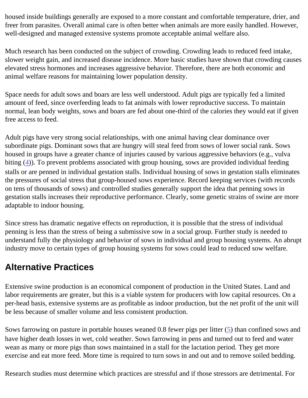housed inside buildings generally are exposed to a more constant and comfortable temperature, drier, and freer from parasites. Overall animal care is often better when animals are more easily handled. However, well-designed and managed extensive systems promote acceptable animal welfare also.

Much research has been conducted on the subject of crowding. Crowding leads to reduced feed intake, slower weight gain, and increased disease incidence. More basic studies have shown that crowding causes elevated stress hormones and increases aggressive behavior. Therefore, there are both economic and animal welfare reasons for maintaining lower population density.

Space needs for adult sows and boars are less well understood. Adult pigs are typically fed a limited amount of feed, since overfeeding leads to fat animals with lower reproductive success. To maintain normal, lean body weights, sows and boars are fed about one-third of the calories they would eat if given free access to feed.

Adult pigs have very strong social relationships, with one animal having clear dominance over subordinate pigs. Dominant sows that are hungry will steal feed from sows of lower social rank. Sows housed in groups have a greater chance of injuries caused by various aggressive behaviors (e.g., vulva biting [\(4](#page-113-3))). To prevent problems associated with group housing, sows are provided individual feeding stalls or are penned in individual gestation stalls. Individual housing of sows in gestation stalls eliminates the pressures of social stress that group-housed sows experience. Record keeping services (with records on tens of thousands of sows) and controlled studies generally support the idea that penning sows in gestation stalls increases their reproductive performance. Clearly, some genetic strains of swine are more adaptable to indoor housing.

Since stress has dramatic negative effects on reproduction, it is possible that the stress of individual penning is less than the stress of being a submissive sow in a social group. Further study is needed to understand fully the physiology and behavior of sows in individual and group housing systems. An abrupt industry move to certain types of group housing systems for sows could lead to reduced sow welfare.

#### **Alternative Practices**

Extensive swine production is an economical component of production in the United States. Land and labor requirements are greater, but this is a viable system for producers with low capital resources. On a per-head basis, extensive systems are as profitable as indoor production, but the net profit of the unit will be less because of smaller volume and less consistent production.

Sows farrowing on pasture in portable houses weaned 0.8 fewer pigs per litter [\(5](#page-113-4)) than confined sows and have higher death losses in wet, cold weather. Sows farrowing in pens and turned out to feed and water wean as many or more pigs than sows maintained in a stall for the lactation period. They get more exercise and eat more feed. More time is required to turn sows in and out and to remove soiled bedding.

Research studies must determine which practices are stressful and if those stressors are detrimental. For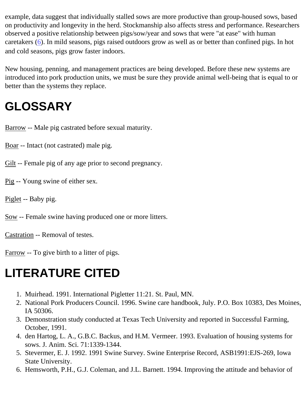example, data suggest that individually stalled sows are more productive than group-housed sows, based on productivity and longevity in the herd. Stockmanship also affects stress and performance. Researchers observed a positive relationship between pigs/sow/year and sows that were "at ease" with human caretakers [\(6](#page-113-5)). In mild seasons, pigs raised outdoors grow as well as or better than confined pigs. In hot and cold seasons, pigs grow faster indoors.

New housing, penning, and management practices are being developed. Before these new systems are introduced into pork production units, we must be sure they provide animal well-being that is equal to or better than the systems they replace.

# **GLOSSARY**

Barrow -- Male pig castrated before sexual maturity.

- Boar -- Intact (not castrated) male pig.
- Gilt -- Female pig of any age prior to second pregnancy.
- Pig -- Young swine of either sex.
- Piglet -- Baby pig.
- Sow -- Female swine having produced one or more litters.
- Castration -- Removal of testes.
- Farrow -- To give birth to a litter of pigs.

# <span id="page-113-0"></span>**LITERATURE CITED**

- 1. Muirhead. 1991. International Pigletter 11:21. St. Paul, MN.
- <span id="page-113-1"></span>2. National Pork Producers Council. 1996. Swine care handbook, July. P.O. Box 10383, Des Moines, IA 50306.
- <span id="page-113-2"></span>3. Demonstration study conducted at Texas Tech University and reported in Successful Farming, October, 1991.
- <span id="page-113-3"></span>4. den Hartog, L. A., G.B.C. Backus, and H.M. Vermeer. 1993. Evaluation of housing systems for sows. J. Anim. Sci. 71:1339-1344.
- <span id="page-113-4"></span>5. Stevermer, E. J. 1992. 1991 Swine Survey. Swine Enterprise Record, ASB1991:EJS-269, Iowa State University.
- <span id="page-113-5"></span>6. Hemsworth, P.H., G.J. Coleman, and J.L. Barnett. 1994. Improving the attitude and behavior of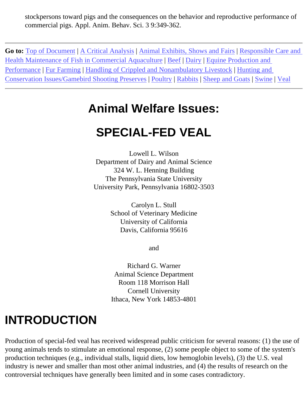stockpersons toward pigs and the consequences on the behavior and reproductive performance of commercial pigs. Appl. Anim. Behav. Sci. 3 9:349-362.

<span id="page-114-0"></span>**Go to:** [Top of Document](#page-0-0) | [A Critical Analysis](#page-1-0) | [Animal Exhibits, Shows and Fairs](#page-24-0) | [Responsible Care and](#page-29-0)  [Health Maintenance of Fish in Commercial Aquaculture](#page-29-0) | [Beef](#page-45-0) | [Dairy](#page-50-0) | Equine Production and [Performance](#page-66-0) | [Fur Farming](#page-73-0) | [Handling of Crippled and Nonambulatory Livestock](#page-77-0) | [Hunting and](#page-82-0)  [Conservation Issues/Gamebird Shooting Preserves](#page-82-0) | [Poultry](#page-87-0) | [Rabbits](#page-94-0) | [Sheep and Goats](#page-102-0) | [Swine](#page-108-0) | [Veal](#page-114-0)

### **Animal Welfare Issues:**

### **SPECIAL-FED VEAL**

Lowell L. Wilson Department of Dairy and Animal Science 324 W. L. Henning Building The Pennsylvania State University University Park, Pennsylvania 16802-3503

> Carolyn L. Stull School of Veterinary Medicine University of California Davis, California 95616

> > and

Richard G. Warner Animal Science Department Room 118 Morrison Hall Cornell University Ithaca, New York 14853-4801

### **INTRODUCTION**

Production of special-fed veal has received widespread public criticism for several reasons: (1) the use of young animals tends to stimulate an emotional response, (2) some people object to some of the system's production techniques (e.g., individual stalls, liquid diets, low hemoglobin levels), (3) the U.S. veal industry is newer and smaller than most other animal industries, and (4) the results of research on the controversial techniques have generally been limited and in some cases contradictory.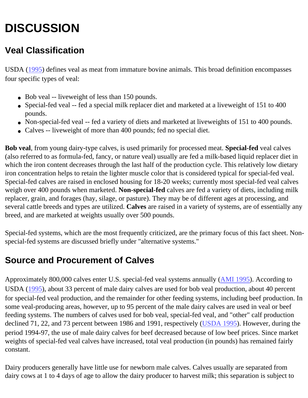# **DISCUSSION**

### **Veal Classification**

USDA ([1995\)](#page-122-0) defines veal as meat from immature bovine animals. This broad definition encompasses four specific types of veal:

- Bob veal -- liveweight of less than 150 pounds.
- Special-fed veal -- fed a special milk replacer diet and marketed at a liveweight of 151 to 400 pounds.
- Non-special-fed veal -- fed a variety of diets and marketed at liveweights of 151 to 400 pounds.
- Calves -- liveweight of more than 400 pounds; fed no special diet.

**Bob veal**, from young dairy-type calves, is used primarily for processed meat. **Special-fed** veal calves (also referred to as formula-fed, fancy, or nature veal) usually are fed a milk-based liquid replacer diet in which the iron content decreases through the last half of the production cycle. This relatively low dietary iron concentration helps to retain the lighter muscle color that is considered typical for special-fed veal. Special-fed calves are raised in enclosed housing for 18-20 weeks; currently most special-fed veal calves weigh over 400 pounds when marketed. **Non-special-fed** calves are fed a variety of diets, including milk replacer, grain, and forages (hay, silage, or pasture). They may be of different ages at processing, and several cattle breeds and types are utilized. **Calves** are raised in a variety of systems, are of essentially any breed, and are marketed at weights usually over 500 pounds.

Special-fed systems, which are the most frequently criticized, are the primary focus of this fact sheet. Nonspecial-fed systems are discussed briefly under "alternative systems."

#### **Source and Procurement of Calves**

Approximately 800,000 calves enter U.S. special-fed veal systems annually [\(AMI 1995\)](#page-120-0). According to USDA ([1995\)](#page-122-0), about 33 percent of male dairy calves are used for bob veal production, about 40 percent for special-fed veal production, and the remainder for other feeding systems, including beef production. In some veal-producing areas, however, up to 95 percent of the male dairy calves are used in veal or beef feeding systems. The numbers of calves used for bob veal, special-fed veal, and "other" calf production declined 71, 22, and 73 percent between 1986 and 1991, respectively [\(USDA 1995](#page-122-0)). However, during the period 1994-97, the use of male dairy calves for beef decreased because of low beef prices. Since market weights of special-fed veal calves have increased, total veal production (in pounds) has remained fairly constant.

Dairy producers generally have little use for newborn male calves. Calves usually are separated from dairy cows at 1 to 4 days of age to allow the dairy producer to harvest milk; this separation is subject to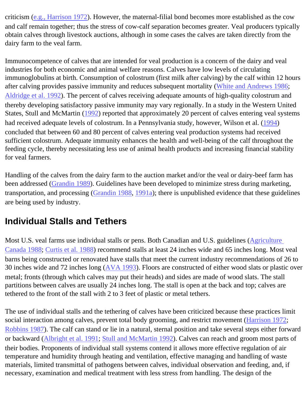criticism ([e.g., Harrison 1972\)](#page-121-0). However, the maternal-filial bond becomes more established as the cow and calf remain together; thus the stress of cow-calf separation becomes greater. Veal producers typically obtain calves through livestock auctions, although in some cases the calves are taken directly from the dairy farm to the veal farm.

Immunocompetence of calves that are intended for veal production is a concern of the dairy and veal industries for both economic and animal welfare reasons. Calves have low levels of circulating immunoglobulins at birth. Consumption of colostrum (first milk after calving) by the calf within 12 hours after calving provides passive immunity and reduces subsequent mortality [\(White and Andrews 1986;](#page-122-1) [Aldridge et al. 1992](#page-120-1)). The percent of calves receiving adequate amounts of high-quality colostrum and thereby developing satisfactory passive immunity may vary regionally. In a study in the Western United States, Stull and McMartin ([1992\)](#page-122-2) reported that approximately 20 percent of calves entering veal systems had received adequate levels of colostrum. In a Pennsylvania study, however, Wilson et al. [\(1994](#page-122-3)) concluded that between 60 and 80 percent of calves entering veal production systems had received sufficient colostrum. Adequate immunity enhances the health and well-being of the calf throughout the feeding cycle, thereby necessitating less use of animal health products and increasing financial stability for veal farmers.

Handling of the calves from the dairy farm to the auction market and/or the veal or dairy-beef farm has been addressed ([Grandin 1989](#page-121-1)). Guidelines have been developed to minimize stress during marketing, transportation, and processing [\(Grandin 1988,](#page-121-2) [1991a\)](#page-121-3); there is unpublished evidence that these guidelines are being used by industry.

### **Individual Stalls and Tethers**

Most U.S. veal farms use individual stalls or pens. Both Canadian and U.S. guidelines (Agriculture [Canada 1988;](#page-120-2) [Curtis et al. 1988\)](#page-120-3) recommend stalls at least 24 inches wide and 65 inches long. Most veal barns being constructed or renovated have stalls that meet the current industry recommendations of 26 to 30 inches wide and 72 inches long [\(AVA 1993\)](#page-120-4). Floors are constructed of either wood slats or plastic over metal; fronts (through which calves may put their heads) and sides are made of wood slats. The stall partitions between calves are usually 24 inches long. The stall is open at the back and top; calves are tethered to the front of the stall with 2 to 3 feet of plastic or metal tethers.

The use of individual stalls and the tethering of calves have been criticized because these practices limit social interaction among calves, prevent total body grooming, and restrict movement (*Harrison 1972*; [Robbins 1987\)](#page-121-4). The calf can stand or lie in a natural, sternal position and take several steps either forward or backward (**Albright et al. 1991**; [Stull and McMartin 1992](#page-122-2)). Calves can reach and groom most parts of their bodies. Proponents of individual stall systems contend it allows more effective regulation of air temperature and humidity through heating and ventilation, effective managing and handling of waste materials, limited transmittal of pathogens between calves, individual observation and feeding, and, if necessary, examination and medical treatment with less stress from handling. The design of the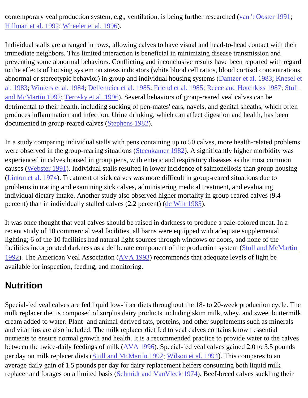contemporary veal production system, e.g., ventilation, is being further researched ([van 't Ooster 1991;](#page-122-4) [Hillman et al. 1992](#page-121-5); [Wheeler et al. 1996](#page-122-5)).

Individual stalls are arranged in rows, allowing calves to have visual and head-to-head contact with their immediate neighbors. This limited interaction is beneficial in minimizing disease transmission and preventing some abnormal behaviors. Conflicting and inconclusive results have been reported with regard to the effects of housing system on stress indicators (white blood cell ratios, blood cortisol concentrations, abnormal or stereotypic behavior) in group and individual housing systems [\(Dantzer et al. 1983](#page-120-6); [Knesel et](#page-121-6)  [al. 1983;](#page-121-6) [Winters et al. 1984;](#page-122-6) [Dellemeier et al. 1985;](#page-120-7) [Friend et al. 1985](#page-121-7); [Reece and Hotchkiss 1987](#page-121-8); [Stull](#page-122-2)  [and McMartin 1992](#page-122-2); [Terosky et al. 1996\)](#page-122-7). Several behaviors of group-reared veal calves can be detrimental to their health, including sucking of pen-mates' ears, navels, and genital sheaths, which often produces inflammation and infection. Urine drinking, which can affect digestion and health, has been documented in group-reared calves ([Stephens 1982](#page-122-8)).

In a study comparing individual stalls with pens containing up to 50 calves, more health-related problems were observed in the group-rearing situations [\(Steenkamer 1982\)](#page-122-9). A significantly higher morbidity was experienced in calves housed in group pens, with enteric and respiratory diseases as the most common causes [\(Webster 1991\)](#page-122-10). Individual stalls resulted in lower incidence of salmonellosis than group housing ([Linton et al. 1974](#page-121-9)). Treatment of sick calves was more difficult in group-reared situations due to problems in tracing and examining sick calves, administering medical treatment, and evaluating individual dietary intake. Another study also observed higher mortality in group-reared calves (9.4 percent) than in individually stalled calves (2.2 percent) [\(de Wilt 1985\)](#page-120-8).

It was once thought that veal calves should be raised in darkness to produce a pale-colored meat. In a recent study of 10 commercial veal facilities, all barns were equipped with adequate supplemental lighting; 6 of the 10 facilities had natural light sources through windows or doors, and none of the facilities incorporated darkness as a deliberate component of the production system [\(Stull and McMartin](#page-122-2)  [1992\)](#page-122-2). The American Veal Association [\(AVA 1993](#page-120-4)) recommends that adequate levels of light be available for inspection, feeding, and monitoring.

#### **Nutrition**

Special-fed veal calves are fed liquid low-fiber diets throughout the 18- to 20-week production cycle. The milk replacer diet is composed of surplus dairy products including skim milk, whey, and sweet buttermilk cream added to water. Plant- and animal-derived fats, proteins, and other supplements such as minerals and vitamins are also included. The milk replacer diet fed to veal calves contains known essential nutrients to ensure normal growth and health. It is a recommended practice to provide water to the calves between the twice-daily feedings of milk [\(AVA 1996\)](#page-120-9). Special-fed veal calves gained 2.0 to 3.5 pounds per day on milk replacer diets ([Stull and McMartin 1992;](#page-122-2) [Wilson et al. 1994\)](#page-122-3). This compares to an average daily gain of 1.5 pounds per day for dairy replacement heifers consuming both liquid milk replacer and forages on a limited basis ([Schmidt and VanVleck 1974\)](#page-122-11). Beef-breed calves suckling their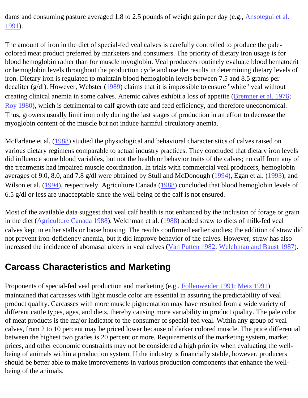dams and consuming pasture averaged 1.8 to 2.5 pounds of weight gain per day (e.g., [Ansotegui et al.](#page-120-10) [1991\)](#page-120-10).

The amount of iron in the diet of special-fed veal calves is carefully controlled to produce the palecolored meat product preferred by marketers and consumers. The priority of dietary iron usage is for blood hemoglobin rather than for muscle myoglobin. Veal producers routinely evaluate blood hematocrit or hemoglobin levels throughout the production cycle and use the results in determining dietary levels of iron. Dietary iron is regulated to maintain blood hemoglobin levels between 7.5 and 8.5 grams per decaliter (g/dl). However, Webster [\(1989](#page-122-12)) claims that it is impossible to ensure "white" veal without creating clinical anemia in some calves. Anemic calves exhibit a loss of appetite ([Bremner et al. 1976](#page-120-11); [Roy 1980](#page-122-13)), which is detrimental to calf growth rate and feed efficiency, and therefore uneconomical. Thus, growers usually limit iron only during the last stages of production in an effort to decrease the myoglobin content of the muscle but not induce harmful circulatory anemia.

McFarlane et al. ([1988\)](#page-121-10) studied the physiological and behavioral characteristics of calves raised on various dietary regimens comparable to actual industry practices. They concluded that dietary iron levels did influence some blood variables, but not the health or behavior traits of the calves; no calf from any of the treatments had impaired muscle coordination. In trials with commercial veal producers, hemoglobin averages of 9.0, 8.0, and 7.8 g/dl were obtained by Stull and McDonough [\(1994\)](#page-122-14), Egan et al. ([1993](#page-120-12)), and Wilson et al. ([1994](#page-122-3)), respectively. Agriculture Canada [\(1988](#page-120-2)) concluded that blood hemoglobin levels of 6.5 g/dl or less are unacceptable since the well-being of the calf is not ensured.

Most of the available data suggest that veal calf health is not enhanced by the inclusion of forage or grain in the diet ([Agriculture Canada 1988](#page-120-2)). Welchman et al. [\(1988](#page-122-15)) added straw to diets of milk-fed veal calves kept in either stalls or loose housing. The results confirmed earlier studies; the addition of straw did not prevent iron-deficiency anemia, but it did improve behavior of the calves. However, straw has also increased the incidence of abomasal ulcers in veal calves [\(Van Putten 1982;](#page-122-16) [Welchman and Baust 1987](#page-122-17)).

#### **Carcass Characteristics and Marketing**

Proponents of special-fed veal production and marketing (e.g., [Follenweider 1991](#page-121-11); [Metz 1991\)](#page-121-12) maintained that carcasses with light muscle color are essential in assuring the predictability of veal product quality. Carcasses with more muscle pigmentation may have resulted from a wide variety of different cattle types, ages, and diets, thereby causing more variability in product quality. The pale color of meat products is the major indicator to the consumer of special-fed veal. Within any group of veal calves, from 2 to 10 percent may be priced lower because of darker colored muscle. The price differential between the highest two grades is 20 percent or more. Requirements of the marketing system, market prices, and other economic constraints may not be considered a high priority when evaluating the wellbeing of animals within a production system. If the industry is financially stable, however, producers should be better able to make improvements in various production components that enhance the wellbeing of the animals.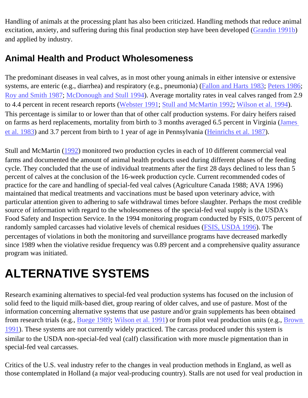Handling of animals at the processing plant has also been criticized. Handling methods that reduce animal excitation, anxiety, and suffering during this final production step have been developed [\(Grandin 1991b\)](#page-121-13) and applied by industry.

### **Animal Health and Product Wholesomeness**

The predominant diseases in veal calves, as in most other young animals in either intensive or extensive systems, are enteric (e.g., diarrhea) and respiratory (e.g., pneumonia) [\(Fallon and Harts 1983](#page-121-14); [Peters 1986;](#page-121-15) [Roy and Smith 1987;](#page-122-18) [McDonough and Stull 1994\)](#page-121-16). Average mortality rates in veal calves ranged from 2.9 to 4.4 percent in recent research reports ([Webster 1991](#page-122-10); [Stull and McMartin 1992](#page-122-2); [Wilson et al. 1994\)](#page-122-3). This percentage is similar to or lower than that of other calf production systems. For dairy heifers raised on farms as herd replacements, mortality from birth to 3 months averaged 6.5 percent in Virginia [\(James](#page-121-17) [et al. 1983](#page-121-17)) and 3.7 percent from birth to 1 year of age in Pennsylvania ([Heinrichs et al. 1987\)](#page-121-18).

Stull and McMartin ([1992](#page-122-2)) monitored two production cycles in each of 10 different commercial veal farms and documented the amount of animal health products used during different phases of the feeding cycle. They concluded that the use of individual treatments after the first 28 days declined to less than 5 percent of calves at the conclusion of the 16-week production cycle. Current recommended codes of practice for the care and handling of special-fed veal calves (Agriculture Canada 1988; AVA 1996) maintained that medical treatments and vaccinations must be based upon veterinary advice, with particular attention given to adhering to safe withdrawal times before slaughter. Perhaps the most credible source of information with regard to the wholesomeness of the special-fed veal supply is the USDA's Food Safety and Inspection Service. In the 1994 monitoring program conducted by FSIS, 0.075 percent of randomly sampled carcasses had violative levels of chemical residues ([FSIS, USDA 1996](#page-121-19)). The percentages of violations in both the monitoring and surveillance programs have decreased markedly since 1989 when the violative residue frequency was 0.89 percent and a comprehensive quality assurance program was initiated.

# **ALTERNATIVE SYSTEMS**

Research examining alternatives to special-fed veal production systems has focused on the inclusion of solid feed to the liquid milk-based diet, group rearing of older calves, and use of pasture. Most of the information concerning alternative systems that use pasture and/or grain supplements has been obtained from research trials (e.g., [Buege 1989;](#page-120-13) [Wilson et al. 1991](#page-122-19)) or from pilot veal production units (e.g., [Brown](#page-120-14) [1991\)](#page-120-14). These systems are not currently widely practiced. The carcass produced under this system is similar to the USDA non-special-fed veal (calf) classification with more muscle pigmentation than in special-fed veal carcasses.

Critics of the U.S. veal industry refer to the changes in veal production methods in England, as well as those contemplated in Holland (a major veal-producing country). Stalls are not used for veal production in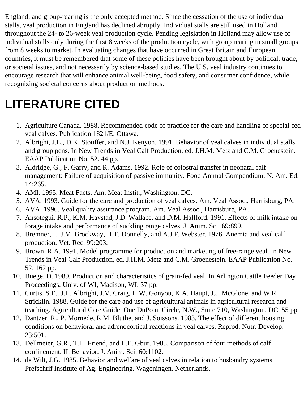England, and group-rearing is the only accepted method. Since the cessation of the use of individual stalls, veal production in England has declined abruptly. Individual stalls are still used in Holland throughout the 24- to 26-week veal production cycle. Pending legislation in Holland may allow use of individual stalls only during the first 8 weeks of the production cycle, with group rearing in small groups from 8 weeks to market. In evaluating changes that have occurred in Great Britain and European countries, it must be remembered that some of these policies have been brought about by political, trade, or societal issues, and not necessarily by science-based studies. The U.S. veal industry continues to encourage research that will enhance animal well-being, food safety, and consumer confidence, while recognizing societal concerns about production methods.

# <span id="page-120-2"></span>**LITERATURE CITED**

- 1. Agriculture Canada. 1988. Recommended code of practice for the care and handling of special-fed veal calves. Publication 1821/E. Ottawa.
- <span id="page-120-5"></span>2. Albright, J.L., D.K. Stouffer, and N.J. Kenyon. 1991. Behavior of veal calves in individual stalls and group pens. In New Trends in Veal Calf Production, ed. J.H.M. Metz and C.M. Groenestein. EAAP Publication No. 52. 44 pp.
- <span id="page-120-1"></span>3. Aldridge, G., F. Garry, and R. Adams. 1992. Role of colostral transfer in neonatal calf management: Failure of acquisition of passive immunity. Food Animal Compendium, N. Am. Ed. 14:265.
- <span id="page-120-0"></span>4. AMI. 1995. Meat Facts. Am. Meat Instit., Washington, DC.
- <span id="page-120-4"></span>5. AVA. 1993. Guide for the care and production of veal calves. Am. Veal Assoc., Harrisburg, PA.
- <span id="page-120-9"></span>6. AVA. 1996. Veal quality assurance program. Am. Veal Assoc., Harrisburg, PA.
- <span id="page-120-10"></span>7. Ansotegui, R.P., K.M. Havstad, J.D. Wallace, and D.M. Hallford. 1991. Effects of milk intake on forage intake and performance of suckling range calves. J. Anim. Sci. 69:899.
- <span id="page-120-11"></span>8. Bremner, I., J.M. Brockway, H.T. Donnelly, and A.J.F. Webster. 1976. Anemia and veal calf production. Vet. Rec. 99:203.
- <span id="page-120-14"></span>9. Brown, R.A. 1991. Model programme for production and marketing of free-range veal. In New Trends in Veal Calf Production, ed. J.H.M. Metz and C.M. Groenestein. EAAP Publication No. 52. 162 pp.
- <span id="page-120-13"></span>10. Buege, D. 1989. Production and characteristics of grain-fed veal. In Arlington Cattle Feeder Day Proceedings. Univ. of WI, Madison, WI. 37 pp.
- <span id="page-120-3"></span>11. Curtis, S.E., J.L. Albright, J.V. Craig, H.W. Gonyou, K.A. Haupt, J.J. McGlone, and W.R. Stricklin. 1988. Guide for the care and use of agricultural animals in agricultural research and teaching. Agricultural Care Guide. One DuPo nt Circle, N.W., Suite 710, Washington, DC. 55 pp.
- <span id="page-120-6"></span>12. Dantzer, R., P. Mornede, R.M. Bluthe, and J. Soissons. 1983. The effect of different housing conditions on behavioral and adrenocortical reactions in veal calves. Reprod. Nutr. Develop. 23:501.
- <span id="page-120-7"></span>13. Dellmeier, G.R., T.H. Friend, and E.E. Gbur. 1985. Comparison of four methods of calf confinement. II. Behavior. J. Anim. Sci. 60:1102.
- <span id="page-120-12"></span><span id="page-120-8"></span>14. de Wilt, J.G. 1985. Behavior and welfare of veal calves in relation to husbandry systems. Prefschrif Institute of Ag. Engineering. Wageningen, Netherlands.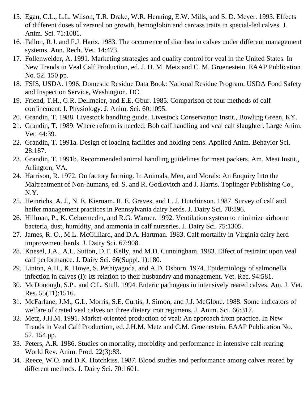- 15. Egan, C.L., L.L. Wilson, T.R. Drake, W.R. Henning, E.W. Mills, and S. D. Meyer. 1993. Effects of different doses of zeranol on growth, hemoglobin and carcass traits in special-fed calves. J. Anim. Sci. 71:1081.
- <span id="page-121-14"></span>16. Fallon, R.J. and F.J. Harts. 1983. The occurrence of diarrhea in calves under different management systems. Ann. Rech. Vet. 14:473.
- <span id="page-121-11"></span>17. Follenweider, A. 1991. Marketing strategies and quality control for veal in the United States. In New Trends in Veal Calf Production, ed. J. H. M. Metz and C. M. Groenestein. EAAP Publication No. 52. 150 pp.
- <span id="page-121-19"></span>18. FSIS, USDA. 1996. Domestic Residue Data Book: National Residue Program. USDA Food Safety and Inspection Service, Washington, DC.
- <span id="page-121-7"></span>19. Friend, T.H., G.R. Dellmeier, and E.E. Gbur. 1985. Comparison of four methods of calf confinement. I. Physiology. J. Anim. Sci. 60:1095.
- <span id="page-121-2"></span>20. Grandin, T. 1988. Livestock handling guide. Livestock Conservation Instit., Bowling Green, KY.
- <span id="page-121-1"></span>21. Grandin, T. 1989. Where reform is needed: Bob calf handling and veal calf slaughter. Large Anim. Vet. 44:39.
- <span id="page-121-3"></span>22. Grandin, T. 1991a. Design of loading facilities and holding pens. Applied Anim. Behavior Sci. 28:187.
- <span id="page-121-13"></span>23. Grandin, T. 1991b. Recommended animal handling guidelines for meat packers. Am. Meat Instit., Arlington, VA.
- <span id="page-121-0"></span>24. Harrison, R. 1972. On factory farming. In Animals, Men, and Morals: An Enquiry Into the Maltreatment of Non-humans, ed. S. and R. Godlovitch and J. Harris. Toplinger Publishing Co., N.Y.
- <span id="page-121-18"></span>25. Heinrichs, A. J., N. E. Kiernam, R. E. Graves, and L. J. Hutchinson. 1987. Survey of calf and heifer management practices in Pennsylvania dairy herds. J. Dairy Sci. 70:896.
- <span id="page-121-5"></span>26. Hillman, P., K. Gebremedin, and R.G. Warner. 1992. Ventilation system to minimize airborne bacteria, dust, humidity, and ammonia in calf nurseries. J. Dairy Sci. 75:1305.
- <span id="page-121-17"></span>27. James, R. O., M.L. McGilliard, and D.A. Hartman. 1983. Calf mortality in Virginia dairy herd improvement herds. J. Dairy Sci. 67:908.
- <span id="page-121-6"></span>28. Knesel, J.A., A.L. Sutton, D.T. Kelly, and M.D. Cunningham. 1983. Effect of restraint upon veal calf performance. J. Dairy Sci. 66(Suppl. 1):180.
- <span id="page-121-9"></span>29. Linton, A.H., K. Howe, S. Pethiyagoda, and A.D. Osborn. 1974. Epidemiology of salmonella infection in calves (I): Its relation to their husbandry and management. Vet. Rec. 94:581.
- <span id="page-121-16"></span>30. McDonough, S.P., and C.L. Stull. 1994. Enteric pathogens in intensively reared calves. Am. J. Vet. Res. 55(11):1516.
- <span id="page-121-10"></span>31. McFarlane, J.M., G.L. Morris, S.E. Curtis, J. Simon, and J.J. McGlone. 1988. Some indicators of welfare of crated veal calves on three dietary iron regimens. J. Anim. Sci. 66:317.
- <span id="page-121-12"></span>32. Metz, J.H.M. 1991. Market-oriented production of veal: An approach from practice. In New Trends in Veal Calf Production, ed. J.H.M. Metz and C.M. Groenestein. EAAP Publication No. 52. 154 pp.
- <span id="page-121-15"></span>33. Peters, A.R. 1986. Studies on mortality, morbidity and performance in intensive calf-rearing. World Rev. Anim. Prod. 22(3):83.
- <span id="page-121-8"></span><span id="page-121-4"></span>34. Reece, W.O. and D.K. Hotchkiss. 1987. Blood studies and performance among calves reared by different methods. J. Dairy Sci. 70:1601.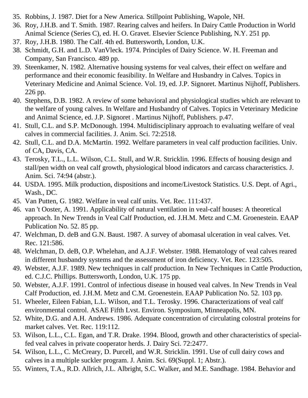- 35. Robbins, J. 1987. Diet for a New America. Stillpoint Publishing, Wapole, NH.
- <span id="page-122-18"></span>36. Roy, J.H.B. and T. Smith. 1987. Rearing calves and heifers. In Dairy Cattle Production in World Animal Science (Series C), ed. H. O. Gravet. Elsevier Science Publishing, N.Y. 251 pp.
- <span id="page-122-13"></span>37. Roy, J.H.B. 1980. The Calf. 4th ed. Buttersworth, London, U.K.
- <span id="page-122-11"></span>38. Schmidt, G.H. and L.D. VanVleck. 1974. Principles of Dairy Science. W. H. Freeman and Company, San Francisco. 489 pp.
- <span id="page-122-9"></span>39. Steenkamer, N. 1982. Alternative housing systems for veal calves, their effect on welfare and performance and their economic feasibility. In Welfare and Husbandry in Calves. Topics in Veterinary Medicine and Animal Science. Vol. 19, ed. J.P. Signoret. Martinus Nijhoff, Publishers. 226 pp.
- <span id="page-122-8"></span>40. Stephens, D.B. 1982. A review of some behavioral and physiological studies which are relevant to the welfare of young calves. In Welfare and Husbandry of Calves. Topics in Veterinary Medicine and Animal Science, ed. J.P. Signoret . Martinus Nijhoff, Publishers. p.47.
- <span id="page-122-14"></span>41. Stull, C.L. and S.P. McDonough. 1994. Multidisciplinary approach to evaluating welfare of veal calves in commercial facilities. J. Anim. Sci. 72:2518.
- <span id="page-122-2"></span>42. Stull, C.L. and D.A. McMartin. 1992. Welfare parameters in veal calf production facilities. Univ. of CA, Davis, CA.
- <span id="page-122-7"></span>43. Terosky, T.L., L.L. Wilson, C.L. Stull, and W.R. Stricklin. 1996. Effects of housing design and stall/pen width on veal calf growth, physiological blood indicators and carcass characteristics. J. Anim. Sci. 74:94 (abstr.).
- <span id="page-122-0"></span>44. USDA. 1995. Milk production, dispositions and income/Livestock Statistics. U.S. Dept. of Agri., Wash., DC.
- <span id="page-122-16"></span>45. Van Putten, G. 1982. Welfare in veal calf units. Vet. Rec. 111:437.
- <span id="page-122-4"></span>46. van 't Ooster, A. 1991. Applicability of natural ventilation in veal-calf houses: A theoretical approach. In New Trends in Veal Calf Production, ed. J.H.M. Metz and C.M. Groenestein. EAAP Publication No. 52. 85 pp.
- <span id="page-122-17"></span>47. Welchman, D. deB and G.N. Baust. 1987. A survey of abomasal ulceration in veal calves. Vet. Rec. 121:586.
- <span id="page-122-15"></span>48. Welchman, D. deB, O.P. Whelehan, and A.J.F. Webster. 1988. Hematology of veal calves reared in different husbandry systems and the assessment of iron deficiency. Vet. Rec. 123:505.
- <span id="page-122-12"></span>49. Webster, A.J.F. 1989. New techniques in calf production. In New Techniques in Cattle Production, ed. C.J.C. Phillips. Buttersworth, London, U.K. 175 pp.
- <span id="page-122-10"></span>50. Webster, A.J.F. 1991. Control of infectious disease in housed veal calves. In New Trends in Veal Calf Production, ed. J.H.M. Metz and C.M. Groenestein. EAAP Publication No. 52. 103 pp.
- <span id="page-122-5"></span>51. Wheeler, Eileen Fabian, L.L. Wilson, and T.L. Terosky. 1996. Characterizations of veal calf environmental control. ASAE Fifth Lvst. Environ. Symposium, Minneapolis, MN.
- <span id="page-122-1"></span>52. White, D.G. and A.H. Andrews. 1986. Adequate concentration of circulating colostral proteins for market calves. Vet. Rec. 119:112.
- <span id="page-122-3"></span>53. Wilson, L.L., C.L. Egan, and T.R. Drake. 1994. Blood, growth and other characteristics of specialfed veal calves in private cooperator herds. J. Dairy Sci. 72:2477.
- <span id="page-122-19"></span>54. Wilson, L.L., C. McCreary, D. Purcell, and W.R. Stricklin. 1991. Use of cull dairy cows and calves in a multiple suckler program. J. Anim. Sci. 69(Suppl. 1; Abstr.).
- <span id="page-122-6"></span>55. Winters, T.A., R.D. Allrich, J.L. Albright, S.C. Walker, and M.E. Sandhage. 1984. Behavior and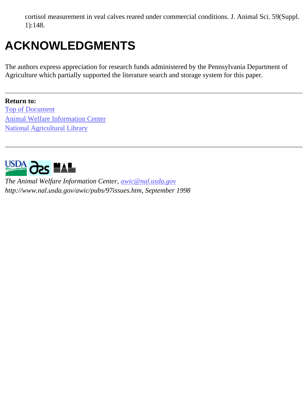cortisol measurement in veal calves reared under commercial conditions. J. Animal Sci. 59(Suppl. 1):148.

### **ACKNOWLEDGMENTS**

The authors express appreciation for research funds administered by the Pennsylvania Department of Agriculture which partially supported the literature search and storage system for this paper.

**Return to:** [Top of Document](#page-0-0) [Animal Welfare Information Center](http://warp.nal.usda.gov/awic/index.html) [National Agricultural Library](http://warp.nal.usda.gov/)



*The Animal Welfare Information Center, [awic@nal.usda.gov](mailto:awic@nal.usda.gov) http://www.nal.usda.gov/awic/pubs/97issues.htm, September 1998*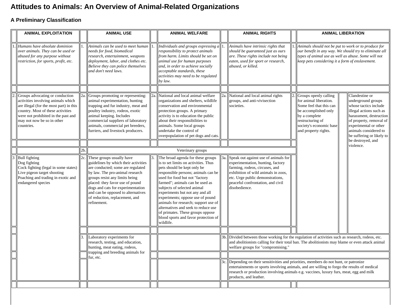#### **Attitudes to Animals: An Overview of Animal-Related Organizations**

#### **A Preliminary Classification**

| <b>ANIMAL EXPLOITATION</b>                                                                                                                                                                                                               |                | <b>ANIMAL USE</b>                                                                                                                                                                                                                                                                                                                          | <b>ANIMAL WELFARE</b>                                                                                                                                                                                                                                                                                                                                                                                                                                                                              |     | <b>ANIMAL RIGHTS</b>                                                                                                                                                                                                                             | <b>ANIMAL LIBERATION</b>                                                                                                                                                                                                                                                         |  |                                                                                                                                                                                                                               |  |
|------------------------------------------------------------------------------------------------------------------------------------------------------------------------------------------------------------------------------------------|----------------|--------------------------------------------------------------------------------------------------------------------------------------------------------------------------------------------------------------------------------------------------------------------------------------------------------------------------------------------|----------------------------------------------------------------------------------------------------------------------------------------------------------------------------------------------------------------------------------------------------------------------------------------------------------------------------------------------------------------------------------------------------------------------------------------------------------------------------------------------------|-----|--------------------------------------------------------------------------------------------------------------------------------------------------------------------------------------------------------------------------------------------------|----------------------------------------------------------------------------------------------------------------------------------------------------------------------------------------------------------------------------------------------------------------------------------|--|-------------------------------------------------------------------------------------------------------------------------------------------------------------------------------------------------------------------------------|--|
| Humans have absolute dominion<br>over animals. They can be used or<br>abused for any purpose without<br>restriction, for sports, profit, etc.                                                                                            |                | Animals can be used to meet human $\ 1$ .<br>needs for food, biomedical<br>research, entertainment, weapons<br>deployment, labor, and clothes etc.<br>Believe they can police themselves<br>and don't need laws.                                                                                                                           | Individuals and groups expressing $a$   1.<br>responsibility to protect animals<br>from harm. Limits should be set on<br>animal use for human purposes<br>and, in order to achieve socially<br>acceptable standards, these<br>activities may need to be regulated<br>by law.                                                                                                                                                                                                                       |     | Animals have intrinsic rights that<br>should be guaranteed just as ours<br>are. These rights include not being<br>eaten, used for sport or research,<br>abused, or killed.                                                                       | Animals should not be put to work or to produce for<br>our benefit in any way. We should try to eliminate all<br>types of animal use as well as abuse. Some will not<br>keep pets considering it a form of enslavement.                                                          |  |                                                                                                                                                                                                                               |  |
|                                                                                                                                                                                                                                          |                |                                                                                                                                                                                                                                                                                                                                            |                                                                                                                                                                                                                                                                                                                                                                                                                                                                                                    |     |                                                                                                                                                                                                                                                  |                                                                                                                                                                                                                                                                                  |  |                                                                                                                                                                                                                               |  |
| Groups advocating or conduction<br>activities involving animals which<br>are illegal (for the most part) in this<br>country. Most of these activities<br>were not prohibited in the past and<br>may not now be so in other<br>countries. | 2a.            | Groups promoting or representing:<br>animal experimentation, hunting<br>trapping and fur industry, meat and<br>poultry industry, rodeos, exotic<br>animal keeping. Includes<br>commercial suppliers of laboratory<br>animals, commercial pet breeders,<br>furriers, and livestock producers.                                               | 2a. National and local animal welfare<br>organizations and shelters, wildlife<br>conservation and environmental<br>protection groups. A primary<br>activity is to education the public<br>about their responsibilities to<br>animals. Some local groups<br>undertake the control of<br>overpopulation of pet dogs and cats.                                                                                                                                                                        | 2a. | National and local animal rights<br>groups, and anti-vivisection<br>societies.                                                                                                                                                                   | Groups openly calling<br>for animal liberation.<br>Some feel that this can<br>be accomplished only<br>by a complete<br>restructuring of<br>society's economic base<br>and property rights.                                                                                       |  | Clandestine or<br>underground groups<br>whose tactics include<br>illegal actions such as<br>harassment, destruction<br>of property, removal of<br>experimental or other<br>animals considered to<br>be suffering or likely to |  |
|                                                                                                                                                                                                                                          |                |                                                                                                                                                                                                                                                                                                                                            |                                                                                                                                                                                                                                                                                                                                                                                                                                                                                                    |     |                                                                                                                                                                                                                                                  |                                                                                                                                                                                                                                                                                  |  | be destroyed, and<br>violence.                                                                                                                                                                                                |  |
|                                                                                                                                                                                                                                          | 2 <sub>b</sub> |                                                                                                                                                                                                                                                                                                                                            | Veterinary groups                                                                                                                                                                                                                                                                                                                                                                                                                                                                                  |     |                                                                                                                                                                                                                                                  |                                                                                                                                                                                                                                                                                  |  |                                                                                                                                                                                                                               |  |
| <b>Bull fighting</b><br>Dog fighting<br>Cock fighting (legal in some states)<br>Live pigeon target shooting<br>Poaching and trading in exotic and<br>endangered species                                                                  | 2c.            | These groups usually have<br>guidelines by which their activities<br>are conducted; some are regulated<br>by law. The pro-animal research<br>groups resist any limits being<br>placed: they favor use of pound<br>dogs and cats for experimentation<br>and can be opposed to alternatives<br>of reduction, replacement, and<br>refinement. | The broad agenda for these groups<br>is to set limits on activities. Thus<br>pets should be kept only be<br>responsible persons; animals can be<br>used for food but not "factory<br>farmed"; animals can be used as<br>subjects of selected animal<br>experiments but not any and all<br>experiments; oppose use of pound<br>animals for research; support use of<br>alternatives and seek to reduce use<br>of primates. These groups oppose<br>blood sports and favor protection of<br>wildlife. |     | 3a. Speak out against use of animals for<br>experimentation, hunting, factory<br>farming, rodeos, circuses, and<br>exhibition of wild animals in zoos,<br>etc. Urge public demonstrations,<br>peaceful confrontation, and civil<br>disobedience. |                                                                                                                                                                                                                                                                                  |  |                                                                                                                                                                                                                               |  |
|                                                                                                                                                                                                                                          |                | Laboratory experiments for                                                                                                                                                                                                                                                                                                                 |                                                                                                                                                                                                                                                                                                                                                                                                                                                                                                    |     | 3b. Divided between those working for the regulation of activities such as research, rodeos, etc.                                                                                                                                                |                                                                                                                                                                                                                                                                                  |  |                                                                                                                                                                                                                               |  |
|                                                                                                                                                                                                                                          |                | research, testing, and education,<br>hunting, meat eating, rodeos,<br>trapping and breeding animals for                                                                                                                                                                                                                                    |                                                                                                                                                                                                                                                                                                                                                                                                                                                                                                    |     | welfare groups for "compromising."                                                                                                                                                                                                               | and abolitionists calling for their total ban. The abolitionists may blame or even attack animal                                                                                                                                                                                 |  |                                                                                                                                                                                                                               |  |
|                                                                                                                                                                                                                                          |                | fur, etc.                                                                                                                                                                                                                                                                                                                                  |                                                                                                                                                                                                                                                                                                                                                                                                                                                                                                    |     |                                                                                                                                                                                                                                                  |                                                                                                                                                                                                                                                                                  |  |                                                                                                                                                                                                                               |  |
|                                                                                                                                                                                                                                          |                |                                                                                                                                                                                                                                                                                                                                            |                                                                                                                                                                                                                                                                                                                                                                                                                                                                                                    |     | products, and leather.                                                                                                                                                                                                                           | 3c. Depending on their sensitivities and priorities, members do not hunt, or patronize<br>entertainments or sports involving animals, and are willing to forgo the results of medical<br>research or production involving animals e.g. vaccines, luxury furs, meat, egg and milk |  |                                                                                                                                                                                                                               |  |
|                                                                                                                                                                                                                                          |                |                                                                                                                                                                                                                                                                                                                                            |                                                                                                                                                                                                                                                                                                                                                                                                                                                                                                    |     |                                                                                                                                                                                                                                                  |                                                                                                                                                                                                                                                                                  |  |                                                                                                                                                                                                                               |  |